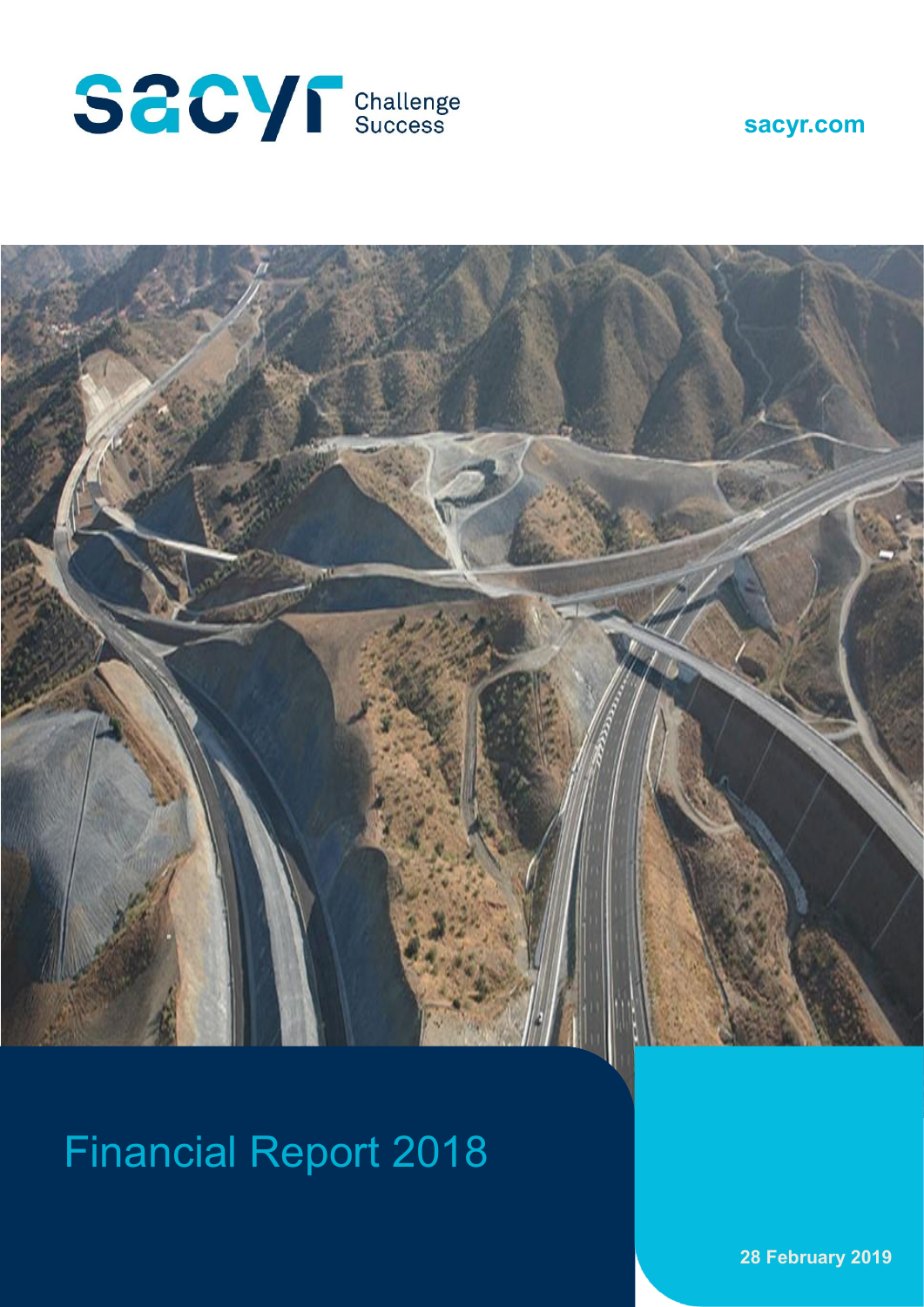





# Financial Report 2018

**28 February 2019**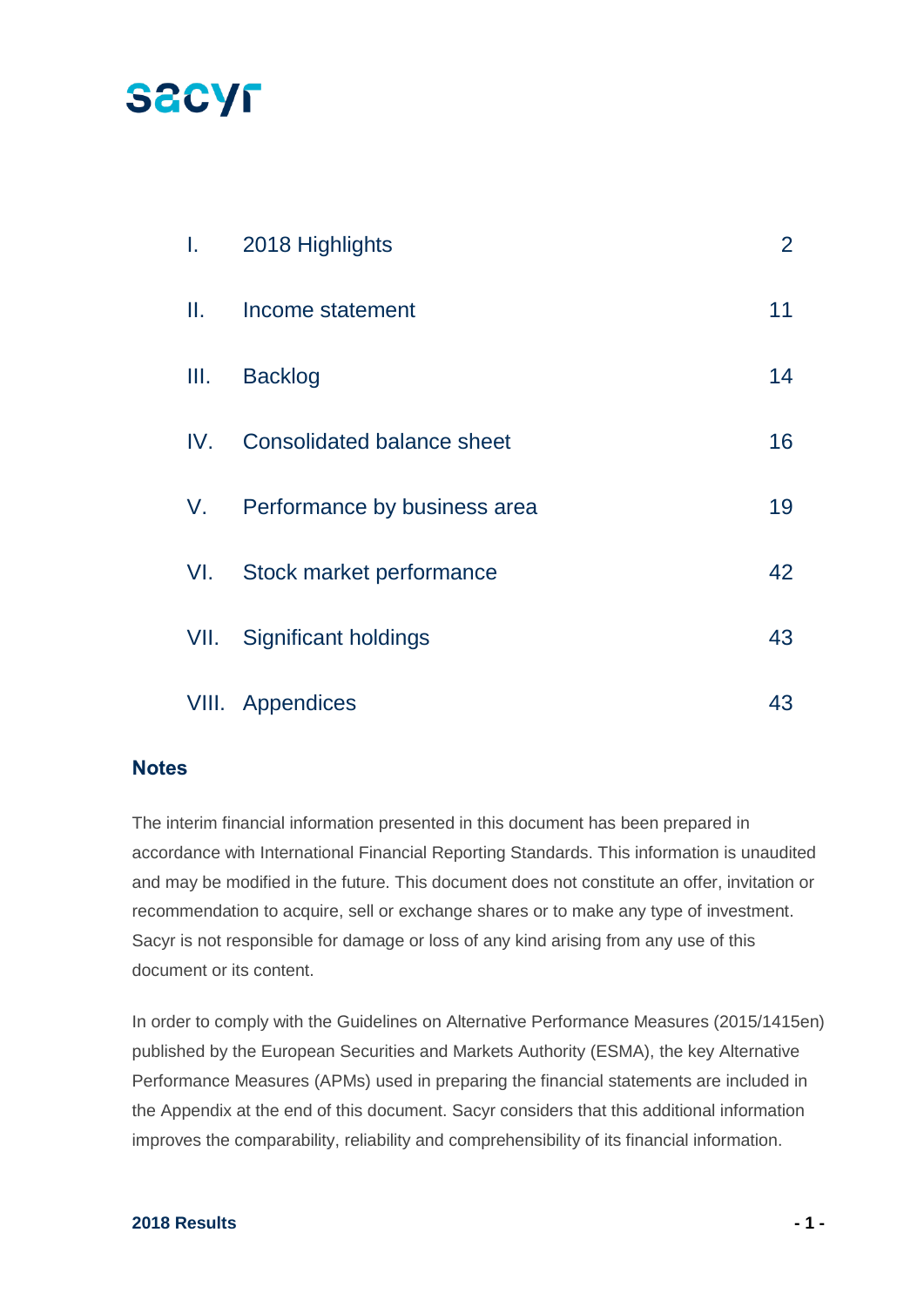## **SACYF**

| $\mathbf{L} =$ | 2018 Highlights                   | $\overline{2}$ |
|----------------|-----------------------------------|----------------|
| Ш.             | Income statement                  | 11             |
| III.           | <b>Backlog</b>                    | 14             |
| IV.            | <b>Consolidated balance sheet</b> | 16             |
|                | V. Performance by business area   | 19             |
| VI.            | Stock market performance          | 42             |
|                | VII. Significant holdings         | 43             |
|                | VIII. Appendices                  | 43             |

#### **Notes**

The interim financial information presented in this document has been prepared in accordance with International Financial Reporting Standards. This information is unaudited and may be modified in the future. This document does not constitute an offer, invitation or recommendation to acquire, sell or exchange shares or to make any type of investment. Sacyr is not responsible for damage or loss of any kind arising from any use of this document or its content.

In order to comply with the Guidelines on Alternative Performance Measures (2015/1415en) published by the European Securities and Markets Authority (ESMA), the key Alternative Performance Measures (APMs) used in preparing the financial statements are included in the Appendix at the end of this document. Sacyr considers that this additional information improves the comparability, reliability and comprehensibility of its financial information.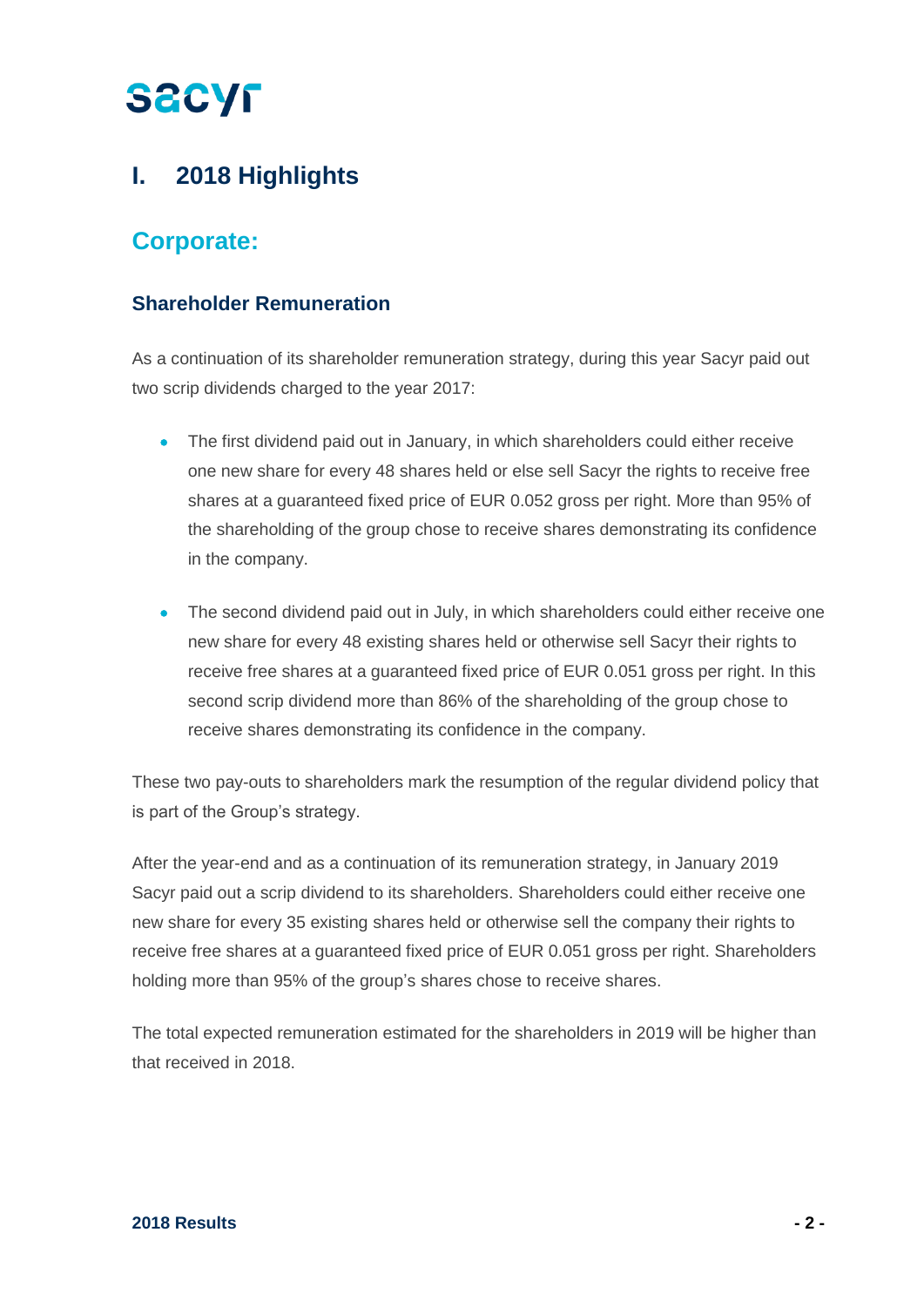## **I. 2018 Highlights**

## **Corporate:**

### **Shareholder Remuneration**

As a continuation of its shareholder remuneration strategy, during this year Sacyr paid out two scrip dividends charged to the year 2017:

- The first dividend paid out in January, in which shareholders could either receive one new share for every 48 shares held or else sell Sacyr the rights to receive free shares at a guaranteed fixed price of EUR 0.052 gross per right. More than 95% of the shareholding of the group chose to receive shares demonstrating its confidence in the company.
- The second dividend paid out in July, in which shareholders could either receive one new share for every 48 existing shares held or otherwise sell Sacyr their rights to receive free shares at a guaranteed fixed price of EUR 0.051 gross per right. In this second scrip dividend more than 86% of the shareholding of the group chose to receive shares demonstrating its confidence in the company.

These two pay-outs to shareholders mark the resumption of the regular dividend policy that is part of the Group's strategy.

After the year-end and as a continuation of its remuneration strategy, in January 2019 Sacyr paid out a scrip dividend to its shareholders. Shareholders could either receive one new share for every 35 existing shares held or otherwise sell the company their rights to receive free shares at a guaranteed fixed price of EUR 0.051 gross per right. Shareholders holding more than 95% of the group's shares chose to receive shares.

The total expected remuneration estimated for the shareholders in 2019 will be higher than that received in 2018.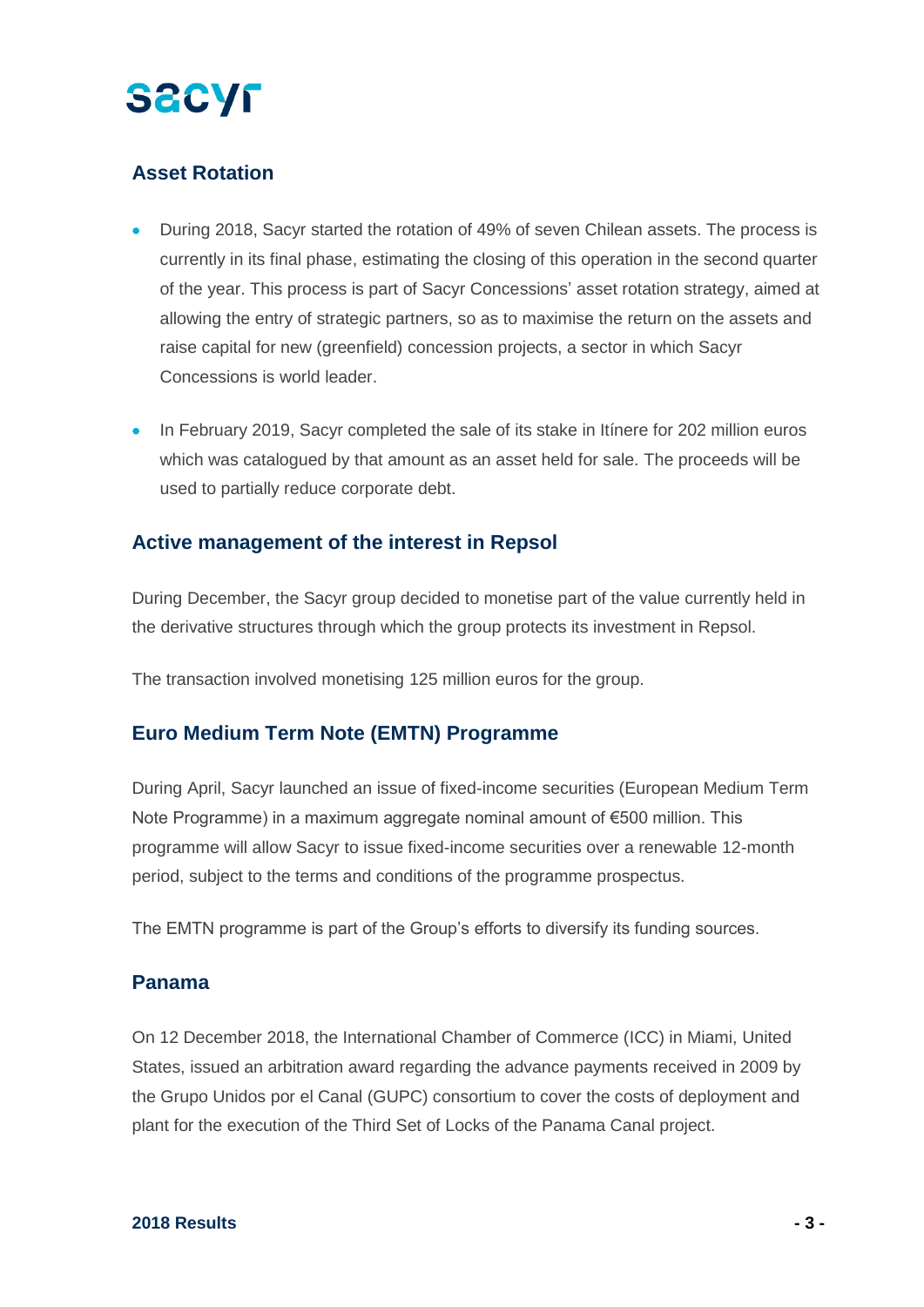### **Asset Rotation**

- During 2018, Sacyr started the rotation of 49% of seven Chilean assets. The process is currently in its final phase, estimating the closing of this operation in the second quarter of the year. This process is part of Sacyr Concessions' asset rotation strategy, aimed at allowing the entry of strategic partners, so as to maximise the return on the assets and raise capital for new (greenfield) concession projects, a sector in which Sacyr Concessions is world leader.
- In February 2019, Sacyr completed the sale of its stake in Itinere for 202 million euros which was catalogued by that amount as an asset held for sale. The proceeds will be used to partially reduce corporate debt.

#### **Active management of the interest in Repsol**

During December, the Sacyr group decided to monetise part of the value currently held in the derivative structures through which the group protects its investment in Repsol.

The transaction involved monetising 125 million euros for the group.

### **Euro Medium Term Note (EMTN) Programme**

During April, Sacyr launched an issue of fixed-income securities (European Medium Term Note Programme) in a maximum aggregate nominal amount of €500 million. This programme will allow Sacyr to issue fixed-income securities over a renewable 12-month period, subject to the terms and conditions of the programme prospectus.

The EMTN programme is part of the Group's efforts to diversify its funding sources.

#### **Panama**

On 12 December 2018, the International Chamber of Commerce (ICC) in Miami, United States, issued an arbitration award regarding the advance payments received in 2009 by the Grupo Unidos por el Canal (GUPC) consortium to cover the costs of deployment and plant for the execution of the Third Set of Locks of the Panama Canal project.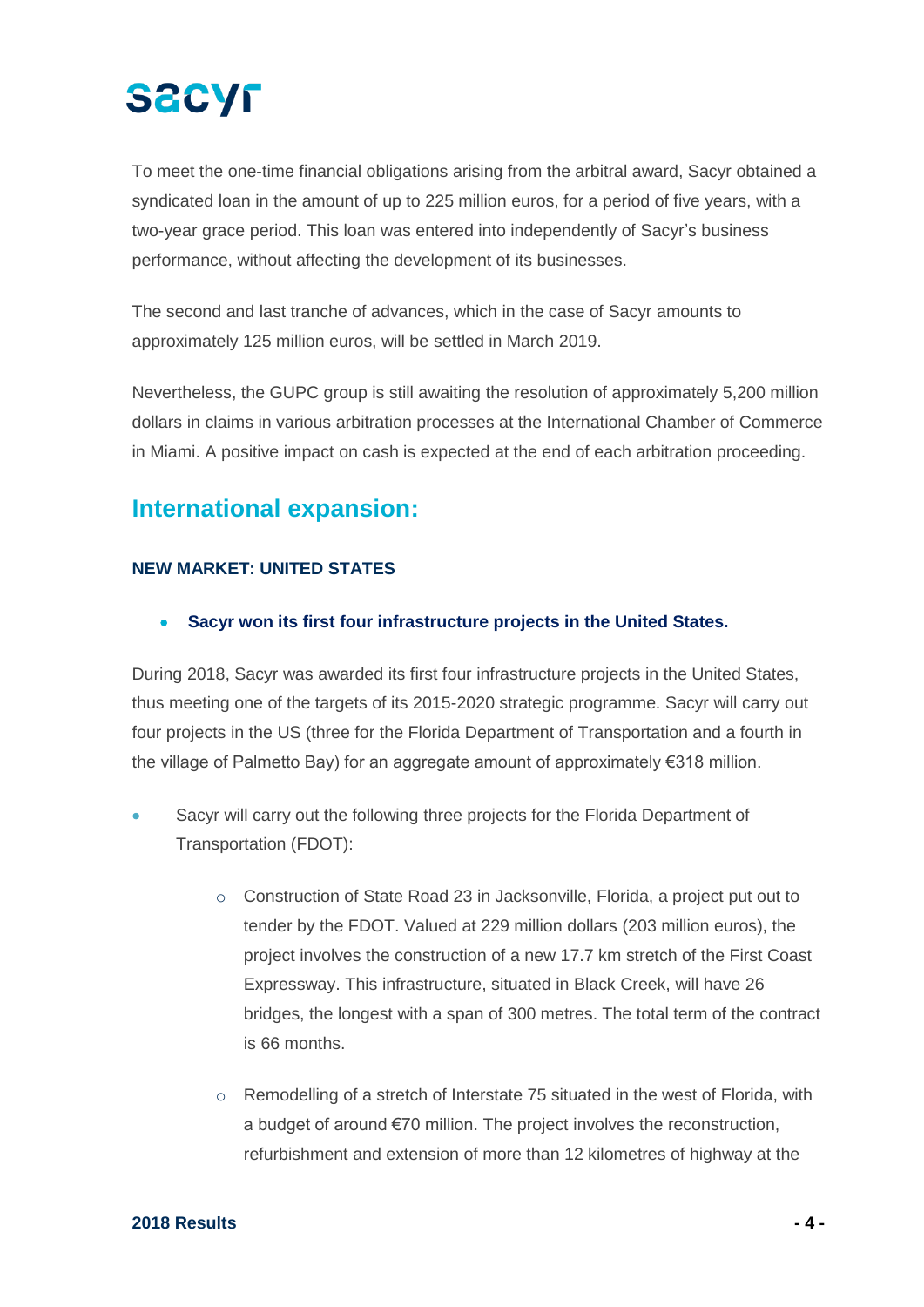To meet the one-time financial obligations arising from the arbitral award, Sacyr obtained a syndicated loan in the amount of up to 225 million euros, for a period of five years, with a two-year grace period. This loan was entered into independently of Sacyr's business performance, without affecting the development of its businesses.

The second and last tranche of advances, which in the case of Sacyr amounts to approximately 125 million euros, will be settled in March 2019.

Nevertheless, the GUPC group is still awaiting the resolution of approximately 5,200 million dollars in claims in various arbitration processes at the International Chamber of Commerce in Miami. A positive impact on cash is expected at the end of each arbitration proceeding.

## **International expansion:**

### **NEW MARKET: UNITED STATES**

• **Sacyr won its first four infrastructure projects in the United States.**

During 2018, Sacyr was awarded its first four infrastructure projects in the United States, thus meeting one of the targets of its 2015-2020 strategic programme. Sacyr will carry out four projects in the US (three for the Florida Department of Transportation and a fourth in the village of Palmetto Bay) for an aggregate amount of approximately €318 million.

- Sacyr will carry out the following three projects for the Florida Department of Transportation (FDOT):
	- o Construction of State Road 23 in Jacksonville, Florida, a project put out to tender by the FDOT. Valued at 229 million dollars (203 million euros), the project involves the construction of a new 17.7 km stretch of the First Coast Expressway. This infrastructure, situated in Black Creek, will have 26 bridges, the longest with a span of 300 metres. The total term of the contract is 66 months.
	- o Remodelling of a stretch of Interstate 75 situated in the west of Florida, with a budget of around €70 million. The project involves the reconstruction, refurbishment and extension of more than 12 kilometres of highway at the

#### **2018 Results - 4 -**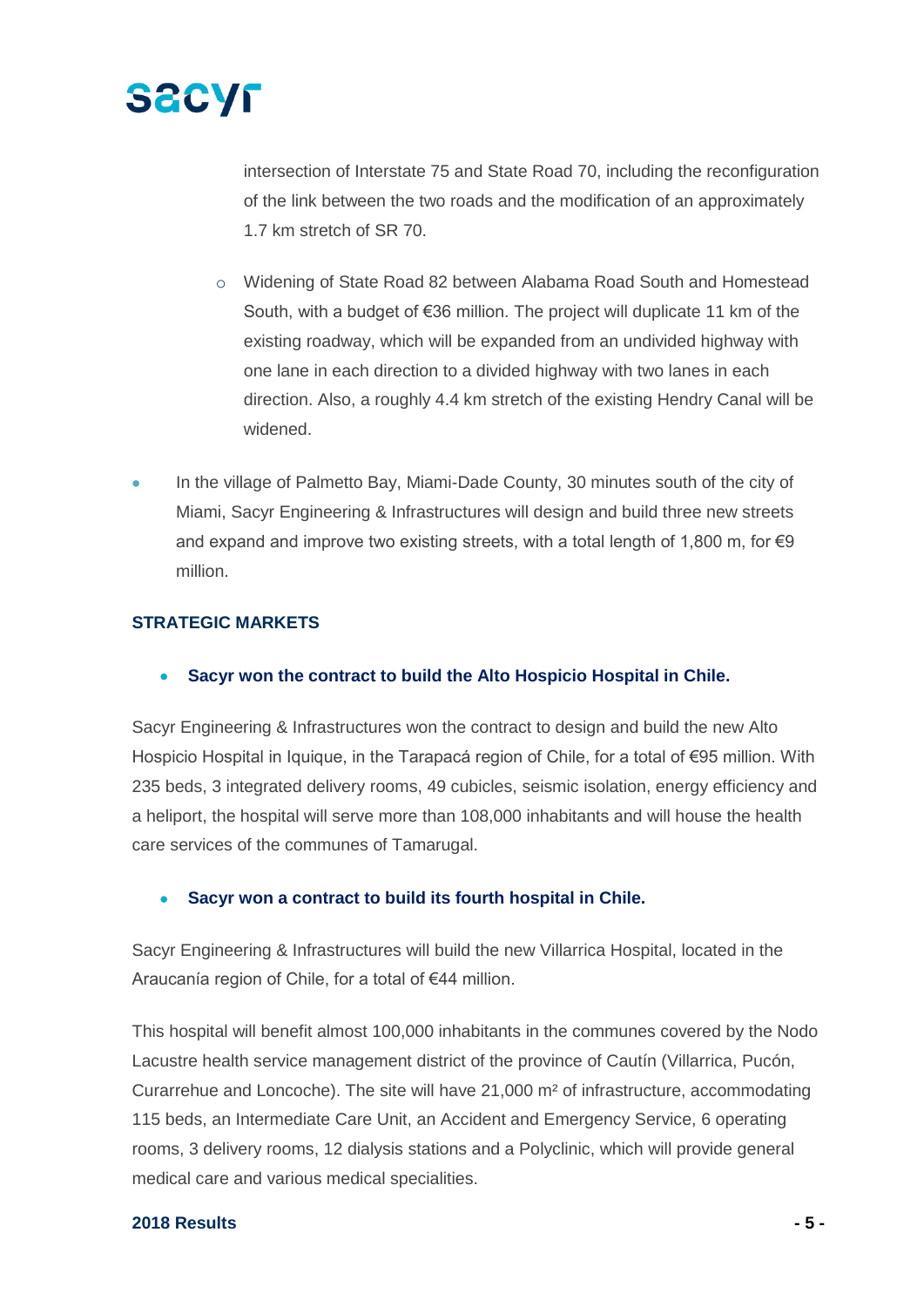

intersection of Interstate 75 and State Road 70, including the reconfiguration of the link between the two roads and the modification of an approximately 1.7 km stretch of SR 70.

- o Widening of State Road 82 between Alabama Road South and Homestead South, with a budget of €36 million. The project will duplicate 11 km of the existing roadway, which will be expanded from an undivided highway with one lane in each direction to a divided highway with two lanes in each direction. Also, a roughly 4.4 km stretch of the existing Hendry Canal will be widened.
- In the village of Palmetto Bay, Miami-Dade County, 30 minutes south of the city of Miami, Sacyr Engineering & Infrastructures will design and build three new streets and expand and improve two existing streets, with a total length of 1,800 m, for  $\epsilon$ 9 million.

#### **STRATEGIC MARKETS**

#### • **Sacyr won the contract to build the Alto Hospicio Hospital in Chile.**

Sacyr Engineering & Infrastructures won the contract to design and build the new Alto Hospicio Hospital in Iquique, in the Tarapacá region of Chile, for a total of €95 million. With 235 beds, 3 integrated delivery rooms, 49 cubicles, seismic isolation, energy efficiency and a heliport, the hospital will serve more than 108,000 inhabitants and will house the health care services of the communes of Tamarugal.

#### • **Sacyr won a contract to build its fourth hospital in Chile.**

Sacyr Engineering & Infrastructures will build the new Villarrica Hospital, located in the Araucanía region of Chile, for a total of €44 million.

This hospital will benefit almost 100,000 inhabitants in the communes covered by the Nodo Lacustre health service management district of the province of Cautín (Villarrica, Pucón, Curarrehue and Loncoche). The site will have 21,000 m² of infrastructure, accommodating 115 beds, an Intermediate Care Unit, an Accident and Emergency Service, 6 operating rooms, 3 delivery rooms, 12 dialysis stations and a Polyclinic, which will provide general medical care and various medical specialities.

#### **2018 Results - 5 -**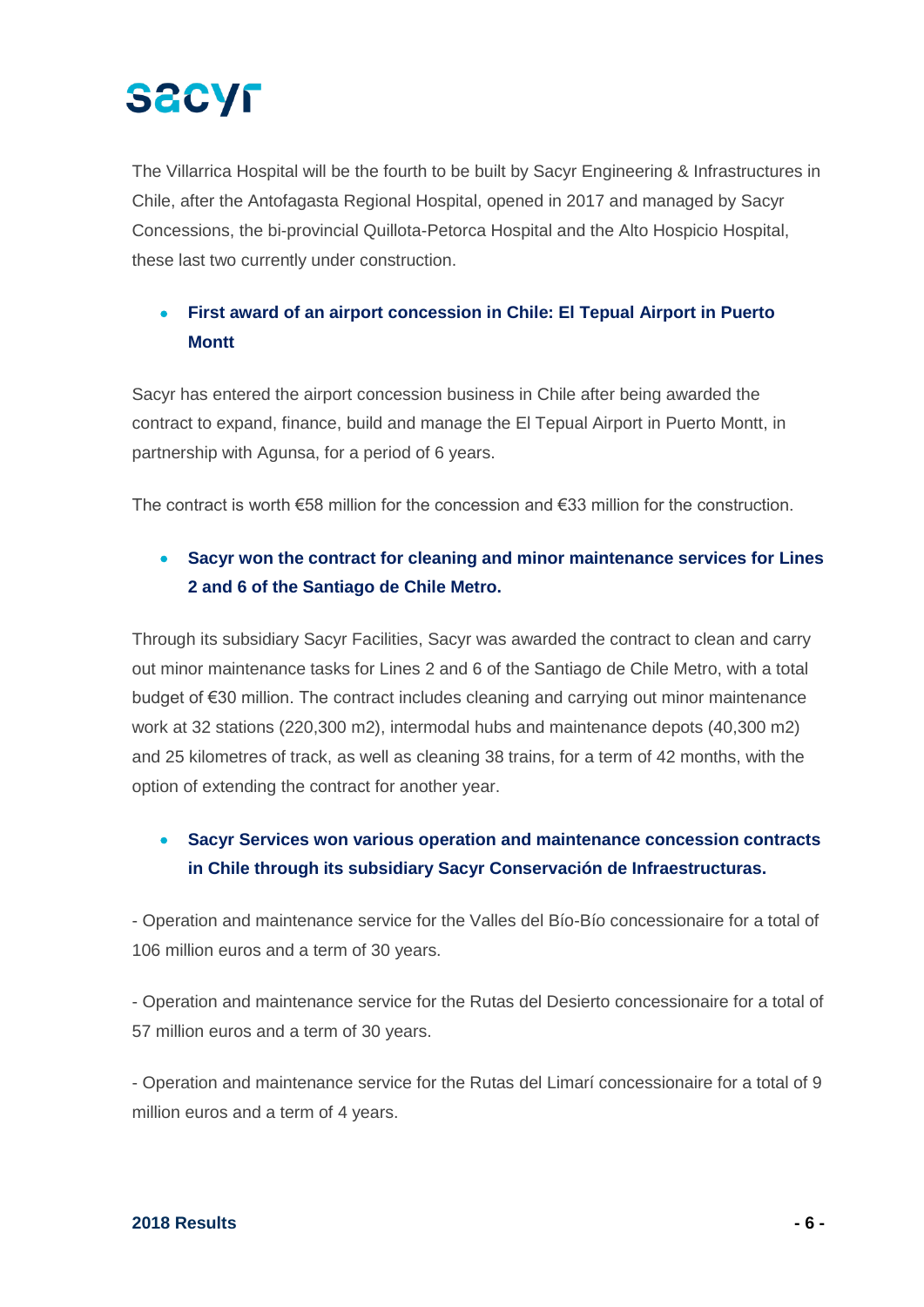# **SACYF**

The Villarrica Hospital will be the fourth to be built by Sacyr Engineering & Infrastructures in Chile, after the Antofagasta Regional Hospital, opened in 2017 and managed by Sacyr Concessions, the bi-provincial Quillota-Petorca Hospital and the Alto Hospicio Hospital, these last two currently under construction.

### • **First award of an airport concession in Chile: El Tepual Airport in Puerto Montt**

Sacyr has entered the airport concession business in Chile after being awarded the contract to expand, finance, build and manage the El Tepual Airport in Puerto Montt, in partnership with Agunsa, for a period of 6 years.

The contract is worth €58 million for the concession and €33 million for the construction.

### • **Sacyr won the contract for cleaning and minor maintenance services for Lines 2 and 6 of the Santiago de Chile Metro.**

Through its subsidiary Sacyr Facilities, Sacyr was awarded the contract to clean and carry out minor maintenance tasks for Lines 2 and 6 of the Santiago de Chile Metro, with a total budget of €30 million. The contract includes cleaning and carrying out minor maintenance work at 32 stations (220,300 m2), intermodal hubs and maintenance depots (40,300 m2) and 25 kilometres of track, as well as cleaning 38 trains, for a term of 42 months, with the option of extending the contract for another year.

### • **Sacyr Services won various operation and maintenance concession contracts in Chile through its subsidiary Sacyr Conservación de Infraestructuras.**

- Operation and maintenance service for the Valles del Bío-Bío concessionaire for a total of 106 million euros and a term of 30 years.

- Operation and maintenance service for the Rutas del Desierto concessionaire for a total of 57 million euros and a term of 30 years.

- Operation and maintenance service for the Rutas del Limarí concessionaire for a total of 9 million euros and a term of 4 years.

#### **2018 Results - 6 -**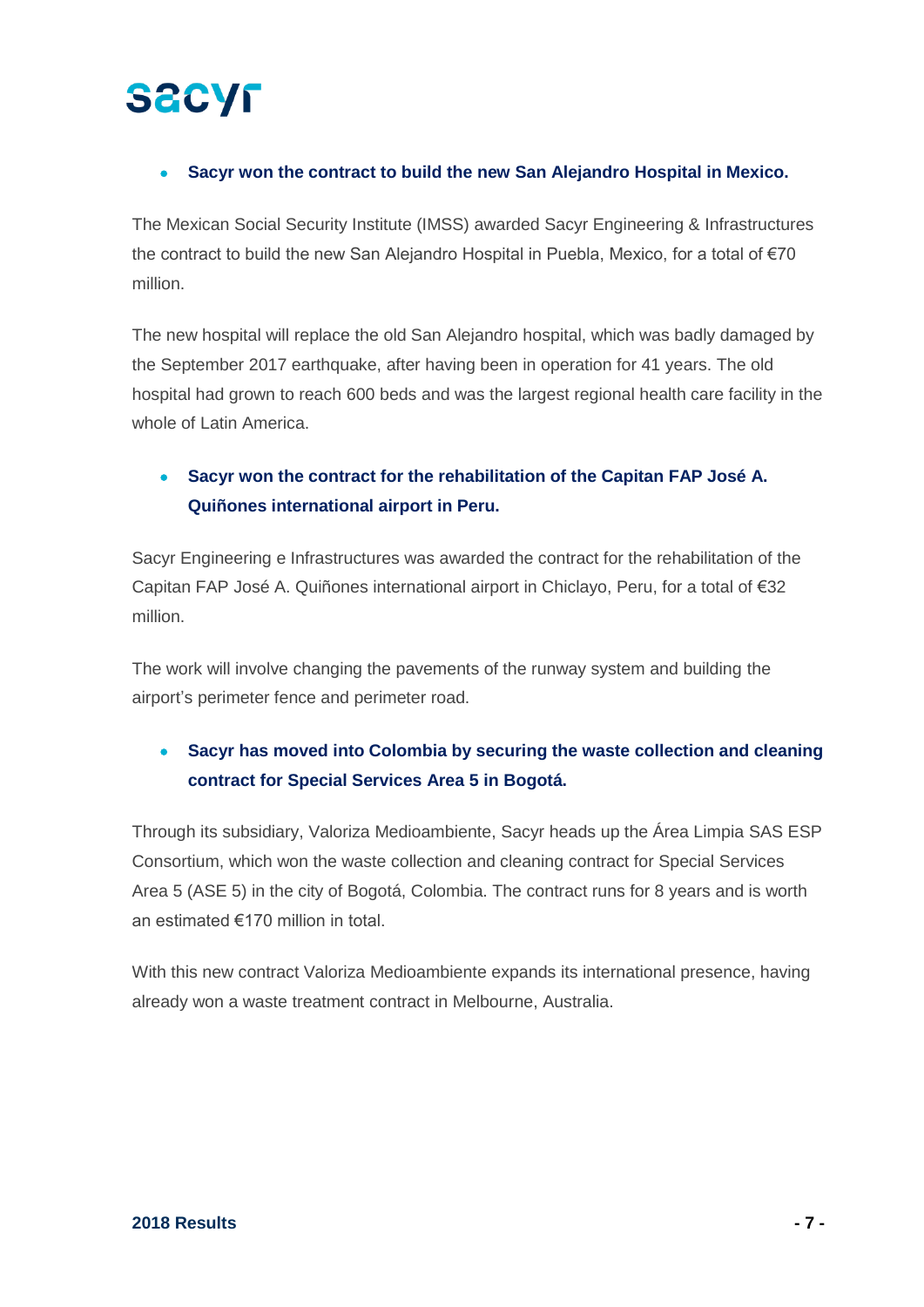#### • **Sacyr won the contract to build the new San Alejandro Hospital in Mexico.**

The Mexican Social Security Institute (IMSS) awarded Sacyr Engineering & Infrastructures the contract to build the new San Alejandro Hospital in Puebla, Mexico, for a total of €70 million.

The new hospital will replace the old San Alejandro hospital, which was badly damaged by the September 2017 earthquake, after having been in operation for 41 years. The old hospital had grown to reach 600 beds and was the largest regional health care facility in the whole of Latin America.

### • **Sacyr won the contract for the rehabilitation of the Capitan FAP José A. Quiñones international airport in Peru.**

Sacyr Engineering e Infrastructures was awarded the contract for the rehabilitation of the Capitan FAP José A. Quiñones international airport in Chiclayo, Peru, for a total of €32 million.

The work will involve changing the pavements of the runway system and building the airport's perimeter fence and perimeter road.

## • **Sacyr has moved into Colombia by securing the waste collection and cleaning contract for Special Services Area 5 in Bogotá.**

Through its subsidiary, Valoriza Medioambiente, Sacyr heads up the Área Limpia SAS ESP Consortium, which won the waste collection and cleaning contract for Special Services Area 5 (ASE 5) in the city of Bogotá, Colombia. The contract runs for 8 years and is worth an estimated €170 million in total.

With this new contract Valoriza Medioambiente expands its international presence, having already won a waste treatment contract in Melbourne, Australia.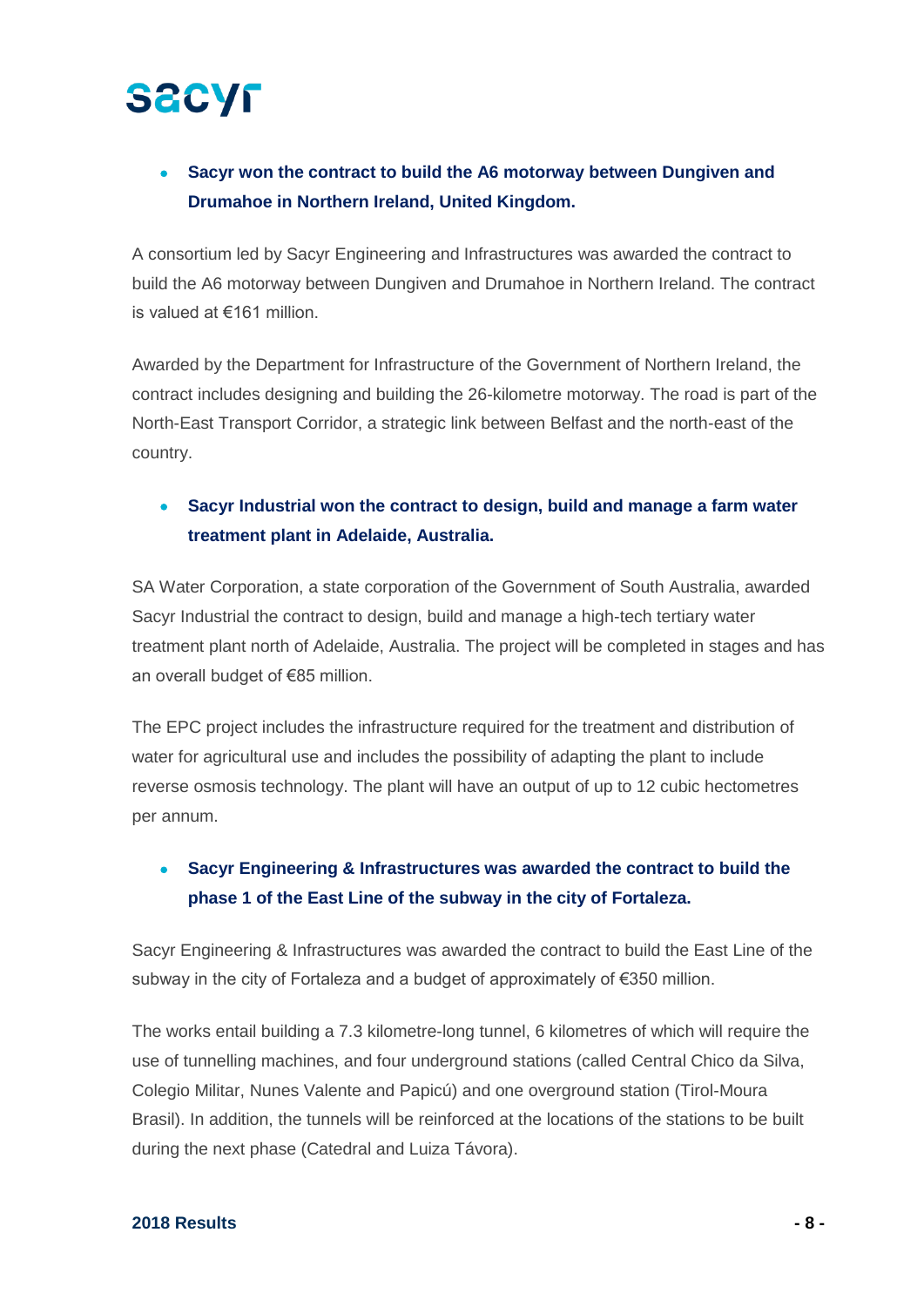### • **Sacyr won the contract to build the A6 motorway between Dungiven and Drumahoe in Northern Ireland, United Kingdom.**

A consortium led by Sacyr Engineering and Infrastructures was awarded the contract to build the A6 motorway between Dungiven and Drumahoe in Northern Ireland. The contract is valued at €161 million.

Awarded by the Department for Infrastructure of the Government of Northern Ireland, the contract includes designing and building the 26-kilometre motorway. The road is part of the North-East Transport Corridor, a strategic link between Belfast and the north-east of the country.

### • **Sacyr Industrial won the contract to design, build and manage a farm water treatment plant in Adelaide, Australia.**

SA Water Corporation, a state corporation of the Government of South Australia, awarded Sacyr Industrial the contract to design, build and manage a high-tech tertiary water treatment plant north of Adelaide, Australia. The project will be completed in stages and has an overall budget of €85 million.

The EPC project includes the infrastructure required for the treatment and distribution of water for agricultural use and includes the possibility of adapting the plant to include reverse osmosis technology. The plant will have an output of up to 12 cubic hectometres per annum.

### • **Sacyr Engineering & Infrastructures was awarded the contract to build the phase 1 of the East Line of the subway in the city of Fortaleza.**

Sacyr Engineering & Infrastructures was awarded the contract to build the East Line of the subway in the city of Fortaleza and a budget of approximately of  $\epsilon$ 350 million.

The works entail building a 7.3 kilometre-long tunnel, 6 kilometres of which will require the use of tunnelling machines, and four underground stations (called Central Chico da Silva, Colegio Militar, Nunes Valente and Papicú) and one overground station (Tirol-Moura Brasil). In addition, the tunnels will be reinforced at the locations of the stations to be built during the next phase (Catedral and Luiza Távora).

#### **2018 Results - 8 -**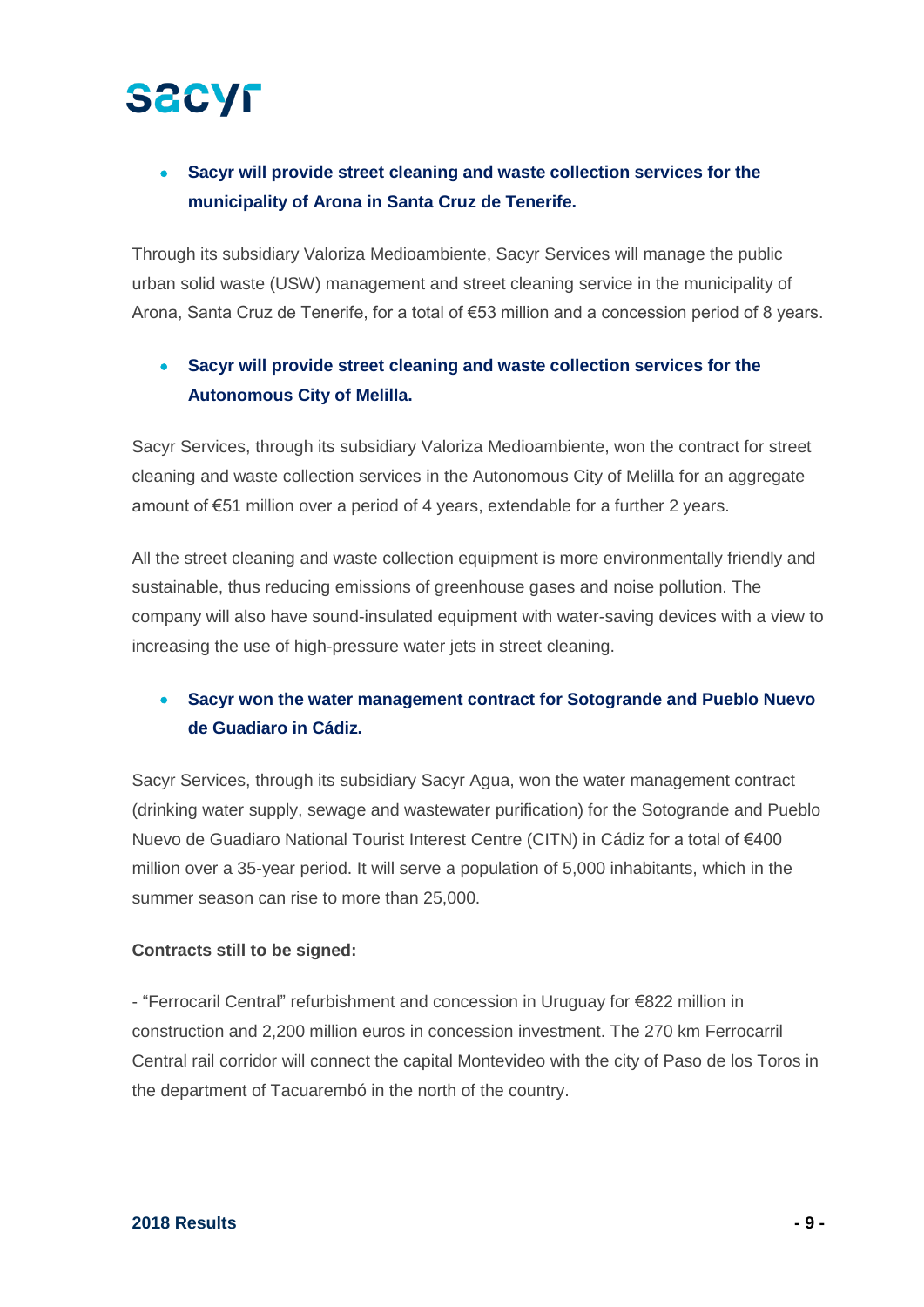### • **Sacyr will provide street cleaning and waste collection services for the municipality of Arona in Santa Cruz de Tenerife.**

Through its subsidiary Valoriza Medioambiente, Sacyr Services will manage the public urban solid waste (USW) management and street cleaning service in the municipality of Arona, Santa Cruz de Tenerife, for a total of €53 million and a concession period of 8 years.

### • **Sacyr will provide street cleaning and waste collection services for the Autonomous City of Melilla.**

Sacyr Services, through its subsidiary Valoriza Medioambiente, won the contract for street cleaning and waste collection services in the Autonomous City of Melilla for an aggregate amount of €51 million over a period of 4 years, extendable for a further 2 years.

All the street cleaning and waste collection equipment is more environmentally friendly and sustainable, thus reducing emissions of greenhouse gases and noise pollution. The company will also have sound-insulated equipment with water-saving devices with a view to increasing the use of high-pressure water jets in street cleaning.

### • **Sacyr won the water management contract for Sotogrande and Pueblo Nuevo de Guadiaro in Cádiz.**

Sacyr Services, through its subsidiary Sacyr Agua, won the water management contract (drinking water supply, sewage and wastewater purification) for the Sotogrande and Pueblo Nuevo de Guadiaro National Tourist Interest Centre (CITN) in Cádiz for a total of €400 million over a 35-year period. It will serve a population of 5,000 inhabitants, which in the summer season can rise to more than 25,000.

#### **Contracts still to be signed:**

- "Ferrocaril Central" refurbishment and concession in Uruguay for €822 million in construction and 2,200 million euros in concession investment. The 270 km Ferrocarril Central rail corridor will connect the capital Montevideo with the city of Paso de los Toros in the department of Tacuarembó in the north of the country.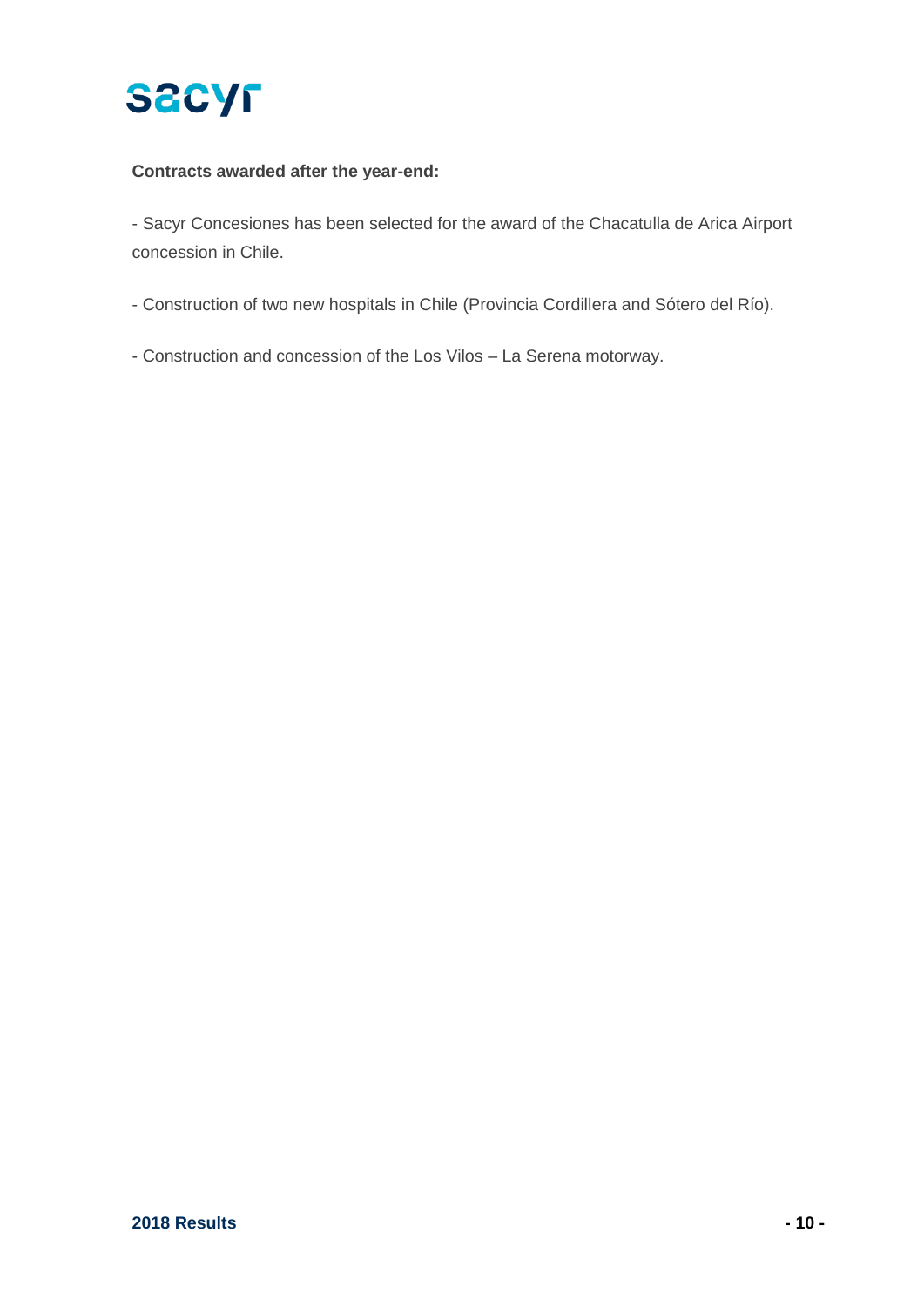

#### **Contracts awarded after the year-end:**

- Sacyr Concesiones has been selected for the award of the Chacatulla de Arica Airport concession in Chile.

- Construction of two new hospitals in Chile (Provincia Cordillera and Sótero del Río).

- Construction and concession of the Los Vilos – La Serena motorway.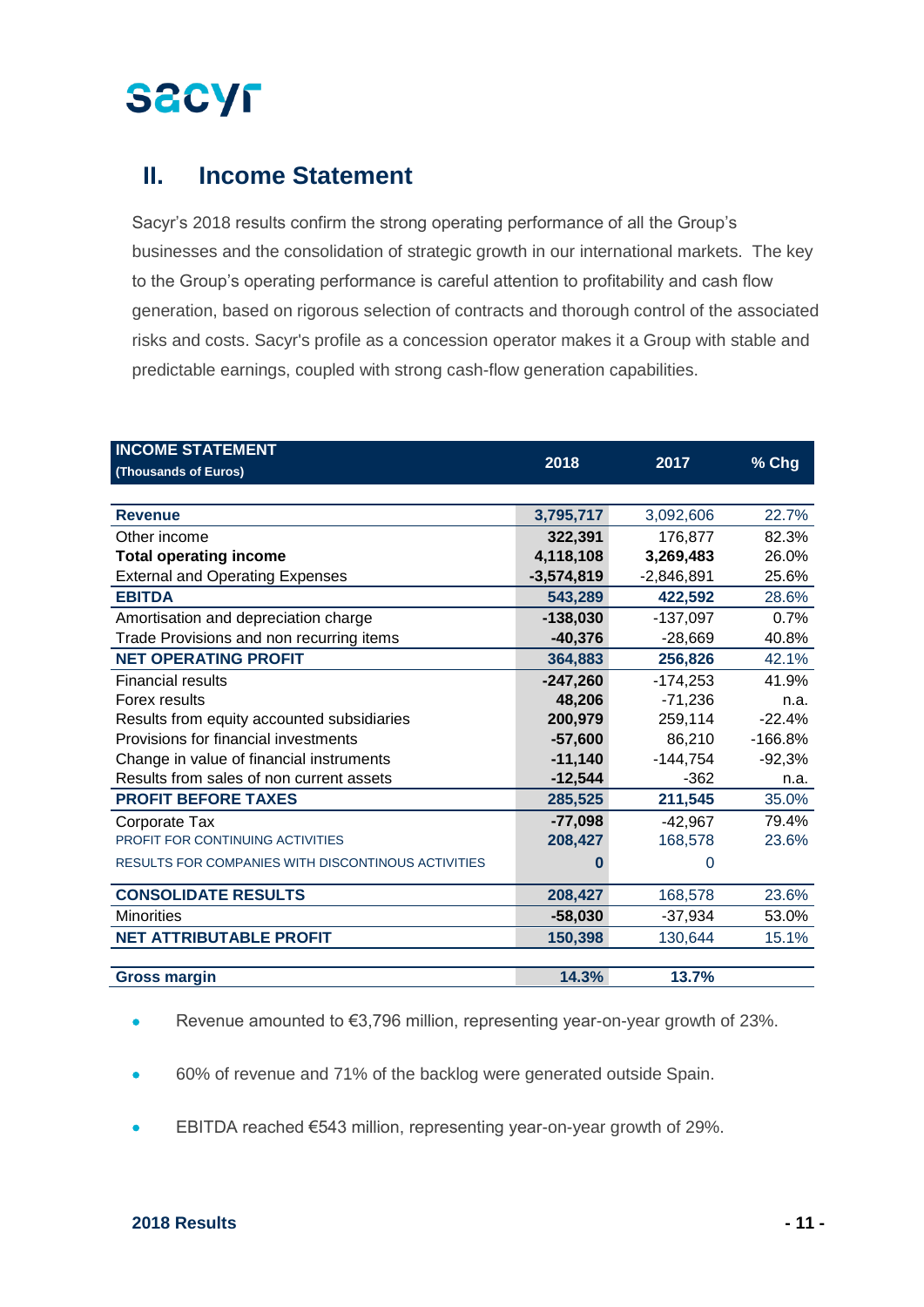## **II. Income Statement**

Sacyr's 2018 results confirm the strong operating performance of all the Group's businesses and the consolidation of strategic growth in our international markets. The key to the Group's operating performance is careful attention to profitability and cash flow generation, based on rigorous selection of contracts and thorough control of the associated risks and costs. Sacyr's profile as a concession operator makes it a Group with stable and predictable earnings, coupled with strong cash-flow generation capabilities.

| <b>INCOME STATEMENT</b>                            |              |              |           |
|----------------------------------------------------|--------------|--------------|-----------|
| (Thousands of Euros)                               | 2018         | 2017         | % Chg     |
|                                                    |              |              |           |
| <b>Revenue</b>                                     | 3,795,717    | 3,092,606    | 22.7%     |
| Other income                                       | 322,391      | 176,877      | 82.3%     |
| <b>Total operating income</b>                      | 4,118,108    | 3,269,483    | 26.0%     |
| <b>External and Operating Expenses</b>             | $-3,574,819$ | $-2,846,891$ | 25.6%     |
| <b>EBITDA</b>                                      | 543,289      | 422,592      | 28.6%     |
| Amortisation and depreciation charge               | $-138,030$   | $-137,097$   | 0.7%      |
| Trade Provisions and non recurring items           | $-40,376$    | $-28,669$    | 40.8%     |
| <b>NET OPERATING PROFIT</b>                        | 364,883      | 256,826      | 42.1%     |
| <b>Financial results</b>                           | $-247,260$   | $-174,253$   | 41.9%     |
| Forex results                                      | 48,206       | $-71,236$    | n.a.      |
| Results from equity accounted subsidiaries         | 200,979      | 259,114      | $-22.4%$  |
| Provisions for financial investments               | $-57,600$    | 86,210       | $-166.8%$ |
| Change in value of financial instruments           | $-11,140$    | -144,754     | $-92,3%$  |
| Results from sales of non current assets           | $-12,544$    | $-362$       | n.a.      |
| <b>PROFIT BEFORE TAXES</b>                         | 285,525      | 211,545      | 35.0%     |
| Corporate Tax                                      | $-77,098$    | $-42,967$    | 79.4%     |
| PROFIT FOR CONTINUING ACTIVITIES                   | 208,427      | 168,578      | 23.6%     |
| RESULTS FOR COMPANIES WITH DISCONTINOUS ACTIVITIES | n            | 0            |           |
| <b>CONSOLIDATE RESULTS</b>                         | 208,427      | 168,578      | 23.6%     |
| <b>Minorities</b>                                  | $-58,030$    | $-37,934$    | 53.0%     |
| <b>NET ATTRIBUTABLE PROFIT</b>                     | 150,398      | 130,644      | 15.1%     |
|                                                    |              |              |           |
| <b>Gross margin</b>                                | 14.3%        | 13.7%        |           |

Revenue amounted to €3,796 million, representing year-on-year growth of 23%.

- 60% of revenue and 71% of the backlog were generated outside Spain.
- EBITDA reached €543 million, representing year-on-year growth of 29%.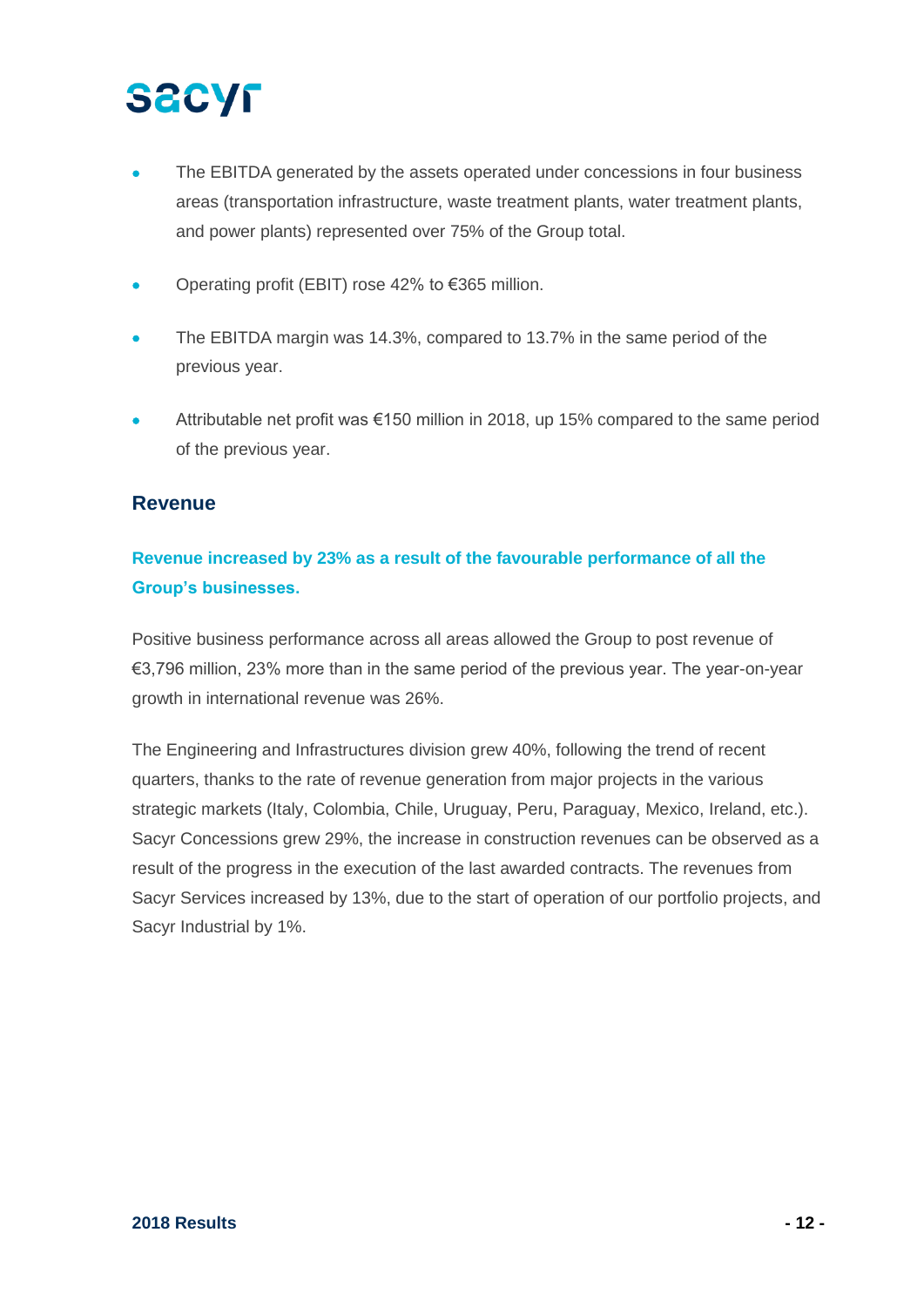## **SACYF**

- The EBITDA generated by the assets operated under concessions in four business areas (transportation infrastructure, waste treatment plants, water treatment plants, and power plants) represented over 75% of the Group total.
- Operating profit (EBIT) rose 42% to €365 million.
- The EBITDA margin was 14.3%, compared to 13.7% in the same period of the previous year.
- Attributable net profit was  $\epsilon$ 150 million in 2018, up 15% compared to the same period of the previous year.

### **Revenue**

### **Revenue increased by 23% as a result of the favourable performance of all the Group's businesses.**

Positive business performance across all areas allowed the Group to post revenue of €3,796 million, 23% more than in the same period of the previous year. The year-on-year growth in international revenue was 26%.

The Engineering and Infrastructures division grew 40%, following the trend of recent quarters, thanks to the rate of revenue generation from major projects in the various strategic markets (Italy, Colombia, Chile, Uruguay, Peru, Paraguay, Mexico, Ireland, etc.). Sacyr Concessions grew 29%, the increase in construction revenues can be observed as a result of the progress in the execution of the last awarded contracts. The revenues from Sacyr Services increased by 13%, due to the start of operation of our portfolio projects, and Sacyr Industrial by 1%.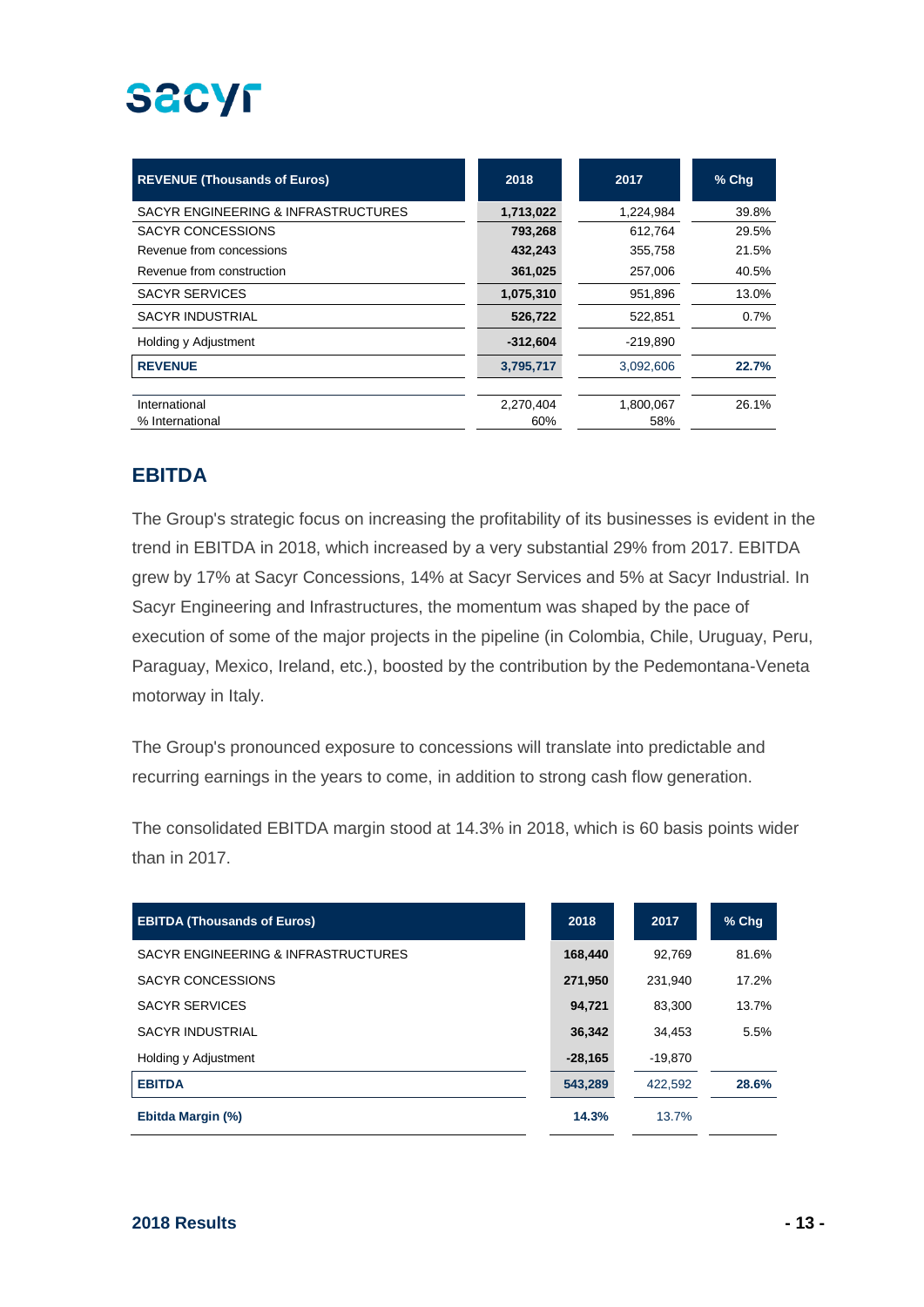# **SACYF**

| <b>REVENUE (Thousands of Euros)</b> | 2018       | 2017       | $%$ Chq |
|-------------------------------------|------------|------------|---------|
| SACYR ENGINEERING & INFRASTRUCTURES | 1,713,022  | 1,224,984  | 39.8%   |
| <b>SACYR CONCESSIONS</b>            | 793,268    | 612.764    | 29.5%   |
| Revenue from concessions            | 432,243    | 355,758    | 21.5%   |
| Revenue from construction           | 361,025    | 257,006    | 40.5%   |
| <b>SACYR SERVICES</b>               | 1,075,310  | 951,896    | 13.0%   |
| <b>SACYR INDUSTRIAL</b>             | 526,722    | 522,851    | 0.7%    |
| Holding y Adjustment                | $-312,604$ | $-219,890$ |         |
| <b>REVENUE</b>                      | 3,795,717  | 3,092,606  | 22.7%   |
|                                     |            |            |         |
| International                       | 2,270,404  | 1,800,067  | 26.1%   |
| % International                     | 60%        | 58%        |         |

### **EBITDA**

The Group's strategic focus on increasing the profitability of its businesses is evident in the trend in EBITDA in 2018, which increased by a very substantial 29% from 2017. EBITDA grew by 17% at Sacyr Concessions, 14% at Sacyr Services and 5% at Sacyr Industrial. In Sacyr Engineering and Infrastructures, the momentum was shaped by the pace of execution of some of the major projects in the pipeline (in Colombia, Chile, Uruguay, Peru, Paraguay, Mexico, Ireland, etc.), boosted by the contribution by the Pedemontana-Veneta motorway in Italy.

The Group's pronounced exposure to concessions will translate into predictable and recurring earnings in the years to come, in addition to strong cash flow generation.

The consolidated EBITDA margin stood at 14.3% in 2018, which is 60 basis points wider than in 2017.

| <b>EBITDA (Thousands of Euros)</b>  | 2018      | 2017    | $%$ Chq |
|-------------------------------------|-----------|---------|---------|
| SACYR ENGINEERING & INFRASTRUCTURES | 168,440   | 92.769  | 81.6%   |
| <b>SACYR CONCESSIONS</b>            | 271,950   | 231.940 | 17.2%   |
| <b>SACYR SERVICES</b>               | 94,721    | 83.300  | 13.7%   |
| SACYR INDUSTRIAL                    | 36,342    | 34.453  | 5.5%    |
| Holding y Adjustment                | $-28,165$ | -19,870 |         |
| <b>EBITDA</b>                       | 543,289   | 422,592 | 28.6%   |
| Ebitda Margin (%)                   | 14.3%     | 13.7%   |         |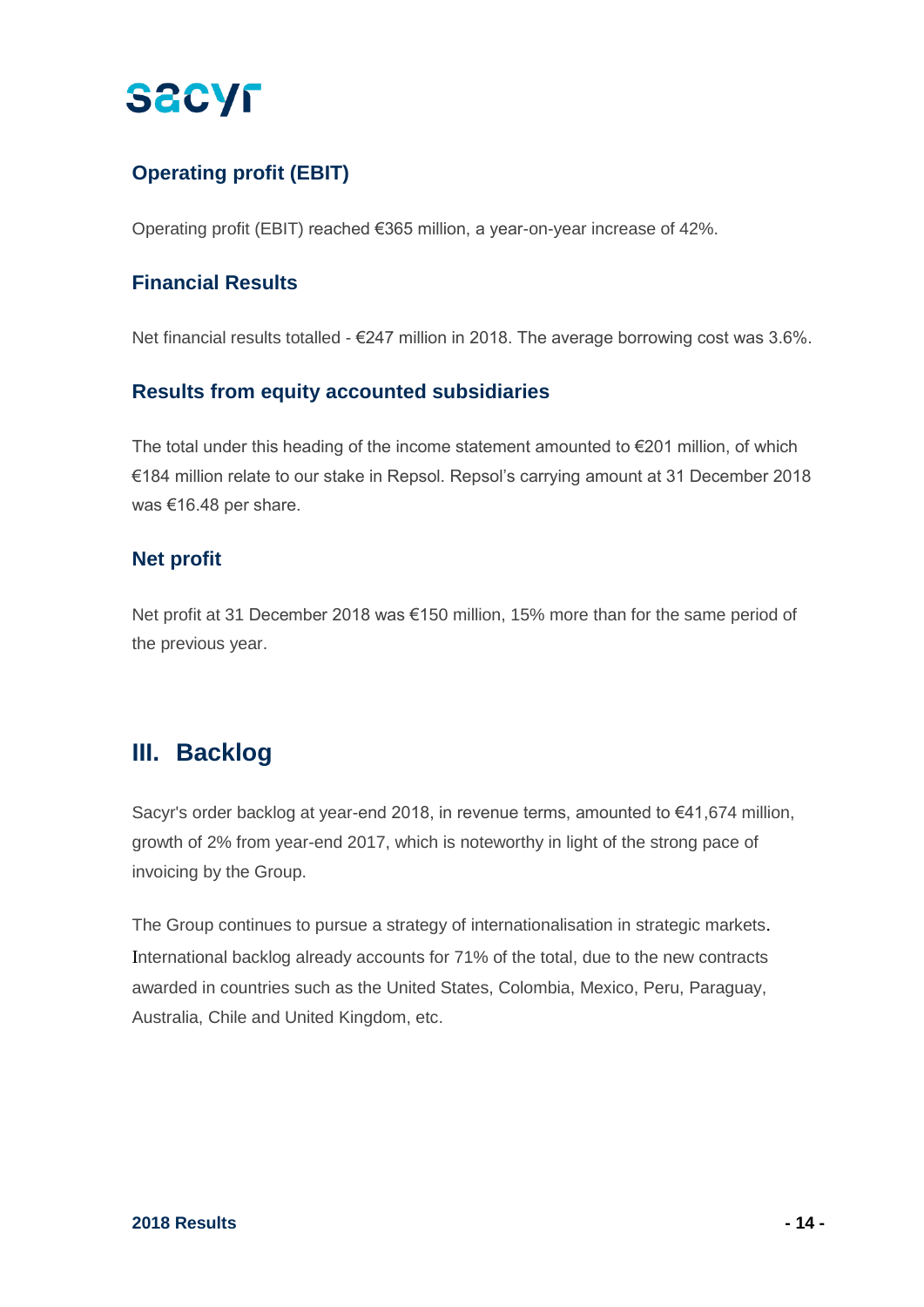## **Operating profit (EBIT)**

Operating profit (EBIT) reached €365 million, a year-on-year increase of 42%.

### **Financial Results**

Net financial results totalled - €247 million in 2018. The average borrowing cost was 3.6%.

### **Results from equity accounted subsidiaries**

The total under this heading of the income statement amounted to €201 million, of which €184 million relate to our stake in Repsol. Repsol's carrying amount at 31 December 2018 was €16.48 per share.

### **Net profit**

Net profit at 31 December 2018 was €150 million, 15% more than for the same period of the previous year.

## **III. Backlog**

Sacyr's order backlog at year-end 2018, in revenue terms, amounted to €41,674 million, growth of 2% from year-end 2017, which is noteworthy in light of the strong pace of invoicing by the Group.

The Group continues to pursue a strategy of internationalisation in strategic markets. International backlog already accounts for 71% of the total, due to the new contracts awarded in countries such as the United States, Colombia, Mexico, Peru, Paraguay, Australia, Chile and United Kingdom, etc.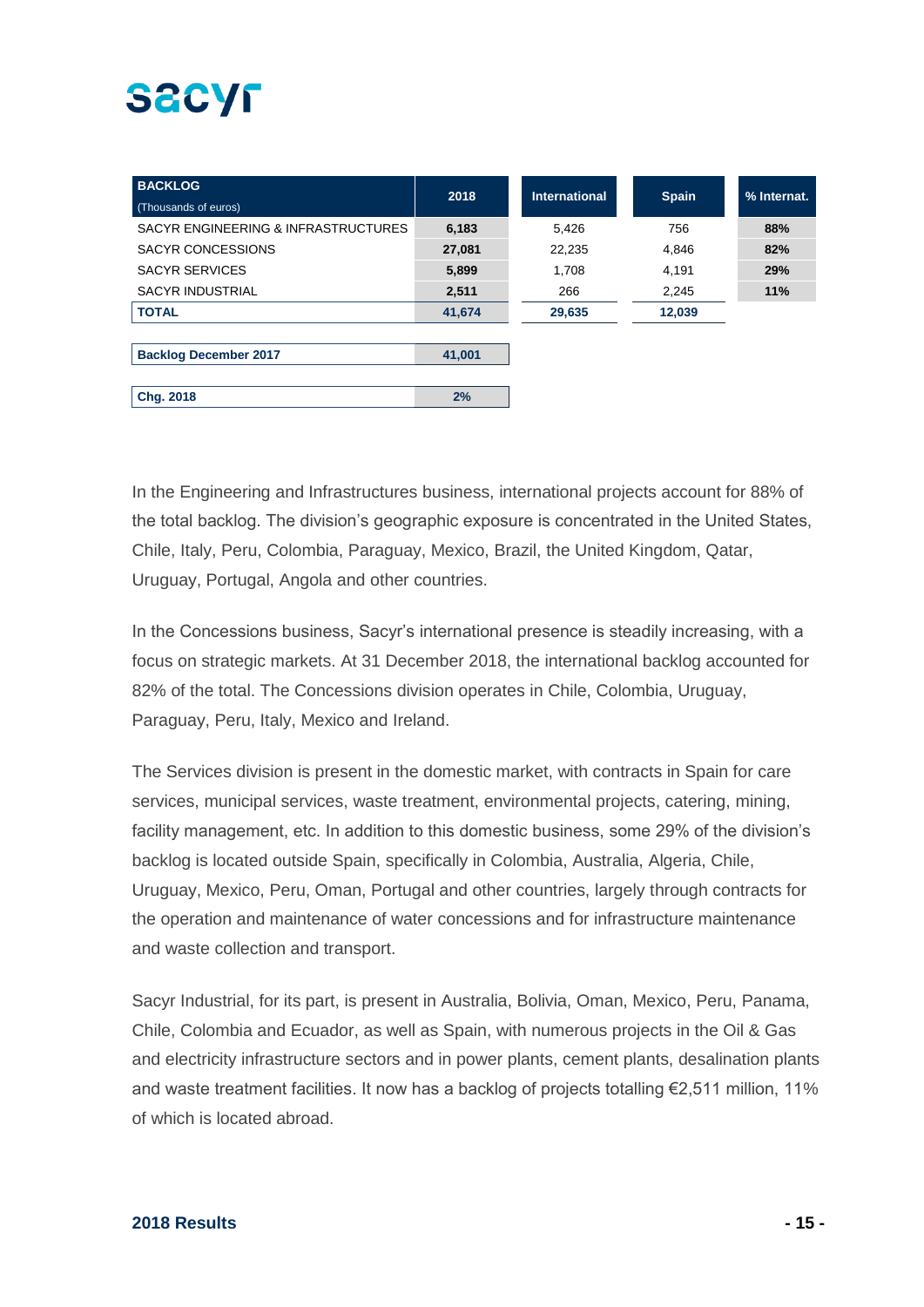| <b>BACKLOG</b><br>(Thousands of euros) | 2018   | <b>International</b> | <b>Spain</b> | % Internat. |
|----------------------------------------|--------|----------------------|--------------|-------------|
| SACYR ENGINEERING & INFRASTRUCTURES    | 6,183  | 5,426                | 756          | 88%         |
| <b>SACYR CONCESSIONS</b>               | 27,081 | 22,235               | 4,846        | 82%         |
| <b>SACYR SERVICES</b>                  | 5,899  | 1,708                | 4,191        | 29%         |
| <b>SACYR INDUSTRIAL</b>                | 2,511  | 266                  | 2.245        | 11%         |
| <b>TOTAL</b>                           | 41,674 | 29,635               | 12,039       |             |
|                                        |        |                      |              |             |
| <b>Backlog December 2017</b>           | 41,001 |                      |              |             |
|                                        |        |                      |              |             |
| Chg. 2018                              | 2%     |                      |              |             |

In the Engineering and Infrastructures business, international projects account for 88% of the total backlog. The division's geographic exposure is concentrated in the United States, Chile, Italy, Peru, Colombia, Paraguay, Mexico, Brazil, the United Kingdom, Qatar, Uruguay, Portugal, Angola and other countries.

In the Concessions business, Sacyr's international presence is steadily increasing, with a focus on strategic markets. At 31 December 2018, the international backlog accounted for 82% of the total. The Concessions division operates in Chile, Colombia, Uruguay, Paraguay, Peru, Italy, Mexico and Ireland.

The Services division is present in the domestic market, with contracts in Spain for care services, municipal services, waste treatment, environmental projects, catering, mining, facility management, etc. In addition to this domestic business, some 29% of the division's backlog is located outside Spain, specifically in Colombia, Australia, Algeria, Chile, Uruguay, Mexico, Peru, Oman, Portugal and other countries, largely through contracts for the operation and maintenance of water concessions and for infrastructure maintenance and waste collection and transport.

Sacyr Industrial, for its part, is present in Australia, Bolivia, Oman, Mexico, Peru, Panama, Chile, Colombia and Ecuador, as well as Spain, with numerous projects in the Oil & Gas and electricity infrastructure sectors and in power plants, cement plants, desalination plants and waste treatment facilities. It now has a backlog of projects totalling €2,511 million, 11% of which is located abroad.

#### **2018 Results - 15 -**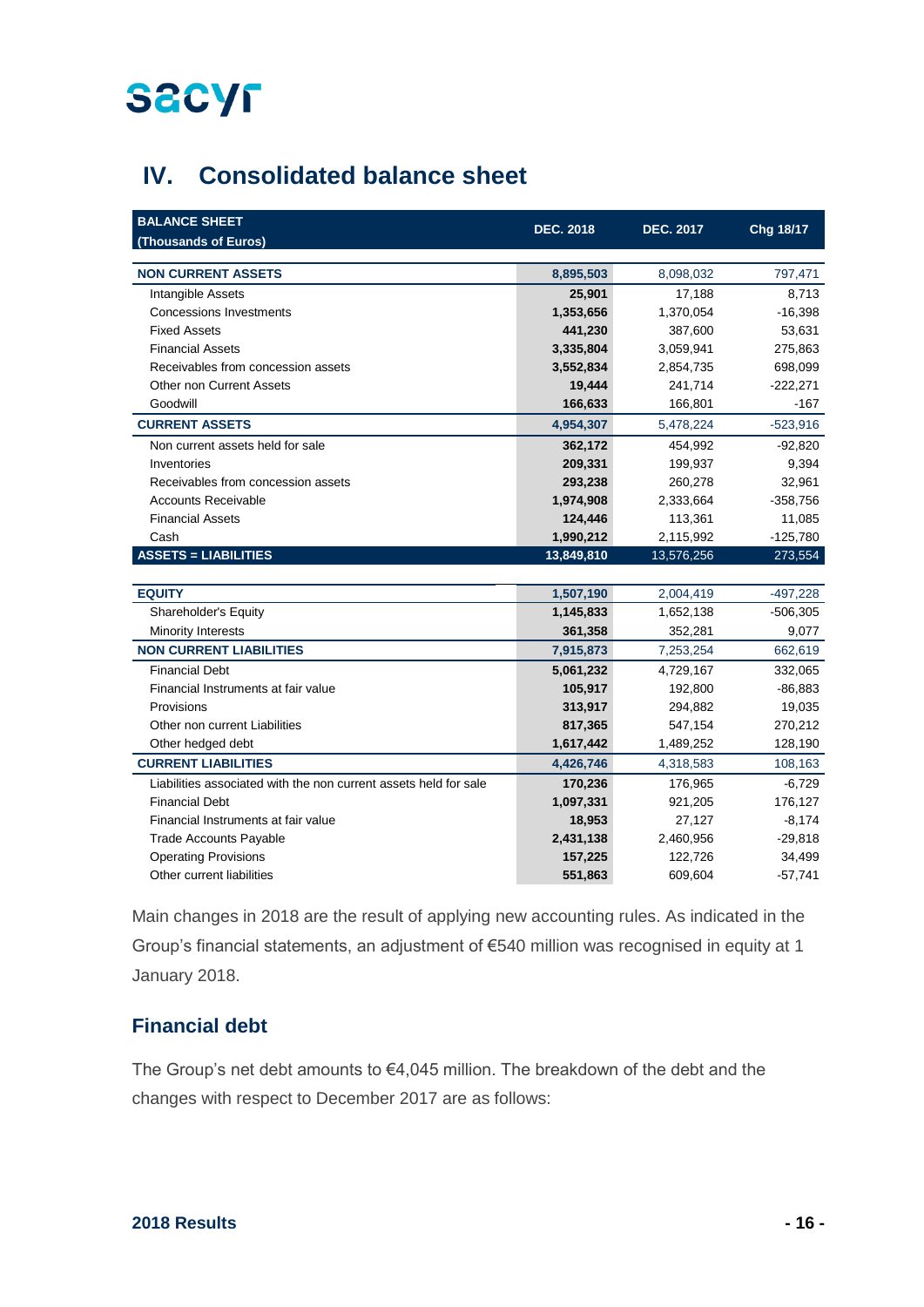

## **IV. Consolidated balance sheet**

| <b>BALANCE SHEET</b><br>(Thousands of Euros)                     | <b>DEC. 2018</b> | <b>DEC. 2017</b> | Chg 18/17  |
|------------------------------------------------------------------|------------------|------------------|------------|
| <b>NON CURRENT ASSETS</b>                                        | 8,895,503        | 8,098,032        | 797,471    |
| Intangible Assets                                                | 25,901           | 17,188           | 8,713      |
| <b>Concessions Investments</b>                                   | 1,353,656        | 1,370,054        | $-16,398$  |
| <b>Fixed Assets</b>                                              | 441,230          | 387,600          | 53,631     |
| <b>Financial Assets</b>                                          | 3,335,804        | 3,059,941        | 275,863    |
| Receivables from concession assets                               | 3,552,834        | 2,854,735        | 698,099    |
| <b>Other non Current Assets</b>                                  | 19,444           | 241,714          | $-222,271$ |
| Goodwill                                                         | 166,633          | 166,801          | $-167$     |
| <b>CURRENT ASSETS</b>                                            | 4,954,307        | 5,478,224        | $-523,916$ |
| Non current assets held for sale                                 | 362,172          | 454,992          | $-92,820$  |
| Inventories                                                      | 209,331          | 199,937          | 9,394      |
| Receivables from concession assets                               | 293,238          | 260,278          | 32,961     |
| <b>Accounts Receivable</b>                                       | 1,974,908        | 2,333,664        | $-358,756$ |
| <b>Financial Assets</b>                                          | 124,446          | 113,361          | 11,085     |
| Cash                                                             | 1,990,212        | 2,115,992        | $-125,780$ |
| <b>ASSETS = LIABILITIES</b>                                      | 13,849,810       | 13,576,256       | 273,554    |
|                                                                  |                  |                  |            |
| <b>EQUITY</b>                                                    | 1,507,190        | 2,004,419        | $-497,228$ |
| Shareholder's Equity                                             | 1,145,833        | 1,652,138        | $-506,305$ |
| Minority Interests                                               | 361,358          | 352,281          | 9,077      |
| <b>NON CURRENT LIABILITIES</b>                                   | 7,915,873        | 7,253,254        | 662,619    |
| <b>Financial Debt</b>                                            | 5,061,232        | 4,729,167        | 332,065    |
| Financial Instruments at fair value                              | 105,917          | 192,800          | $-86,883$  |
| Provisions                                                       | 313,917          | 294,882          | 19,035     |
| Other non current Liabilities                                    | 817,365          | 547,154          | 270,212    |
| Other hedged debt                                                | 1,617,442        | 1,489,252        | 128,190    |
| <b>CURRENT LIABILITIES</b>                                       | 4,426,746        | 4,318,583        | 108,163    |
| Liabilities associated with the non current assets held for sale | 170,236          | 176,965          | $-6,729$   |
| <b>Financial Debt</b>                                            | 1,097,331        | 921,205          | 176,127    |
| Financial Instruments at fair value                              | 18,953           | 27,127           | $-8,174$   |
| <b>Trade Accounts Payable</b>                                    | 2,431,138        | 2,460,956        | $-29,818$  |
| <b>Operating Provisions</b>                                      | 157,225          | 122,726          | 34,499     |
| Other current liabilities                                        | 551,863          | 609,604          | $-57,741$  |

Main changes in 2018 are the result of applying new accounting rules. As indicated in the Group's financial statements, an adjustment of €540 million was recognised in equity at 1 January 2018.

### **Financial debt**

The Group's net debt amounts to €4,045 million. The breakdown of the debt and the changes with respect to December 2017 are as follows: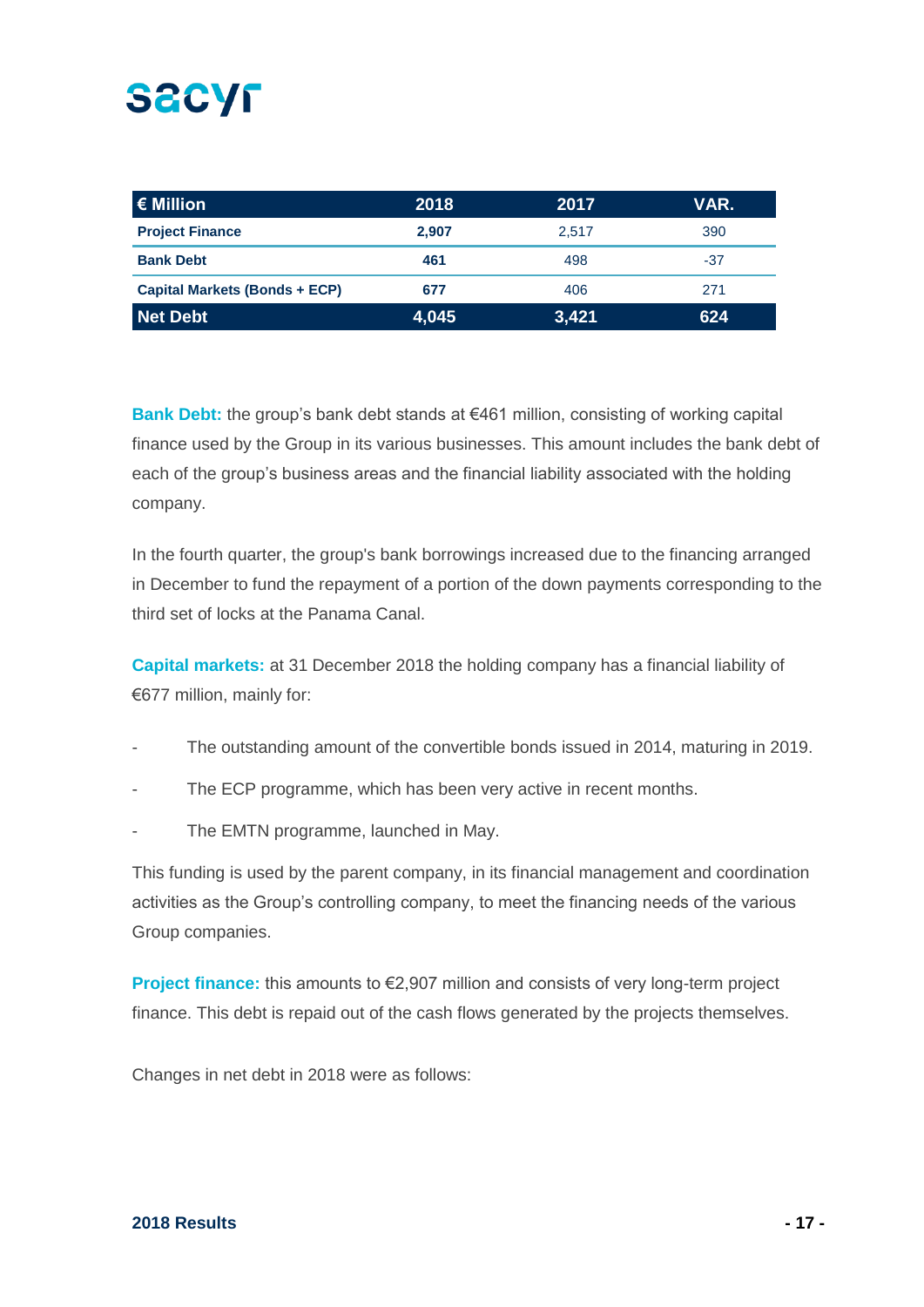| $\epsilon$ Million                   | 2018  | 2017  | VAR.  |
|--------------------------------------|-------|-------|-------|
| <b>Project Finance</b>               | 2.907 | 2.517 | 390   |
| <b>Bank Debt</b>                     | 461   | 498   | $-37$ |
| <b>Capital Markets (Bonds + ECP)</b> | 677   | 406   | 271   |
| Net Debt                             | 4,045 | 3,421 | 624   |

**Bank Debt:** the group's bank debt stands at €461 million, consisting of working capital finance used by the Group in its various businesses. This amount includes the bank debt of each of the group's business areas and the financial liability associated with the holding company.

In the fourth quarter, the group's bank borrowings increased due to the financing arranged in December to fund the repayment of a portion of the down payments corresponding to the third set of locks at the Panama Canal.

**Capital markets:** at 31 December 2018 the holding company has a financial liability of €677 million, mainly for:

- The outstanding amount of the convertible bonds issued in 2014, maturing in 2019.
- The ECP programme, which has been very active in recent months.
- The EMTN programme, launched in May.

This funding is used by the parent company, in its financial management and coordination activities as the Group's controlling company, to meet the financing needs of the various Group companies.

**Project finance:** this amounts to €2,907 million and consists of very long-term project finance. This debt is repaid out of the cash flows generated by the projects themselves.

Changes in net debt in 2018 were as follows:

#### **2018 Results - 17 -**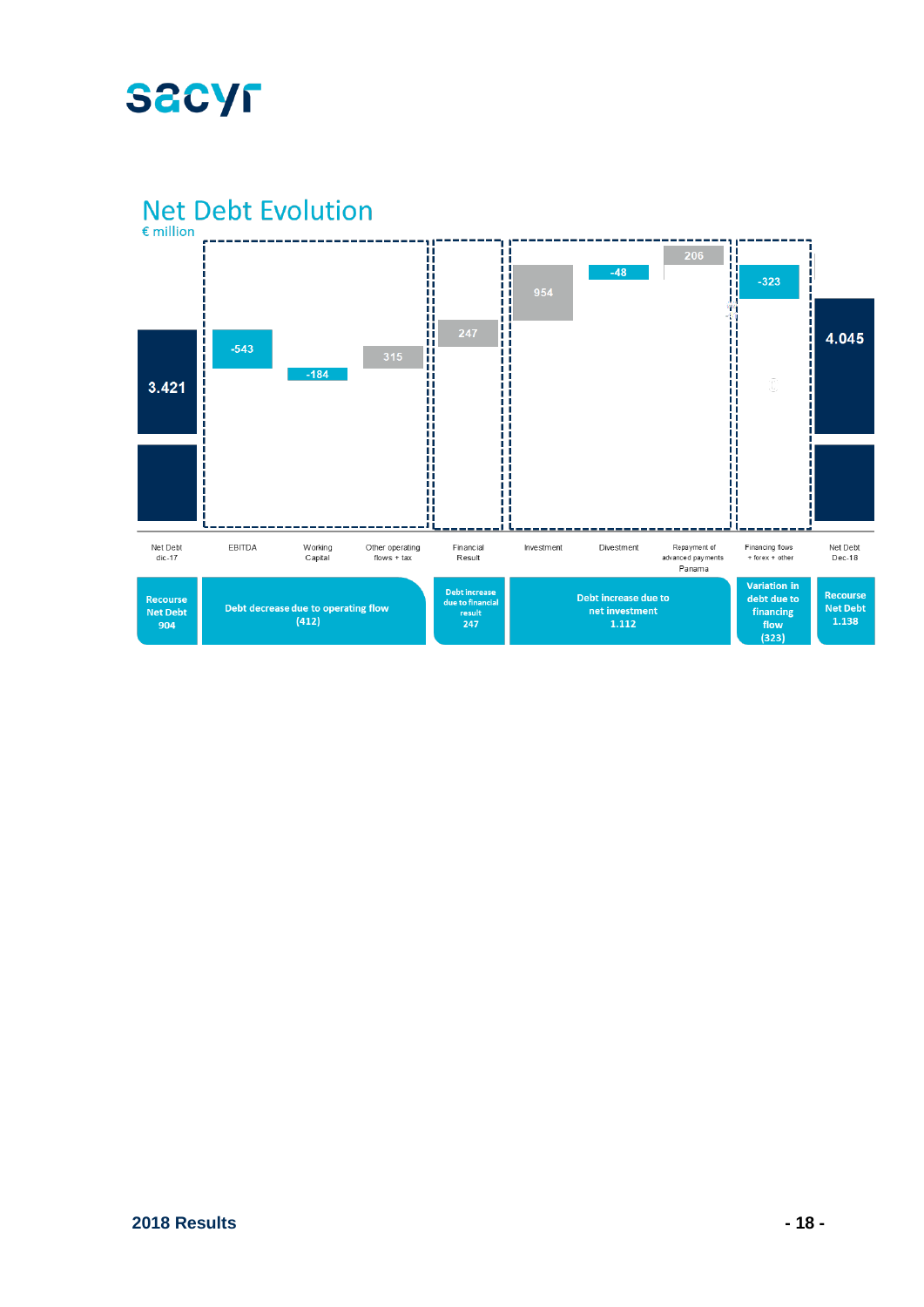

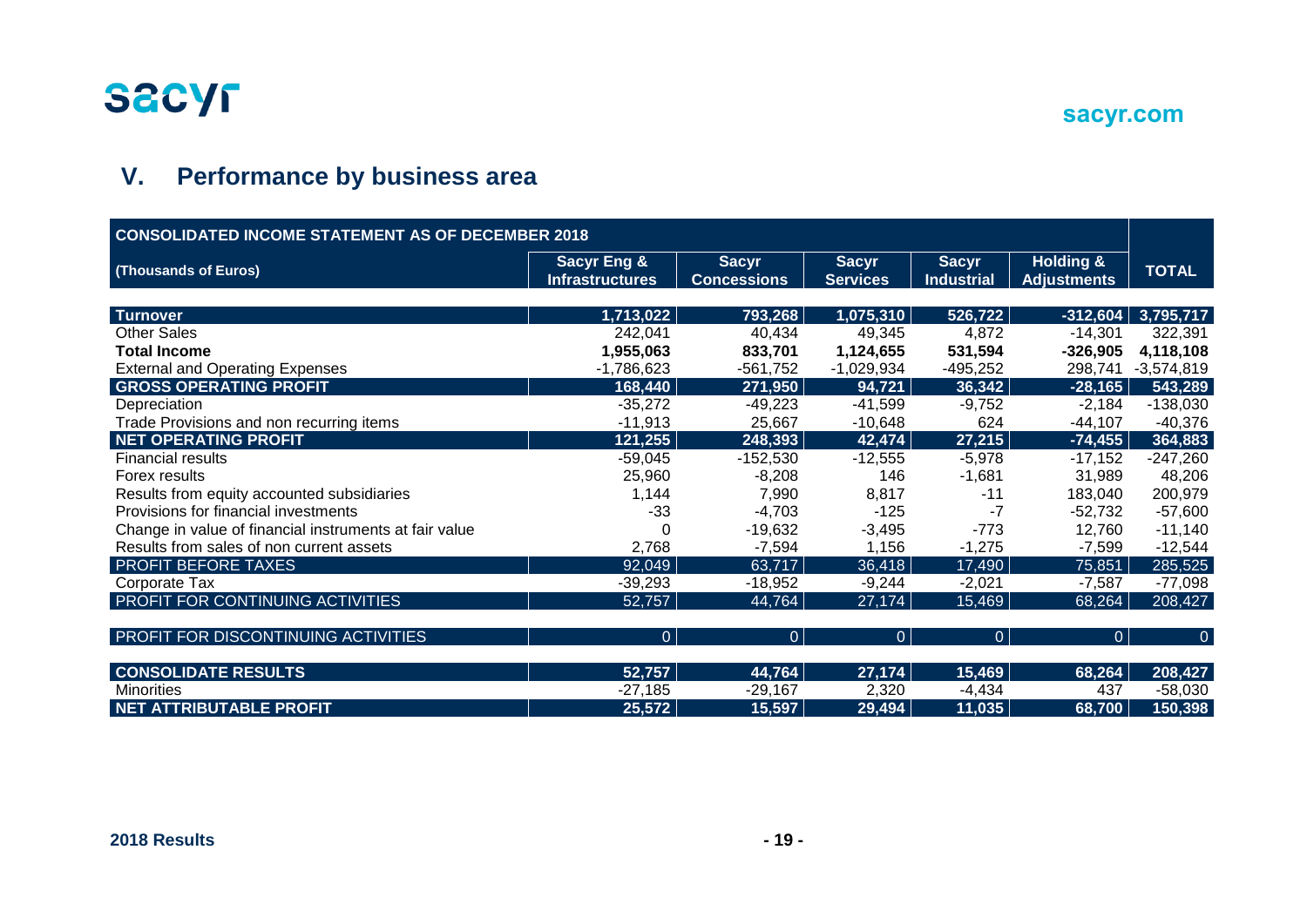

## **V. Performance by business area**

| <b>CONSOLIDATED INCOME STATEMENT AS OF DECEMBER 2018</b> |                                                  |                                    |                                 |                                   |                                            |                |
|----------------------------------------------------------|--------------------------------------------------|------------------------------------|---------------------------------|-----------------------------------|--------------------------------------------|----------------|
| (Thousands of Euros)                                     | <b>Sacyr Eng &amp;</b><br><b>Infrastructures</b> | <b>Sacyr</b><br><b>Concessions</b> | <b>Sacyr</b><br><b>Services</b> | <b>Sacyr</b><br><b>Industrial</b> | <b>Holding &amp;</b><br><b>Adjustments</b> | <b>TOTAL</b>   |
| Turnover                                                 | 1,713,022                                        | 793,268                            | 1,075,310                       | 526,722                           | $-312,604$                                 | 3,795,717      |
| <b>Other Sales</b>                                       | 242,041                                          | 40,434                             | 49,345                          | 4,872                             | $-14,301$                                  | 322,391        |
| <b>Total Income</b>                                      | 1,955,063                                        | 833,701                            | 1,124,655                       | 531,594                           | $-326,905$                                 | 4,118,108      |
| <b>External and Operating Expenses</b>                   | $-1,786,623$                                     | $-561,752$                         | $-1,029,934$                    | $-495,252$                        | 298,741                                    | $-3,574,819$   |
| <b>GROSS OPERATING PROFIT</b>                            | 168,440                                          | 271,950                            | 94,721                          | 36,342                            | $-28,165$                                  | 543,289        |
| Depreciation                                             | $-35,272$                                        | $-49,223$                          | $-41,599$                       | $-9,752$                          | $-2,184$                                   | $-138,030$     |
| Trade Provisions and non recurring items                 | $-11,913$                                        | 25,667                             | $-10,648$                       | 624                               | $-44,107$                                  | $-40,376$      |
| <b>NET OPERATING PROFIT</b>                              | 121,255                                          | 248,393                            | 42,474                          | 27,215                            | $-74,455$                                  | 364,883        |
| <b>Financial results</b>                                 | $-59,045$                                        | $-152,530$                         | $-12,555$                       | $-5,978$                          | $-17,152$                                  | $-247,260$     |
| Forex results                                            | 25,960                                           | $-8,208$                           | 146                             | $-1,681$                          | 31,989                                     | 48,206         |
| Results from equity accounted subsidiaries               | 1,144                                            | 7,990                              | 8,817                           | $-11$                             | 183,040                                    | 200,979        |
| Provisions for financial investments                     | $-33$                                            | $-4,703$                           | $-125$                          | -7                                | $-52,732$                                  | $-57,600$      |
| Change in value of financial instruments at fair value   |                                                  | $-19,632$                          | $-3,495$                        | $-773$                            | 12,760                                     | $-11,140$      |
| Results from sales of non current assets                 | 2,768                                            | $-7,594$                           | 1,156                           | $-1,275$                          | $-7,599$                                   | $-12,544$      |
| PROFIT BEFORE TAXES                                      | 92,049                                           | 63,717                             | 36,418                          | 17,490                            | 75,851                                     | 285,525        |
| Corporate Tax                                            | $-39,293$                                        | $-18,952$                          | $-9,244$                        | $-2,021$                          | $-7,587$                                   | $-77,098$      |
| PROFIT FOR CONTINUING ACTIVITIES                         | 52,757                                           | 44,764                             | 27,174                          | 15,469                            | 68,264                                     | 208,427        |
| PROFIT FOR DISCONTINUING ACTIVITIES                      | $\overline{0}$                                   | $\overline{0}$                     | $\overline{0}$                  | $\overline{0}$                    | $\Omega$                                   | $\overline{0}$ |
| <b>CONSOLIDATE RESULTS</b>                               | 52,757                                           | 44,764                             | 27,174                          | 15,469                            | 68,264                                     | 208,427        |
| <b>Minorities</b>                                        | $-27,185$                                        | $-29,167$                          | 2,320                           | $-4,434$                          | 437                                        | $-58,030$      |
| <b>NET ATTRIBUTABLE PROFIT</b>                           | 25,572                                           | 15,597                             | 29,494                          | 11,035                            | 68,700                                     | 150,398        |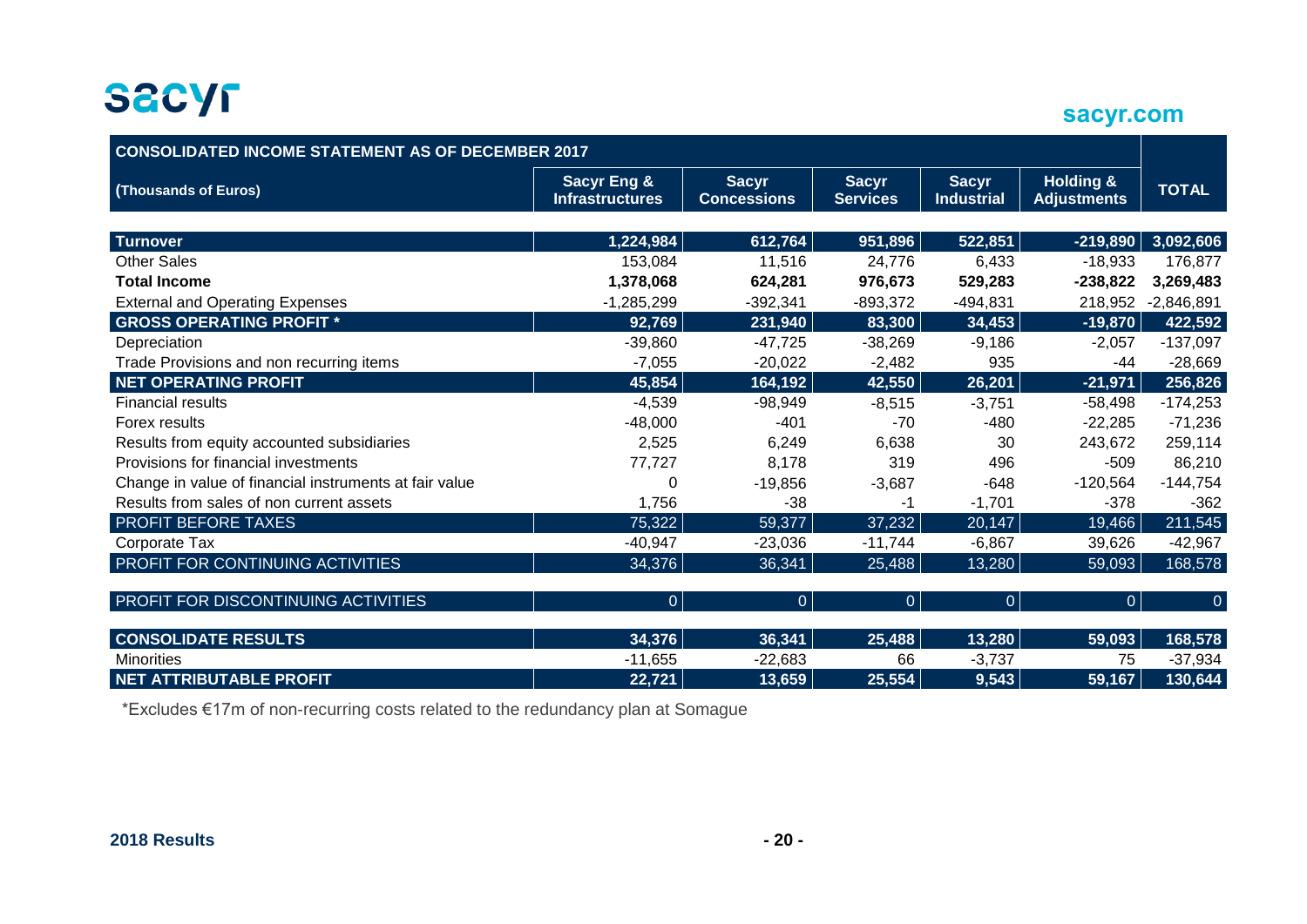**sacyr.com**

| <b>CONSOLIDATED INCOME STATEMENT AS OF DECEMBER 2017</b> |                                                  |                                    |                                 |                                   |                                            |                |  |  |
|----------------------------------------------------------|--------------------------------------------------|------------------------------------|---------------------------------|-----------------------------------|--------------------------------------------|----------------|--|--|
| (Thousands of Euros)                                     | <b>Sacyr Eng &amp;</b><br><b>Infrastructures</b> | <b>Sacyr</b><br><b>Concessions</b> | <b>Sacyr</b><br><b>Services</b> | <b>Sacyr</b><br><b>Industrial</b> | <b>Holding &amp;</b><br><b>Adjustments</b> | <b>TOTAL</b>   |  |  |
|                                                          |                                                  |                                    |                                 |                                   |                                            |                |  |  |
| <b>Turnover</b>                                          | 1,224,984                                        | 612,764                            | 951,896                         | 522,851                           | $-219,890$                                 | 3,092,606      |  |  |
| <b>Other Sales</b>                                       | 153,084                                          | 11,516                             | 24,776                          | 6,433                             | $-18,933$                                  | 176,877        |  |  |
| <b>Total Income</b>                                      | 1,378,068                                        | 624,281                            | 976,673                         | 529,283                           | $-238,822$                                 | 3,269,483      |  |  |
| <b>External and Operating Expenses</b>                   | $-1,285,299$                                     | $-392,341$                         | $-893,372$                      | $-494,831$                        | 218,952                                    | $-2,846,891$   |  |  |
| <b>GROSS OPERATING PROFIT *</b>                          | 92,769                                           | 231,940                            | 83,300                          | 34,453                            | $-19,870$                                  | 422,592        |  |  |
| Depreciation                                             | $-39,860$                                        | $-47,725$                          | $-38,269$                       | $-9,186$                          | $-2,057$                                   | $-137,097$     |  |  |
| Trade Provisions and non recurring items                 | $-7,055$                                         | $-20,022$                          | $-2,482$                        | 935                               | -44                                        | $-28,669$      |  |  |
| <b>NET OPERATING PROFIT</b>                              | 45,854                                           | 164,192                            | 42,550                          | 26,201                            | $-21,971$                                  | 256,826        |  |  |
| <b>Financial results</b>                                 | $-4,539$                                         | $-98,949$                          | $-8,515$                        | $-3,751$                          | $-58,498$                                  | $-174,253$     |  |  |
| Forex results                                            | $-48,000$                                        | $-401$                             | $-70$                           | -480                              | $-22,285$                                  | $-71,236$      |  |  |
| Results from equity accounted subsidiaries               | 2,525                                            | 6,249                              | 6,638                           | 30                                | 243,672                                    | 259,114        |  |  |
| Provisions for financial investments                     | 77,727                                           | 8,178                              | 319                             | 496                               | $-509$                                     | 86,210         |  |  |
| Change in value of financial instruments at fair value   | 0                                                | $-19,856$                          | $-3,687$                        | $-648$                            | $-120,564$                                 | $-144,754$     |  |  |
| Results from sales of non current assets                 | 1,756                                            | $-38$                              | -1                              | $-1,701$                          | $-378$                                     | $-362$         |  |  |
| PROFIT BEFORE TAXES                                      | 75,322                                           | 59,377                             | 37,232                          | 20,147                            | 19,466                                     | 211,545        |  |  |
| Corporate Tax                                            | $-40,947$                                        | $-23,036$                          | $-11,744$                       | $-6,867$                          | 39,626                                     | $-42,967$      |  |  |
| PROFIT FOR CONTINUING ACTIVITIES                         | 34,376                                           | 36,341                             | 25,488                          | 13,280                            | 59,093                                     | 168,578        |  |  |
| PROFIT FOR DISCONTINUING ACTIVITIES                      | $\overline{0}$                                   | $\Omega$                           | $\overline{0}$                  | $\overline{0}$                    | $\overline{0}$                             | $\overline{0}$ |  |  |
| <b>CONSOLIDATE RESULTS</b>                               | 34,376                                           | 36,341                             | 25,488                          | 13,280                            | 59,093                                     | 168,578        |  |  |
| <b>Minorities</b>                                        | $-11,655$                                        | $-22,683$                          | 66                              | $-3,737$                          | 75                                         | $-37,934$      |  |  |
| <b>NET ATTRIBUTABLE PROFIT</b>                           | 22,721                                           | 13,659                             | 25,554                          | 9,543                             | $\overline{59,167}$                        | 130,644        |  |  |

\*Excludes €17m of non-recurring costs related to the redundancy plan at Somague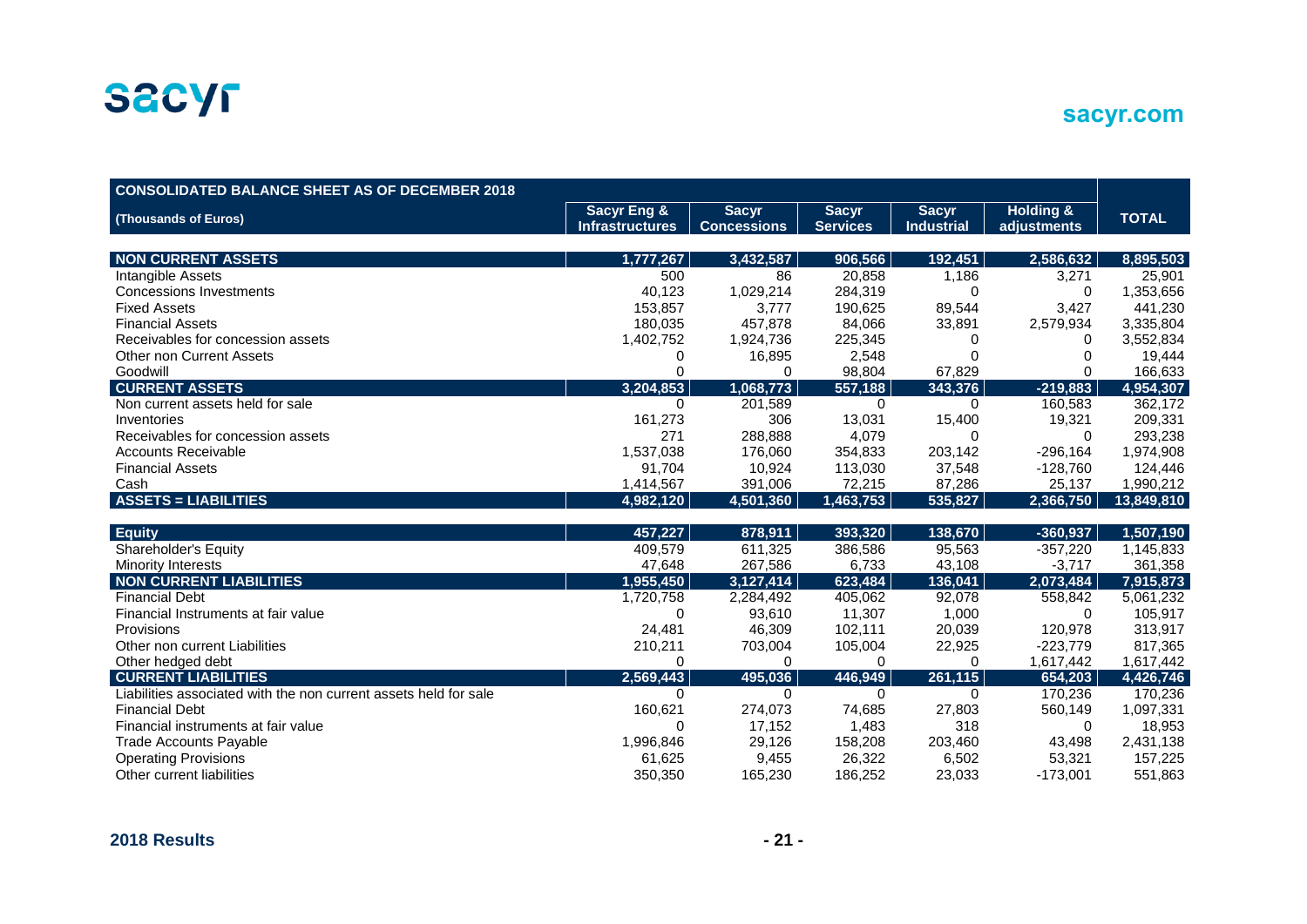

| sacyr.com |  |  |
|-----------|--|--|
|           |  |  |

| <b>CONSOLIDATED BALANCE SHEET AS OF DECEMBER 2018</b>            |                        |                    |                 |                   |                      |              |
|------------------------------------------------------------------|------------------------|--------------------|-----------------|-------------------|----------------------|--------------|
| (Thousands of Euros)                                             | <b>Sacyr Eng &amp;</b> | <b>Sacyr</b>       | <b>Sacyr</b>    | <b>Sacyr</b>      | <b>Holding &amp;</b> | <b>TOTAL</b> |
|                                                                  | <b>Infrastructures</b> | <b>Concessions</b> | <b>Services</b> | <b>Industrial</b> | adjustments          |              |
|                                                                  |                        |                    |                 |                   |                      |              |
| <b>NON CURRENT ASSETS</b>                                        | 1,777,267              | 3,432,587          | 906,566         | 192,451           | 2,586,632            | 8,895,503    |
| Intangible Assets                                                | 500                    | 86                 | 20,858          | 1,186             | 3,271                | 25,901       |
| <b>Concessions Investments</b>                                   | 40,123                 | 1,029,214          | 284,319         | 0                 | $\Omega$             | 1,353,656    |
| <b>Fixed Assets</b>                                              | 153,857                | 3,777              | 190,625         | 89,544            | 3,427                | 441,230      |
| <b>Financial Assets</b>                                          | 180,035                | 457,878            | 84,066          | 33,891            | 2,579,934            | 3,335,804    |
| Receivables for concession assets                                | 1,402,752              | 1,924,736          | 225,345         | 0                 | 0                    | 3,552,834    |
| <b>Other non Current Assets</b>                                  | O                      | 16,895             | 2,548           |                   | n                    | 19,444       |
| Goodwill                                                         |                        | 0                  | 98,804          | 67,829            | $\Omega$             | 166,633      |
| <b>CURRENT ASSETS</b>                                            | 3,204,853              | 1,068,773          | 557,188         | 343,376           | $-219,883$           | 4,954,307    |
| Non current assets held for sale                                 | 0                      | 201,589            | 0               | $\Omega$          | 160,583              | 362,172      |
| Inventories                                                      | 161,273                | 306                | 13,031          | 15,400            | 19,321               | 209,331      |
| Receivables for concession assets                                | 271                    | 288,888            | 4,079           | $\Omega$          | $\Omega$             | 293,238      |
| <b>Accounts Receivable</b>                                       | 1,537,038              | 176,060            | 354,833         | 203,142           | $-296,164$           | 1,974,908    |
| <b>Financial Assets</b>                                          | 91,704                 | 10,924             | 113,030         | 37,548            | $-128,760$           | 124,446      |
| Cash                                                             | 1,414,567              | 391,006            | 72,215          | 87,286            | 25,137               | 1,990,212    |
| <b>ASSETS = LIABILITIES</b>                                      | 4,982,120              | 4,501,360          | 1,463,753       | 535,827           | 2,366,750            | 13,849,810   |
|                                                                  |                        |                    |                 |                   |                      |              |
| <b>Equity</b>                                                    | 457,227                | 878,911            | 393,320         | 138,670           | $-360,937$           | 1,507,190    |
| Shareholder's Equity                                             | 409,579                | 611,325            | 386,586         | 95,563            | $-357,220$           | 1,145,833    |
| <b>Minority Interests</b>                                        | 47,648                 | 267,586            | 6,733           | 43,108            | $-3,717$             | 361,358      |
| <b>NON CURRENT LIABILITIES</b>                                   | 1,955,450              | 3,127,414          | 623,484         | 136,041           | 2,073,484            | 7,915,873    |
| <b>Financial Debt</b>                                            | 1,720,758              | 2,284,492          | 405,062         | 92,078            | 558,842              | 5,061,232    |
| Financial Instruments at fair value                              | 0                      | 93,610             | 11,307          | 1,000             | $\Omega$             | 105,917      |
| Provisions                                                       | 24,481                 | 46,309             | 102,111         | 20,039            | 120,978              | 313,917      |
| Other non current Liabilities                                    | 210,211                | 703,004            | 105,004         | 22,925            | $-223,779$           | 817,365      |
| Other hedged debt                                                | 0                      | 0                  | 0               | $\Omega$          | 1,617,442            | 1,617,442    |
| <b>CURRENT LIABILITIES</b>                                       | 2,569,443              | 495,036            | 446,949         | 261,115           | 654,203              | 4,426,746    |
| Liabilities associated with the non current assets held for sale | $\Omega$               | 0                  | $\mathbf 0$     | $\Omega$          | 170,236              | 170,236      |
| <b>Financial Debt</b>                                            | 160,621                | 274,073            | 74,685          | 27,803            | 560,149              | 1,097,331    |
| Financial instruments at fair value                              | 0                      | 17,152             | 1,483           | 318               | 0                    | 18,953       |
| <b>Trade Accounts Payable</b>                                    | 1,996,846              | 29,126             | 158,208         | 203,460           | 43,498               | 2,431,138    |
| <b>Operating Provisions</b>                                      | 61,625                 | 9,455              | 26,322          | 6,502             | 53,321               | 157,225      |
| Other current liabilities                                        | 350,350                | 165,230            | 186,252         | 23,033            | $-173,001$           | 551,863      |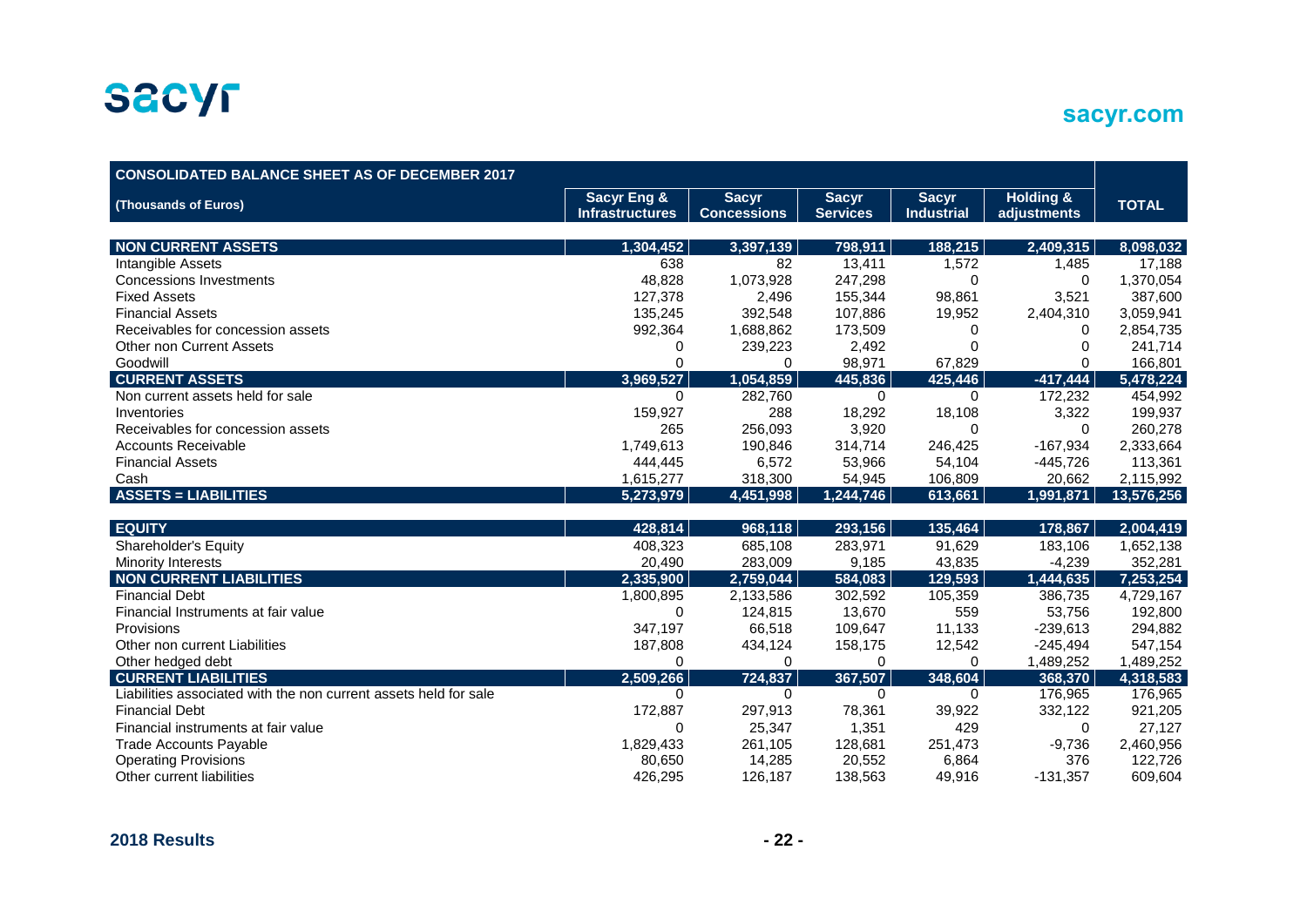

| <b>CONSOLIDATED BALANCE SHEET AS OF DECEMBER 2017</b>            |                        |                    |                 |                   |                      |              |
|------------------------------------------------------------------|------------------------|--------------------|-----------------|-------------------|----------------------|--------------|
| (Thousands of Euros)                                             | <b>Sacyr Eng &amp;</b> | <b>Sacyr</b>       | <b>Sacyr</b>    | <b>Sacyr</b>      | <b>Holding &amp;</b> | <b>TOTAL</b> |
|                                                                  | <b>Infrastructures</b> | <b>Concessions</b> | <b>Services</b> | <b>Industrial</b> | adjustments          |              |
| <b>NON CURRENT ASSETS</b>                                        | 1,304,452              | 3,397,139          | 798,911         | 188,215           | 2,409,315            | 8,098,032    |
| Intangible Assets                                                | 638                    | 82                 | 13,411          | 1,572             | 1,485                | 17,188       |
| <b>Concessions Investments</b>                                   | 48,828                 | 1,073,928          | 247,298         | $\Omega$          | $\mathbf 0$          | 1,370,054    |
| <b>Fixed Assets</b>                                              | 127,378                | 2,496              | 155,344         | 98,861            | 3,521                | 387,600      |
| <b>Financial Assets</b>                                          | 135,245                | 392,548            | 107,886         | 19,952            | 2,404,310            | 3,059,941    |
| Receivables for concession assets                                | 992,364                | 1,688,862          | 173,509         | 0                 | 0                    | 2,854,735    |
| <b>Other non Current Assets</b>                                  | 0                      | 239,223            | 2,492           |                   | $\Omega$             | 241,714      |
| Goodwill                                                         | $\Omega$               | $\Omega$           | 98,971          | 67,829            | $\Omega$             | 166,801      |
| <b>CURRENT ASSETS</b>                                            | 3,969,527              | 1,054,859          | 445,836         | 425,446           | $-417,444$           | 5,478,224    |
| Non current assets held for sale                                 | 0                      | 282,760            | 0               | $\Omega$          | 172,232              | 454,992      |
| Inventories                                                      | 159,927                | 288                | 18,292          | 18,108            | 3,322                | 199,937      |
| Receivables for concession assets                                | 265                    | 256,093            | 3,920           | 0                 | $\Omega$             | 260,278      |
| <b>Accounts Receivable</b>                                       | 1,749,613              | 190,846            | 314,714         | 246,425           | $-167,934$           | 2,333,664    |
| <b>Financial Assets</b>                                          | 444,445                | 6,572              | 53,966          | 54,104            | $-445,726$           | 113,361      |
| Cash                                                             | 1,615,277              | 318,300            | 54,945          | 106,809           | 20,662               | 2,115,992    |
| <b>ASSETS = LIABILITIES</b>                                      | 5,273,979              | 4,451,998          | 1,244,746       | 613,661           | 1,991,871            | 13,576,256   |
|                                                                  |                        |                    |                 |                   |                      |              |
| <b>EQUITY</b>                                                    | 428,814                | 968,118            | 293,156         | 135,464           | 178,867              | 2,004,419    |
| Shareholder's Equity                                             | 408,323                | 685,108            | 283,971         | 91,629            | 183,106              | 1,652,138    |
| <b>Minority Interests</b>                                        | 20,490                 | 283,009            | 9,185           | 43,835            | $-4,239$             | 352,281      |
| <b>NON CURRENT LIABILITIES</b>                                   | 2,335,900              | 2,759,044          | 584,083         | 129,593           | 1,444,635            | 7,253,254    |
| <b>Financial Debt</b>                                            | 1,800,895              | 2,133,586          | 302,592         | 105,359           | 386,735              | 4,729,167    |
| Financial Instruments at fair value                              | 0                      | 124,815            | 13,670          | 559               | 53,756               | 192,800      |
| Provisions                                                       | 347,197                | 66,518             | 109,647         | 11,133            | $-239,613$           | 294,882      |
| Other non current Liabilities                                    | 187,808                | 434,124            | 158,175         | 12,542            | $-245,494$           | 547,154      |
| Other hedged debt                                                | 0                      | 0                  | 0               | 0                 | 1,489,252            | 1,489,252    |
| <b>CURRENT LIABILITIES</b>                                       | 2,509,266              | 724,837            | 367,507         | 348,604           | 368,370              | 4,318,583    |
| Liabilities associated with the non current assets held for sale | $\mathbf 0$            | $\mathbf 0$        | 0               | $\mathbf 0$       | 176,965              | 176,965      |
| <b>Financial Debt</b>                                            | 172,887                | 297,913            | 78,361          | 39,922            | 332,122              | 921,205      |
| Financial instruments at fair value                              | 0                      | 25,347             | 1,351           | 429               | $\Omega$             | 27,127       |
| <b>Trade Accounts Payable</b>                                    | 1,829,433              | 261,105            | 128,681         | 251,473           | $-9,736$             | 2,460,956    |
| <b>Operating Provisions</b>                                      | 80,650                 | 14,285             | 20,552          | 6,864             | 376                  | 122,726      |
| Other current liabilities                                        | 426,295                | 126,187            | 138,563         | 49,916            | $-131,357$           | 609,604      |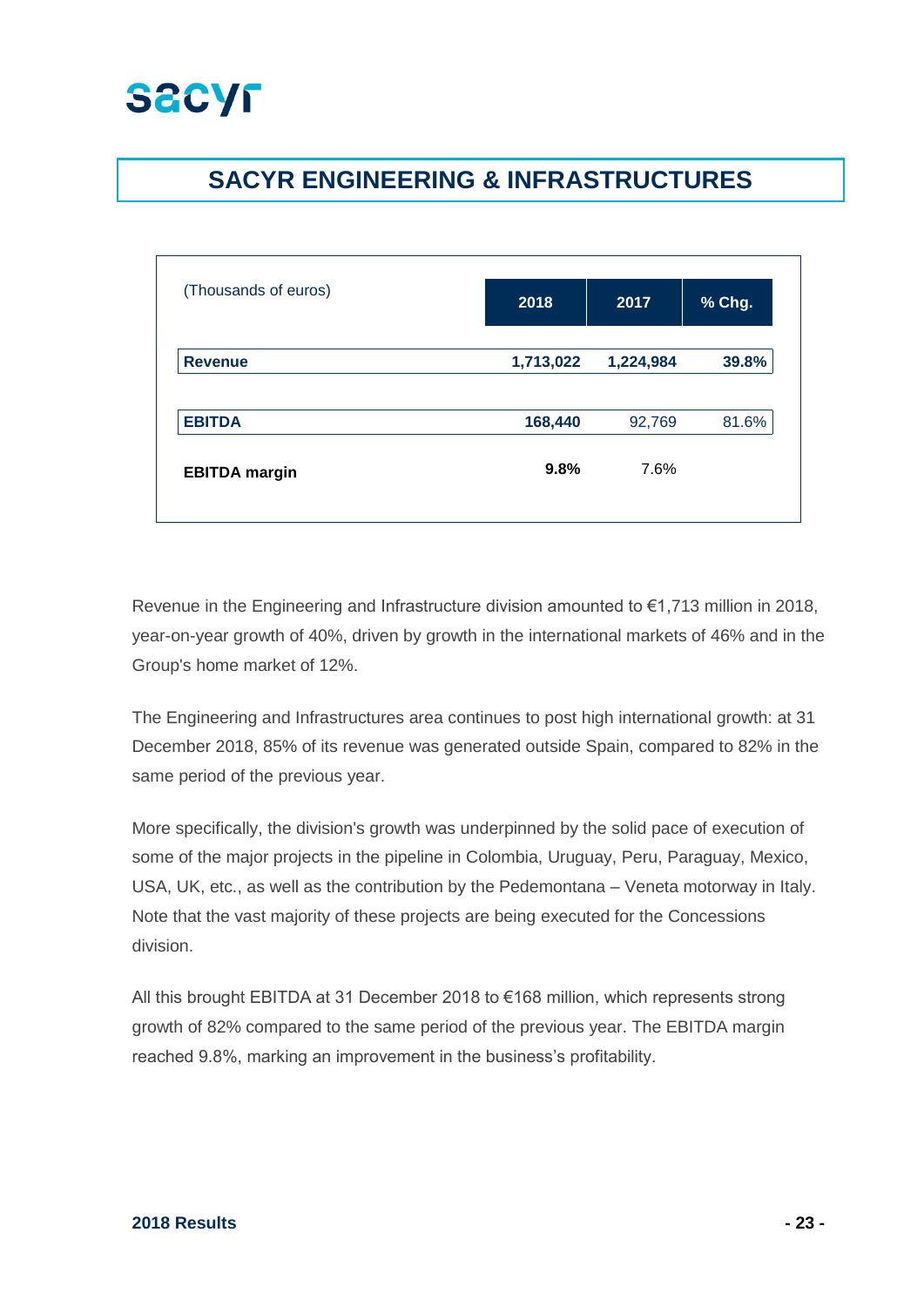

## **SACYR ENGINEERING & INFRASTRUCTURES**

| (Thousands of euros) | 2018      | 2017      | % Chg. |
|----------------------|-----------|-----------|--------|
| <b>Revenue</b>       | 1,713,022 | 1,224,984 | 39.8%  |
| <b>EBITDA</b>        | 168,440   | 92,769    | 81.6%  |
| <b>EBITDA</b> margin | 9.8%      | 7.6%      |        |
|                      |           |           |        |

Revenue in the Engineering and Infrastructure division amounted to €1,713 million in 2018, year-on-year growth of 40%, driven by growth in the international markets of 46% and in the Group's home market of 12%.

The Engineering and Infrastructures area continues to post high international growth: at 31 December 2018, 85% of its revenue was generated outside Spain, compared to 82% in the same period of the previous year.

More specifically, the division's growth was underpinned by the solid pace of execution of some of the major projects in the pipeline in Colombia, Uruguay, Peru, Paraguay, Mexico, USA, UK, etc., as well as the contribution by the Pedemontana – Veneta motorway in Italy. Note that the vast majority of these projects are being executed for the Concessions division.

All this brought EBITDA at 31 December 2018 to €168 million, which represents strong growth of 82% compared to the same period of the previous year. The EBITDA margin reached 9.8%, marking an improvement in the business's profitability.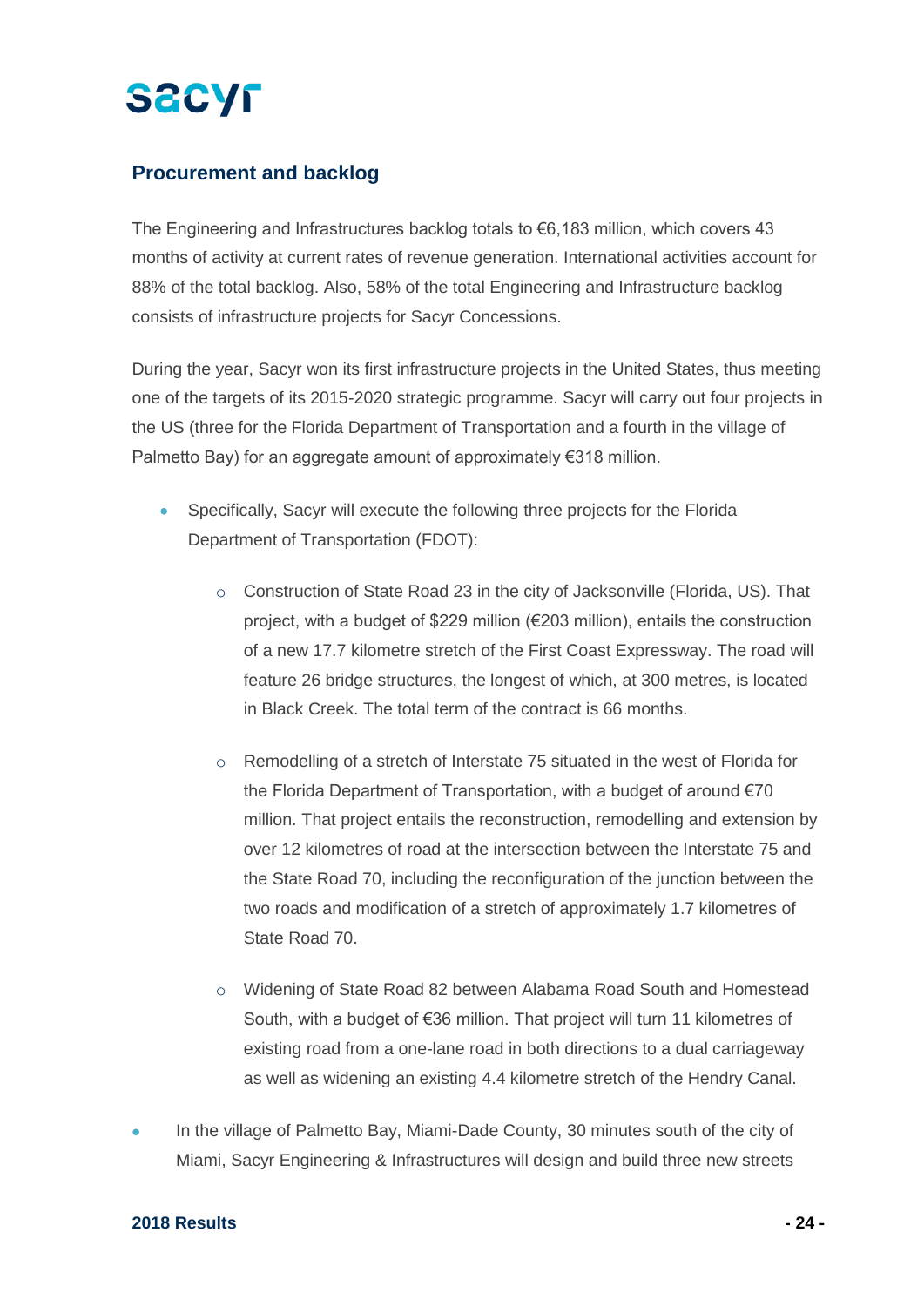# **SACYF**

### **Procurement and backlog**

The Engineering and Infrastructures backlog totals to €6,183 million, which covers 43 months of activity at current rates of revenue generation. International activities account for 88% of the total backlog. Also, 58% of the total Engineering and Infrastructure backlog consists of infrastructure projects for Sacyr Concessions.

During the year, Sacyr won its first infrastructure projects in the United States, thus meeting one of the targets of its 2015-2020 strategic programme. Sacyr will carry out four projects in the US (three for the Florida Department of Transportation and a fourth in the village of Palmetto Bay) for an aggregate amount of approximately €318 million.

- Specifically, Sacyr will execute the following three projects for the Florida Department of Transportation (FDOT):
	- o Construction of State Road 23 in the city of Jacksonville (Florida, US). That project, with a budget of \$229 million (€203 million), entails the construction of a new 17.7 kilometre stretch of the First Coast Expressway. The road will feature 26 bridge structures, the longest of which, at 300 metres, is located in Black Creek. The total term of the contract is 66 months.
	- $\circ$  Remodelling of a stretch of Interstate 75 situated in the west of Florida for the Florida Department of Transportation, with a budget of around €70 million. That project entails the reconstruction, remodelling and extension by over 12 kilometres of road at the intersection between the Interstate 75 and the State Road 70, including the reconfiguration of the junction between the two roads and modification of a stretch of approximately 1.7 kilometres of State Road 70.
	- o Widening of State Road 82 between Alabama Road South and Homestead South, with a budget of €36 million. That project will turn 11 kilometres of existing road from a one-lane road in both directions to a dual carriageway as well as widening an existing 4.4 kilometre stretch of the Hendry Canal.
- In the village of Palmetto Bay, Miami-Dade County, 30 minutes south of the city of Miami, Sacyr Engineering & Infrastructures will design and build three new streets

#### **2018 Results - 24 -**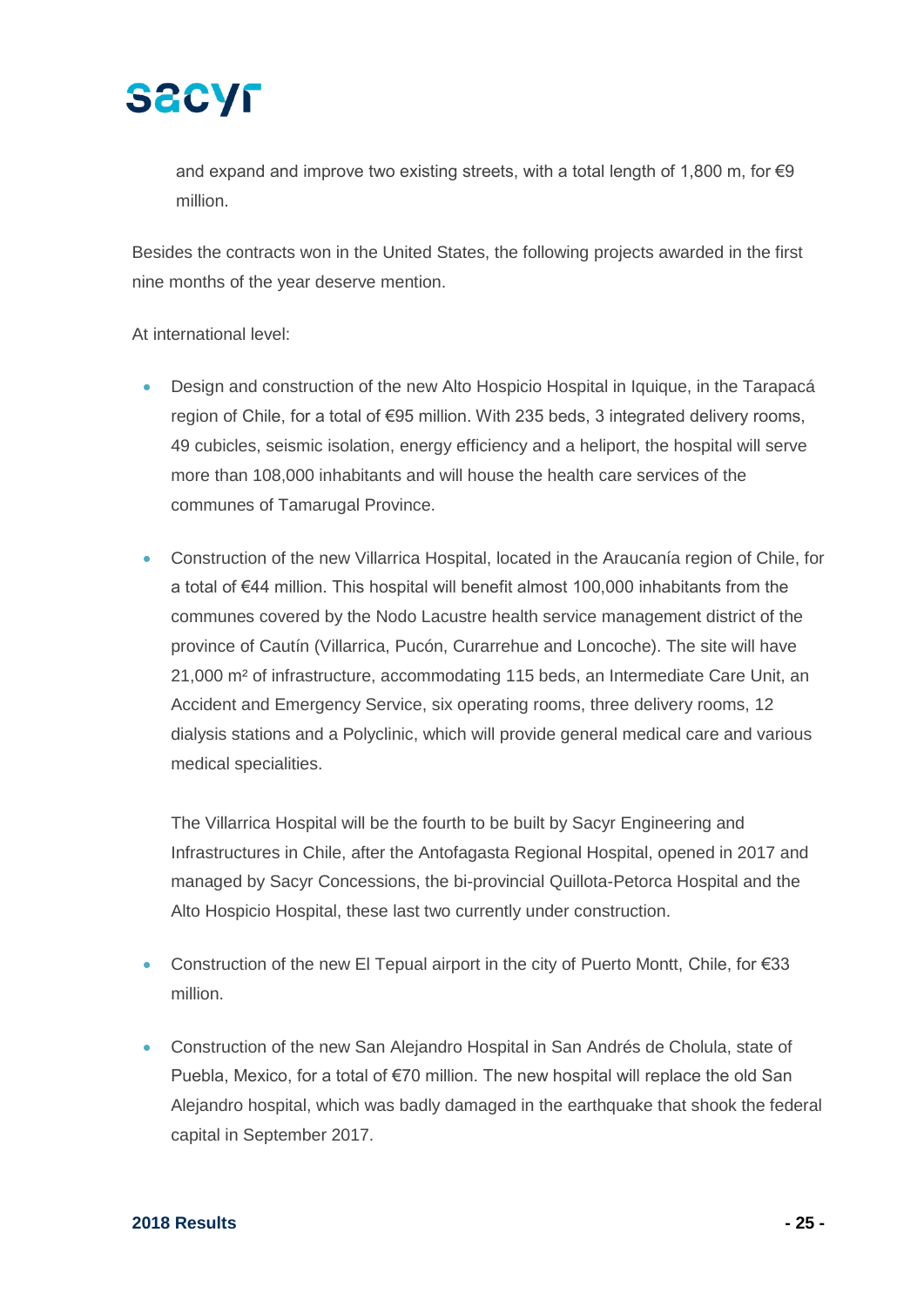

and expand and improve two existing streets, with a total length of 1,800 m, for €9 million.

Besides the contracts won in the United States, the following projects awarded in the first nine months of the year deserve mention.

#### At international level:

- Design and construction of the new Alto Hospicio Hospital in Iquique, in the Tarapacá region of Chile, for a total of €95 million. With 235 beds, 3 integrated delivery rooms, 49 cubicles, seismic isolation, energy efficiency and a heliport, the hospital will serve more than 108,000 inhabitants and will house the health care services of the communes of Tamarugal Province.
- Construction of the new Villarrica Hospital, located in the Araucanía region of Chile, for a total of €44 million. This hospital will benefit almost 100,000 inhabitants from the communes covered by the Nodo Lacustre health service management district of the province of Cautín (Villarrica, Pucón, Curarrehue and Loncoche). The site will have 21,000 m² of infrastructure, accommodating 115 beds, an Intermediate Care Unit, an Accident and Emergency Service, six operating rooms, three delivery rooms, 12 dialysis stations and a Polyclinic, which will provide general medical care and various medical specialities.

The Villarrica Hospital will be the fourth to be built by Sacyr Engineering and Infrastructures in Chile, after the Antofagasta Regional Hospital, opened in 2017 and managed by Sacyr Concessions, the bi-provincial Quillota-Petorca Hospital and the Alto Hospicio Hospital, these last two currently under construction.

- Construction of the new El Tepual airport in the city of Puerto Montt, Chile, for €33 million.
- Construction of the new San Alejandro Hospital in San Andrés de Cholula, state of Puebla, Mexico, for a total of €70 million. The new hospital will replace the old San Alejandro hospital, which was badly damaged in the earthquake that shook the federal capital in September 2017.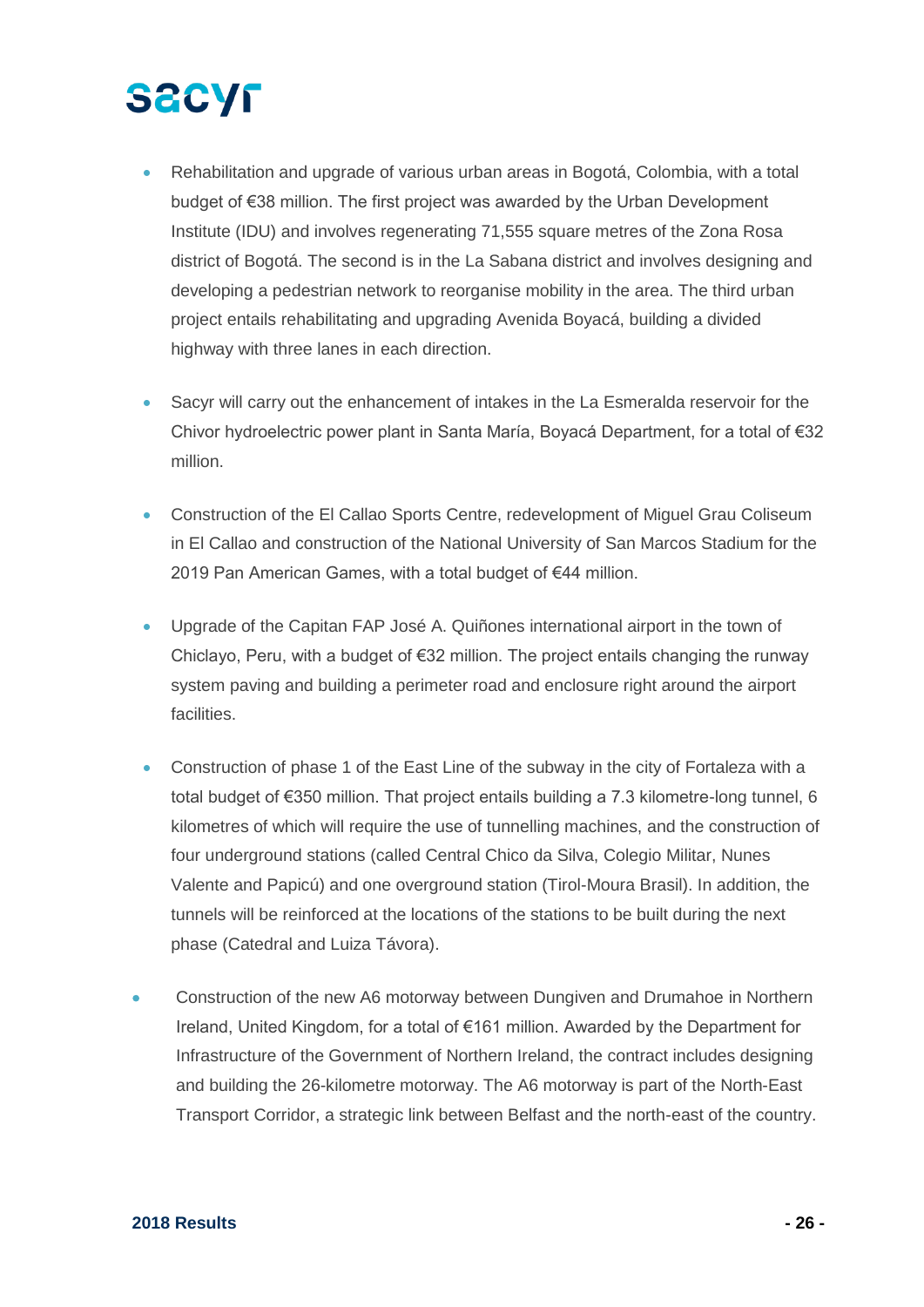- Rehabilitation and upgrade of various urban areas in Bogotá, Colombia, with a total budget of €38 million. The first project was awarded by the Urban Development Institute (IDU) and involves regenerating 71,555 square metres of the Zona Rosa district of Bogotá. The second is in the La Sabana district and involves designing and developing a pedestrian network to reorganise mobility in the area. The third urban project entails rehabilitating and upgrading Avenida Boyacá, building a divided highway with three lanes in each direction.
- Sacyr will carry out the enhancement of intakes in the La Esmeralda reservoir for the Chivor hydroelectric power plant in Santa María, Boyacá Department, for a total of €32 million.
- Construction of the El Callao Sports Centre, redevelopment of Miguel Grau Coliseum in El Callao and construction of the National University of San Marcos Stadium for the 2019 Pan American Games, with a total budget of €44 million.
- Upgrade of the Capitan FAP José A. Quiñones international airport in the town of Chiclayo, Peru, with a budget of  $\epsilon$ 32 million. The project entails changing the runway system paving and building a perimeter road and enclosure right around the airport facilities.
- Construction of phase 1 of the East Line of the subway in the city of Fortaleza with a total budget of €350 million. That project entails building a 7.3 kilometre-long tunnel, 6 kilometres of which will require the use of tunnelling machines, and the construction of four underground stations (called Central Chico da Silva, Colegio Militar, Nunes Valente and Papicú) and one overground station (Tirol-Moura Brasil). In addition, the tunnels will be reinforced at the locations of the stations to be built during the next phase (Catedral and Luiza Távora).
- Construction of the new A6 motorway between Dungiven and Drumahoe in Northern Ireland, United Kingdom, for a total of €161 million. Awarded by the Department for Infrastructure of the Government of Northern Ireland, the contract includes designing and building the 26-kilometre motorway. The A6 motorway is part of the North-East Transport Corridor, a strategic link between Belfast and the north-east of the country.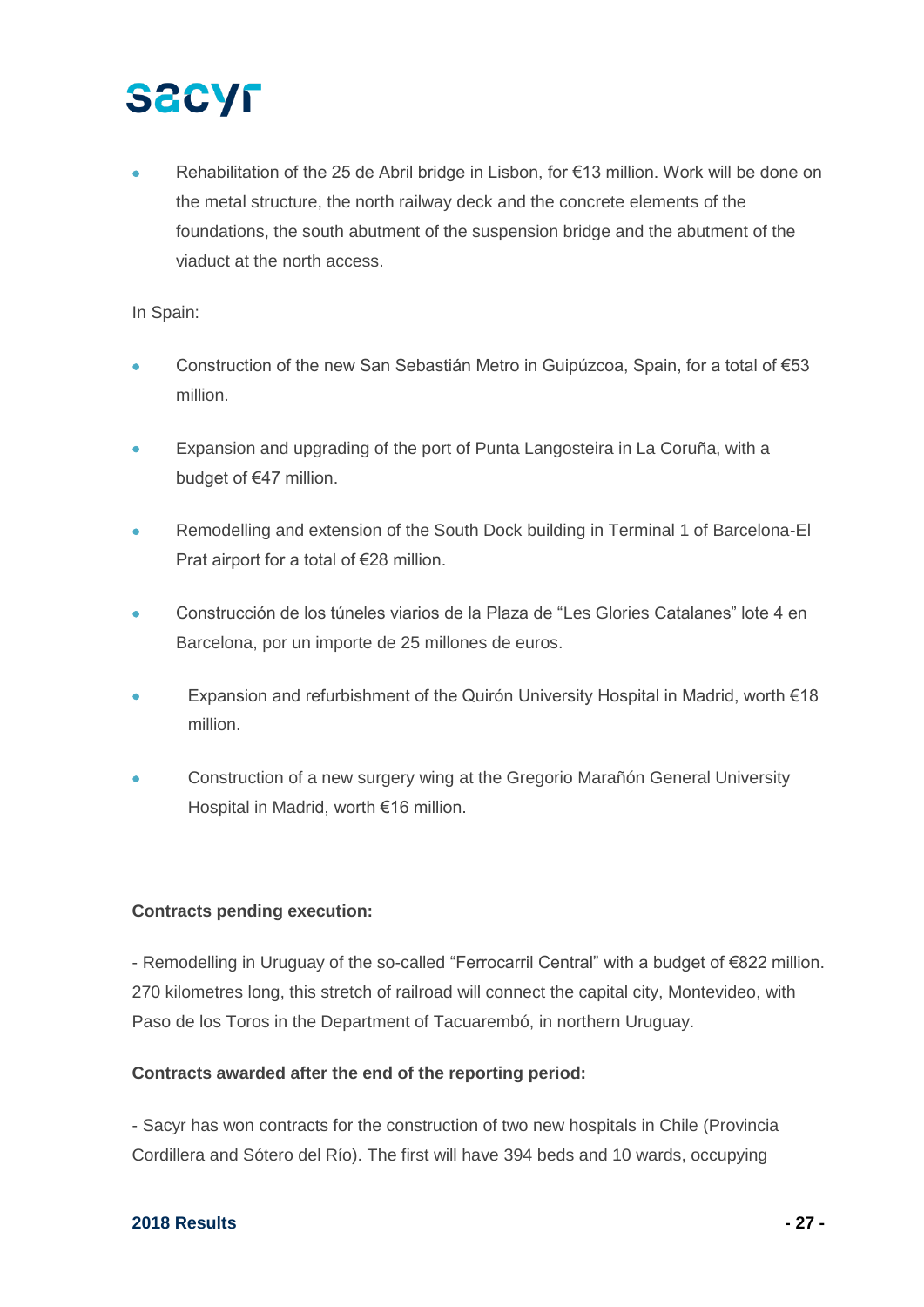Rehabilitation of the 25 de Abril bridge in Lisbon, for €13 million. Work will be done on the metal structure, the north railway deck and the concrete elements of the foundations, the south abutment of the suspension bridge and the abutment of the viaduct at the north access.

#### In Spain:

- Construction of the new San Sebastián Metro in Guipúzcoa, Spain, for a total of €53 million.
- Expansion and upgrading of the port of Punta Langosteira in La Coruña, with a budget of €47 million.
- Remodelling and extension of the South Dock building in Terminal 1 of Barcelona-El Prat airport for a total of €28 million.
- Construcción de los túneles viarios de la Plaza de "Les Glories Catalanes" lote 4 en Barcelona, por un importe de 25 millones de euros.
- Expansion and refurbishment of the Quirón University Hospital in Madrid, worth €18 million.
- Construction of a new surgery wing at the Gregorio Marañón General University Hospital in Madrid, worth €16 million.

#### **Contracts pending execution:**

- Remodelling in Uruguay of the so-called "Ferrocarril Central" with a budget of €822 million. 270 kilometres long, this stretch of railroad will connect the capital city, Montevideo, with Paso de los Toros in the Department of Tacuarembó, in northern Uruguay.

#### **Contracts awarded after the end of the reporting period:**

- Sacyr has won contracts for the construction of two new hospitals in Chile (Provincia Cordillera and Sótero del Río). The first will have 394 beds and 10 wards, occupying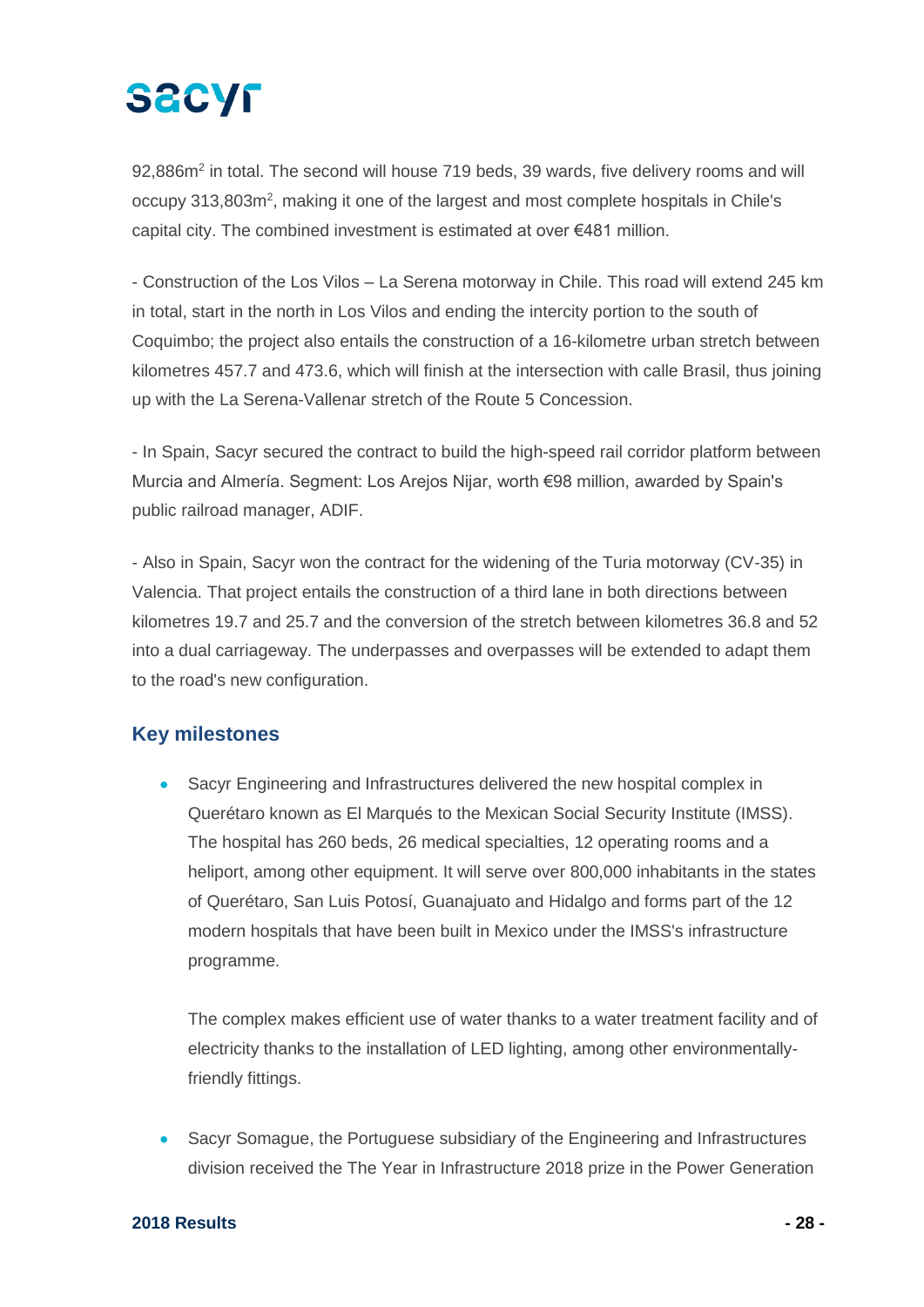# **SACYF**

92,886m<sup>2</sup> in total. The second will house 719 beds, 39 wards, five delivery rooms and will occupy 313,803m<sup>2</sup>, making it one of the largest and most complete hospitals in Chile's capital city. The combined investment is estimated at over €481 million.

- Construction of the Los Vilos – La Serena motorway in Chile. This road will extend 245 km in total, start in the north in Los Vilos and ending the intercity portion to the south of Coquimbo; the project also entails the construction of a 16-kilometre urban stretch between kilometres 457.7 and 473.6, which will finish at the intersection with calle Brasil, thus joining up with the La Serena-Vallenar stretch of the Route 5 Concession.

- In Spain, Sacyr secured the contract to build the high-speed rail corridor platform between Murcia and Almería. Segment: Los Arejos Nijar, worth €98 million, awarded by Spain's public railroad manager, ADIF.

- Also in Spain, Sacyr won the contract for the widening of the Turia motorway (CV-35) in Valencia. That project entails the construction of a third lane in both directions between kilometres 19.7 and 25.7 and the conversion of the stretch between kilometres 36.8 and 52 into a dual carriageway. The underpasses and overpasses will be extended to adapt them to the road's new configuration.

### **Key milestones**

• Sacyr Engineering and Infrastructures delivered the new hospital complex in Querétaro known as El Marqués to the Mexican Social Security Institute (IMSS). The hospital has 260 beds, 26 medical specialties, 12 operating rooms and a heliport, among other equipment. It will serve over 800,000 inhabitants in the states of Querétaro, San Luis Potosí, Guanajuato and Hidalgo and forms part of the 12 modern hospitals that have been built in Mexico under the IMSS's infrastructure programme.

The complex makes efficient use of water thanks to a water treatment facility and of electricity thanks to the installation of LED lighting, among other environmentallyfriendly fittings.

• Sacyr Somague, the Portuguese subsidiary of the Engineering and Infrastructures division received the The Year in Infrastructure 2018 prize in the Power Generation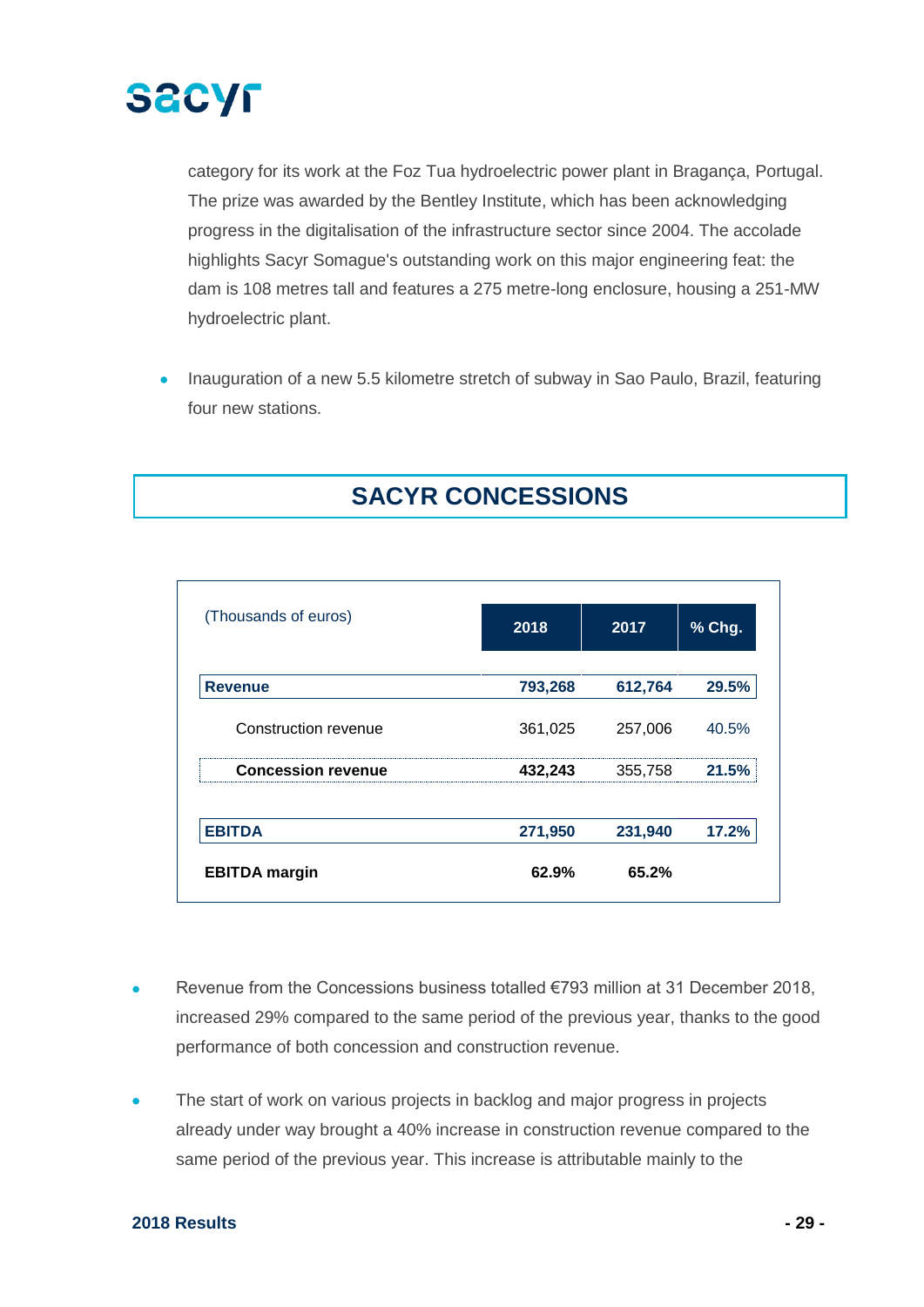

category for its work at the Foz Tua hydroelectric power plant in Bragança, Portugal. The prize was awarded by the Bentley Institute, which has been acknowledging progress in the digitalisation of the infrastructure sector since 2004. The accolade highlights Sacyr Somague's outstanding work on this major engineering feat: the dam is 108 metres tall and features a 275 metre-long enclosure, housing a 251-MW hydroelectric plant.

• Inauguration of a new 5.5 kilometre stretch of subway in Sao Paulo, Brazil, featuring four new stations.

## **SACYR CONCESSIONS**

| (Thousands of euros)      | 2018    | 2017    | % Chg. |
|---------------------------|---------|---------|--------|
| <b>Revenue</b>            | 793,268 | 612,764 | 29.5%  |
| Construction revenue      | 361,025 | 257,006 | 40.5%  |
| <b>Concession revenue</b> | 432,243 | 355,758 | l 5%   |
| <b>EBITDA</b>             | 271,950 | 231,940 | 17.2%  |
| <b>EBITDA</b> margin      | 62.9%   | 65.2%   |        |

- Revenue from the Concessions business totalled €793 million at 31 December 2018, increased 29% compared to the same period of the previous year, thanks to the good performance of both concession and construction revenue.
- The start of work on various projects in backlog and major progress in projects already under way brought a 40% increase in construction revenue compared to the same period of the previous year. This increase is attributable mainly to the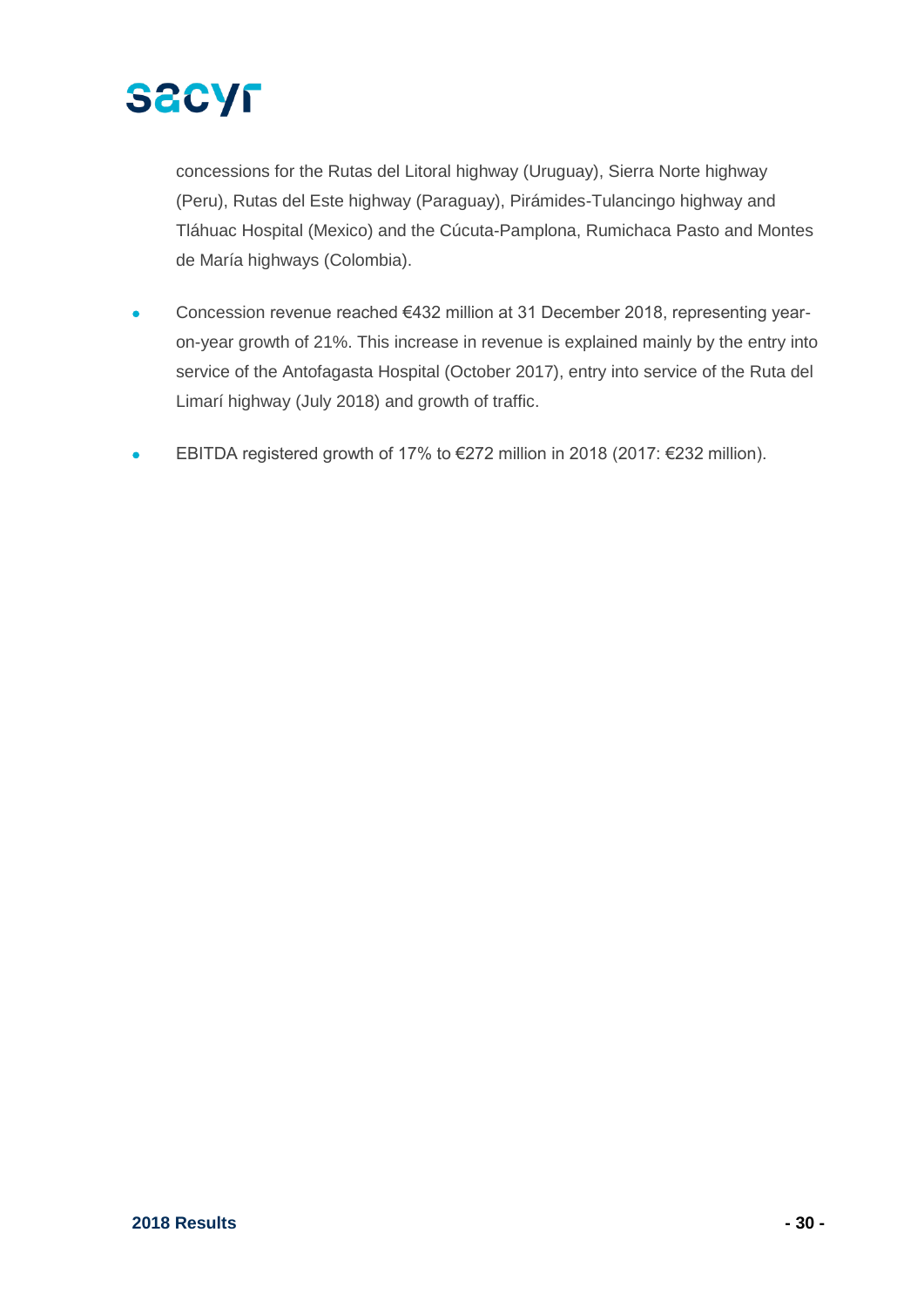

concessions for the Rutas del Litoral highway (Uruguay), Sierra Norte highway (Peru), Rutas del Este highway (Paraguay), Pirámides-Tulancingo highway and Tláhuac Hospital (Mexico) and the Cúcuta-Pamplona, Rumichaca Pasto and Montes de María highways (Colombia).

- Concession revenue reached €432 million at 31 December 2018, representing yearon-year growth of 21%. This increase in revenue is explained mainly by the entry into service of the Antofagasta Hospital (October 2017), entry into service of the Ruta del Limarí highway (July 2018) and growth of traffic.
- EBITDA registered growth of 17% to €272 million in 2018 (2017: €232 million).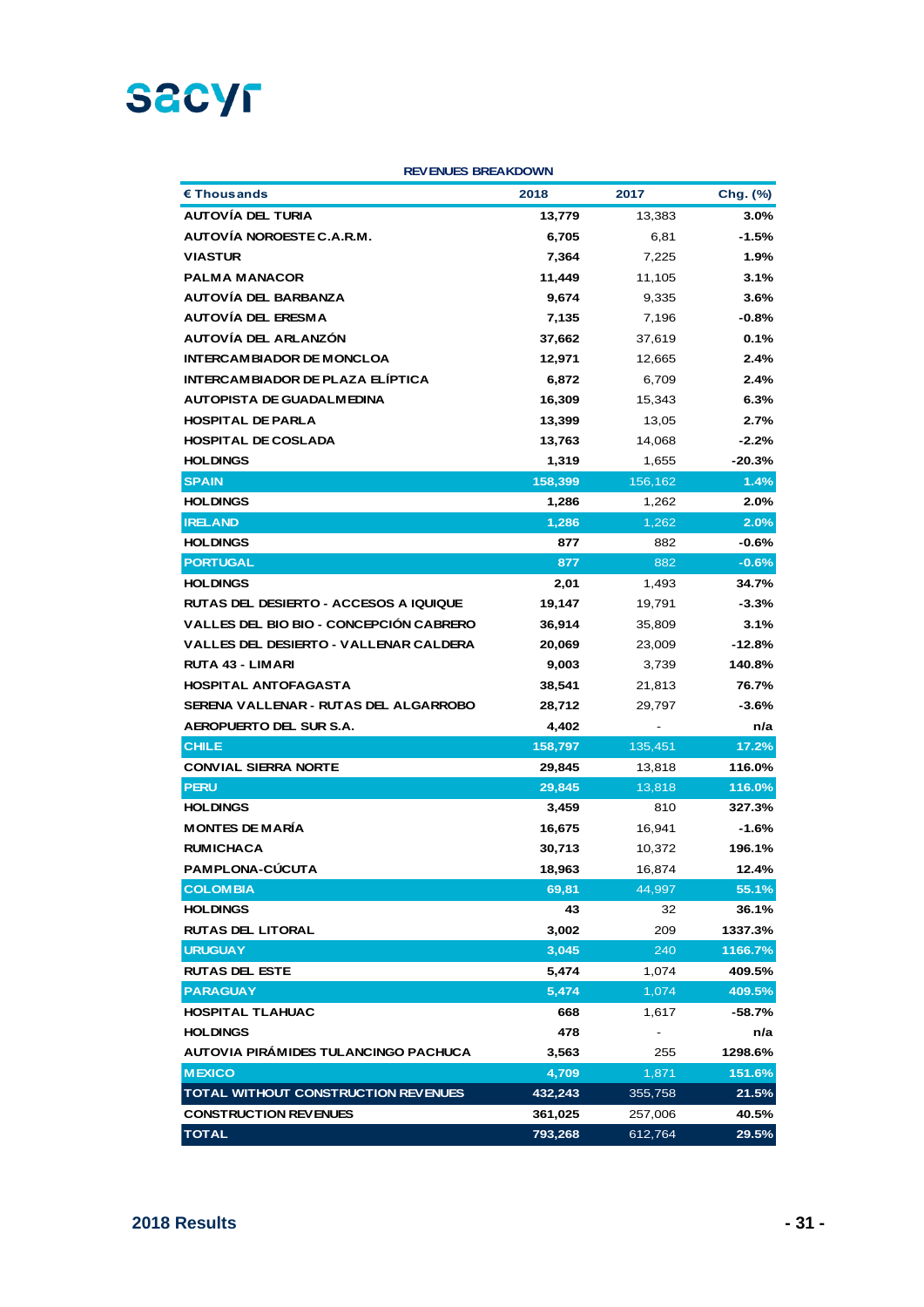

#### **REVENUES BREAKDOWN**

| $\epsilon$ Thous ands                   | 2018    | 2017    | Chg. (%) |
|-----------------------------------------|---------|---------|----------|
| <b>AUTOVÍA DEL TURIA</b>                | 13,779  | 13,383  | $3.0\%$  |
| AUTOVÍA NOROESTE C.A.R.M.               | 6,705   | 6,81    | -1.5%    |
| <b>VIASTUR</b>                          | 7,364   | 7,225   | 1.9%     |
| <b>PALMA MANACOR</b>                    | 11,449  | 11,105  | $3.1\%$  |
| <b>AUTOVÍA DEL BARBANZA</b>             | 9,674   | 9,335   | $3.6\%$  |
| AUTOVÍA DEL ERESMA                      | 7,135   | 7,196   | $-0.8\%$ |
| AUTOVÍA DEL ARLANZÓN                    | 37,662  | 37,619  | 0.1%     |
| <b>INTERCAM BIADOR DE MONCLOA</b>       | 12,971  | 12,665  | 2.4%     |
| INTERCAM BIADOR DE PLAZA ELÍPTICA       | 6,872   | 6,709   | 2.4%     |
| <b>AUTOPISTA DE GUADALMEDINA</b>        | 16,309  | 15,343  | 6.3%     |
| <b>HOSPITAL DE PARLA</b>                | 13,399  | 13,05   | 2.7%     |
| <b>HOSPITAL DE COSLADA</b>              | 13,763  | 14,068  | $-2.2%$  |
| <b>HOLDINGS</b>                         | 1,319   | 1,655   | $-20.3%$ |
| <b>SPAIN</b>                            | 158,399 | 156,162 | 1.4%     |
| <b>HOLDINGS</b>                         | 1,286   | 1,262   | 2.0%     |
| <b>IRELAND</b>                          | 1,286   | 1,262   | 2.0%     |
| <b>HOLDINGS</b>                         | 877     | 882     | $-0.6%$  |
| <b>PORTUGAL</b>                         | 877     | 882     | $-0.6%$  |
| <b>HOLDINGS</b>                         | 2,01    | 1,493   | 34.7%    |
| RUTAS DEL DESIERTO - ACCESOS A IQUIQUE  | 19,147  | 19,791  | $-3.3%$  |
| VALLES DEL BIO BIO - CONCEPCIÓN CABRERO | 36,914  | 35,809  | 3.1%     |
| VALLES DEL DESIERTO - VALLENAR CALDERA  | 20,069  | 23,009  | $-12.8%$ |
| <b>RUTA 43 - LIMARI</b>                 | 9,003   | 3,739   | 140.8%   |
| <b>HOSPITAL ANTOFAGASTA</b>             | 38,541  | 21,813  | 76.7%    |
| SERENA VALLENAR - RUTAS DEL ALGARROBO   | 28,712  | 29,797  | $-3.6%$  |
| AEROPUERTO DEL SUR S.A.                 | 4,402   |         | n/a      |
| <b>CHILE</b>                            | 158,797 | 135,451 | 17.2%    |
| <b>CONVIAL SIERRA NORTE</b>             | 29,845  | 13,818  | 116.0%   |
| <b>PERU</b>                             | 29,845  | 13,818  | 116.0%   |
| <b>HOLDINGS</b>                         | 3,459   | 810     | 327.3%   |
| <b>MONTES DE MARÍA</b>                  | 16,675  | 16,941  | $-1.6%$  |
| <b>RUMICHACA</b>                        | 30,713  | 10,372  | 196.1%   |
| <b>PAMPLONA-CÚCUTA</b>                  | 18,963  | 16,874  | 12.4%    |
| <b>COLOMBIA</b>                         | 69,81   | 44,997  | 55.1%    |
| <b>HOLDINGS</b>                         | 43      | 32      | 36.1%    |
| <b>RUTAS DEL LITORAL</b>                | 3,002   | 209     | 1337.3%  |
| <b>URUGUAY</b>                          | 3,045   | 240     | 1166.7%  |
| <b>RUTAS DEL ESTE</b>                   | 5,474   | 1,074   | 409.5%   |
| <b>PARAGUAY</b>                         | 5,474   | 1,074   | 409.5%   |
| <b>HOSPITAL TLAHUAC</b>                 | 668     | 1,617   | -58.7%   |
| <b>HOLDINGS</b>                         | 478     |         | n/a      |
| AUTOVIA PIRAMIDES TULANCINGO PACHUCA    | 3,563   | 255     | 1298.6%  |
| <b>MEXICO</b>                           | 4,709   | 1,871   | 151.6%   |
| TOTAL WITHOUT CONSTRUCTION REVENUES     | 432,243 | 355,758 | 21.5%    |
| <b>CONSTRUCTION REVENUES</b>            | 361,025 | 257,006 | 40.5%    |
| <b>TOTAL</b>                            | 793,268 | 612,764 | 29.5%    |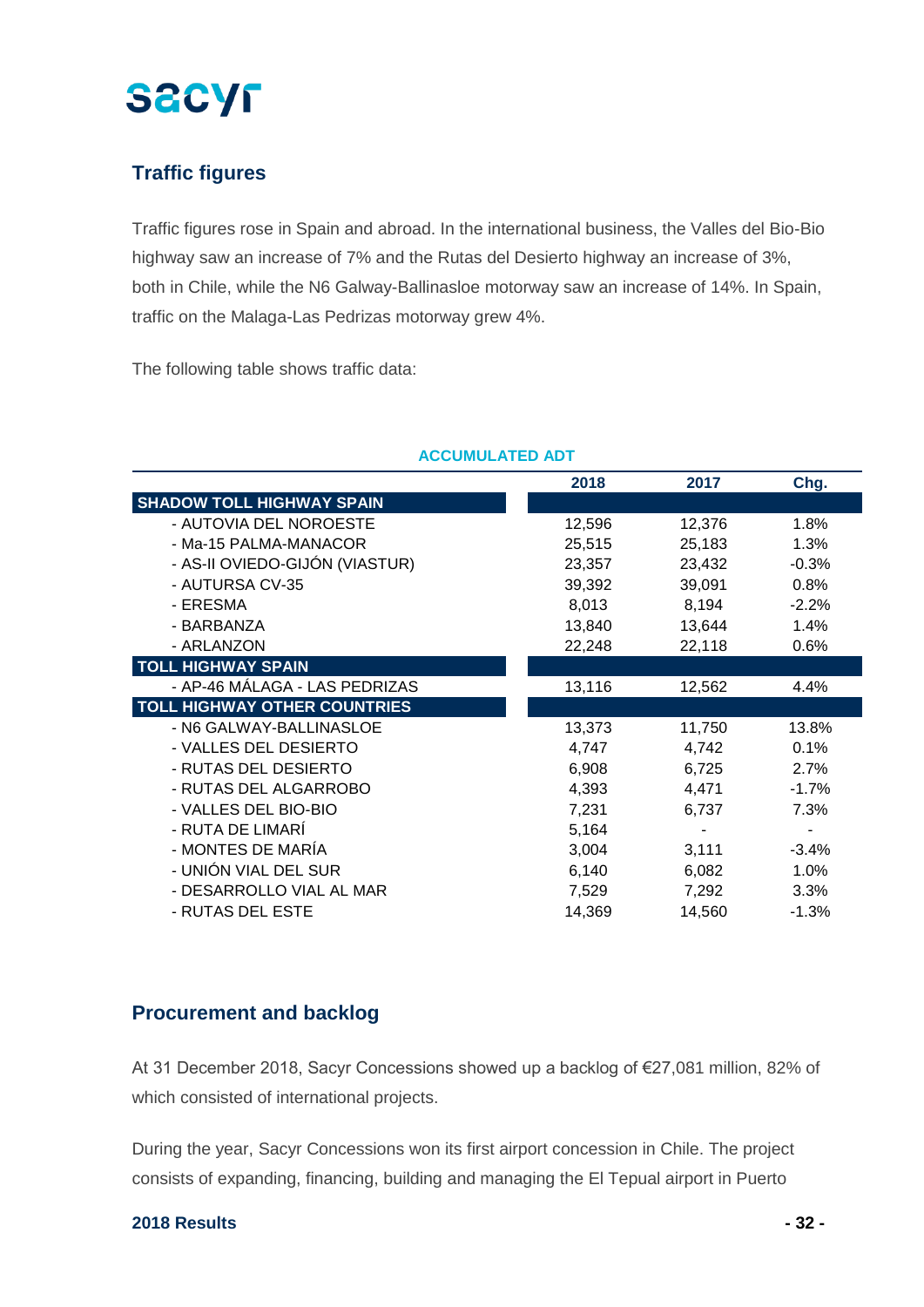

### **Traffic figures**

Traffic figures rose in Spain and abroad. In the international business, the Valles del Bio-Bio highway saw an increase of 7% and the Rutas del Desierto highway an increase of 3%, both in Chile, while the N6 Galway-Ballinasloe motorway saw an increase of 14%. In Spain, traffic on the Malaga-Las Pedrizas motorway grew 4%.

The following table shows traffic data:

|                                     | 2018   | 2017   | Chg.    |
|-------------------------------------|--------|--------|---------|
| <b>SHADOW TOLL HIGHWAY SPAIN</b>    |        |        |         |
| - AUTOVIA DEL NOROESTE              | 12,596 | 12,376 | 1.8%    |
| - Ma-15 PALMA-MANACOR               | 25,515 | 25,183 | 1.3%    |
| - AS-II OVIEDO-GIJÓN (VIASTUR)      | 23,357 | 23,432 | $-0.3%$ |
| - AUTURSA CV-35                     | 39,392 | 39,091 | 0.8%    |
| - ERESMA                            | 8,013  | 8,194  | $-2.2%$ |
| - BARBANZA                          | 13,840 | 13,644 | 1.4%    |
| - ARLANZON                          | 22,248 | 22,118 | 0.6%    |
| <b>TOLL HIGHWAY SPAIN</b>           |        |        |         |
| - AP-46 MÁLAGA - LAS PEDRIZAS       | 13,116 | 12,562 | 4.4%    |
| <b>TOLL HIGHWAY OTHER COUNTRIES</b> |        |        |         |
| - N6 GALWAY-BALLINASLOE             | 13,373 | 11,750 | 13.8%   |
| - VALLES DEL DESIERTO               | 4,747  | 4,742  | 0.1%    |
| - RUTAS DEL DESIERTO                | 6,908  | 6,725  | 2.7%    |
| - RUTAS DEL ALGARROBO               | 4,393  | 4,471  | $-1.7%$ |
| - VALLES DEL BIO-BIO                | 7,231  | 6,737  | 7.3%    |
| - RUTA DE LIMARÍ                    | 5,164  |        |         |
| - MONTES DE MARÍA                   | 3,004  | 3,111  | $-3.4%$ |
| - UNIÓN VIAL DEL SUR                | 6,140  | 6,082  | 1.0%    |
| - DESARROLLO VIAL AL MAR            | 7,529  | 7,292  | 3.3%    |
| - RUTAS DEL ESTE                    | 14,369 | 14,560 | $-1.3%$ |

#### **ACCUMULATED ADT**

#### **Procurement and backlog**

At 31 December 2018, Sacyr Concessions showed up a backlog of €27,081 million, 82% of which consisted of international projects.

During the year, Sacyr Concessions won its first airport concession in Chile. The project consists of expanding, financing, building and managing the El Tepual airport in Puerto

#### **2018 Results - 32 -**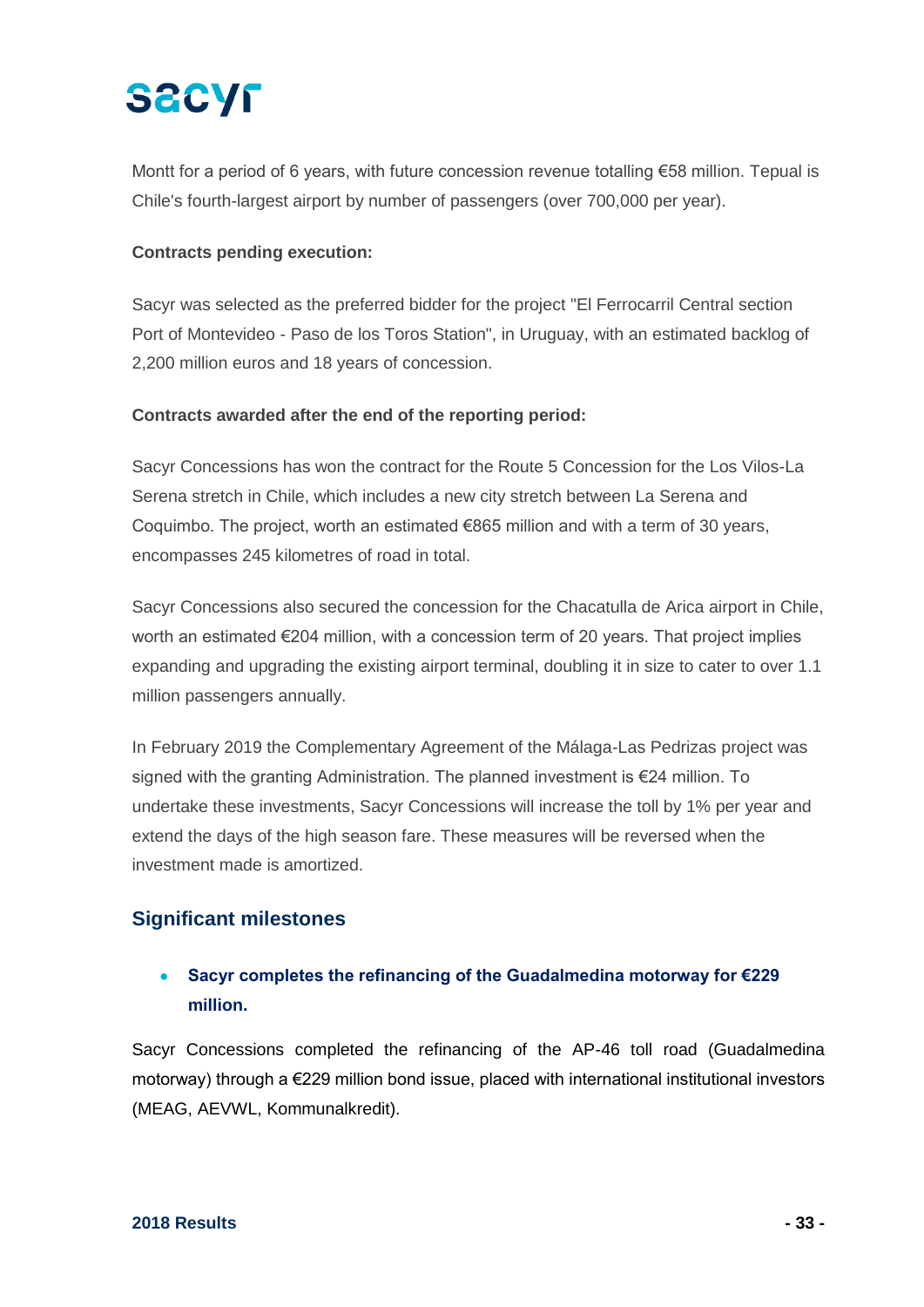# **SACYF**

Montt for a period of 6 years, with future concession revenue totalling €58 million. Tepual is Chile's fourth-largest airport by number of passengers (over 700,000 per year).

#### **Contracts pending execution:**

Sacyr was selected as the preferred bidder for the project "El Ferrocarril Central section Port of Montevideo - Paso de los Toros Station", in Uruguay, with an estimated backlog of 2,200 million euros and 18 years of concession.

#### **Contracts awarded after the end of the reporting period:**

Sacyr Concessions has won the contract for the Route 5 Concession for the Los Vilos-La Serena stretch in Chile, which includes a new city stretch between La Serena and Coquimbo. The project, worth an estimated  $€865$  million and with a term of 30 years, encompasses 245 kilometres of road in total.

Sacyr Concessions also secured the concession for the Chacatulla de Arica airport in Chile, worth an estimated €204 million, with a concession term of 20 years. That project implies expanding and upgrading the existing airport terminal, doubling it in size to cater to over 1.1 million passengers annually.

In February 2019 the Complementary Agreement of the Málaga-Las Pedrizas project was signed with the granting Administration. The planned investment is €24 million. To undertake these investments, Sacyr Concessions will increase the toll by 1% per year and extend the days of the high season fare. These measures will be reversed when the investment made is amortized.

### **Significant milestones**

### • **Sacyr completes the refinancing of the Guadalmedina motorway for €229 million.**

Sacyr Concessions completed the refinancing of the AP-46 toll road (Guadalmedina motorway) through a €229 million bond issue, placed with international institutional investors (MEAG, AEVWL, Kommunalkredit).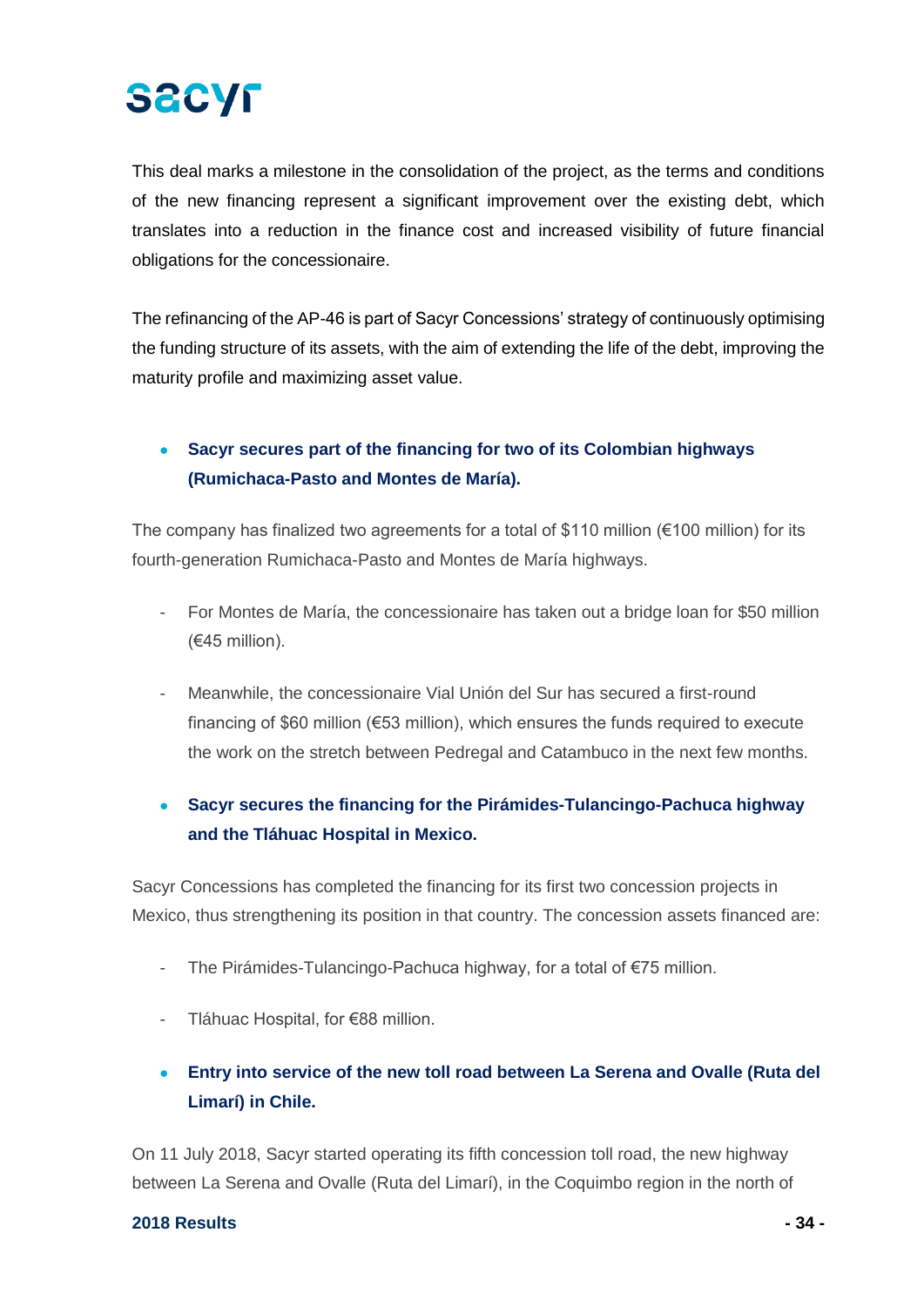# **SACYF**

This deal marks a milestone in the consolidation of the project, as the terms and conditions of the new financing represent a significant improvement over the existing debt, which translates into a reduction in the finance cost and increased visibility of future financial obligations for the concessionaire.

The refinancing of the AP-46 is part of Sacyr Concessions' strategy of continuously optimising the funding structure of its assets, with the aim of extending the life of the debt, improving the maturity profile and maximizing asset value.

## • **Sacyr secures part of the financing for two of its Colombian highways (Rumichaca-Pasto and Montes de María).**

The company has finalized two agreements for a total of \$110 million (€100 million) for its fourth-generation Rumichaca-Pasto and Montes de María highways.

- For Montes de María, the concessionaire has taken out a bridge loan for \$50 million (€45 million).
- Meanwhile, the concessionaire Vial Unión del Sur has secured a first-round financing of \$60 million ( $\epsilon$ 53 million), which ensures the funds required to execute the work on the stretch between Pedregal and Catambuco in the next few months.

### • **Sacyr secures the financing for the Pirámides-Tulancingo-Pachuca highway and the Tláhuac Hospital in Mexico.**

Sacyr Concessions has completed the financing for its first two concession projects in Mexico, thus strengthening its position in that country. The concession assets financed are:

- The Pirámides-Tulancingo-Pachuca highway, for a total of €75 million.
- Tláhuac Hospital, for €88 million.
- **Entry into service of the new toll road between La Serena and Ovalle (Ruta del Limarí) in Chile.**

On 11 July 2018, Sacyr started operating its fifth concession toll road, the new highway between La Serena and Ovalle (Ruta del Limarí), in the Coquimbo region in the north of

#### **2018 Results - 34 -**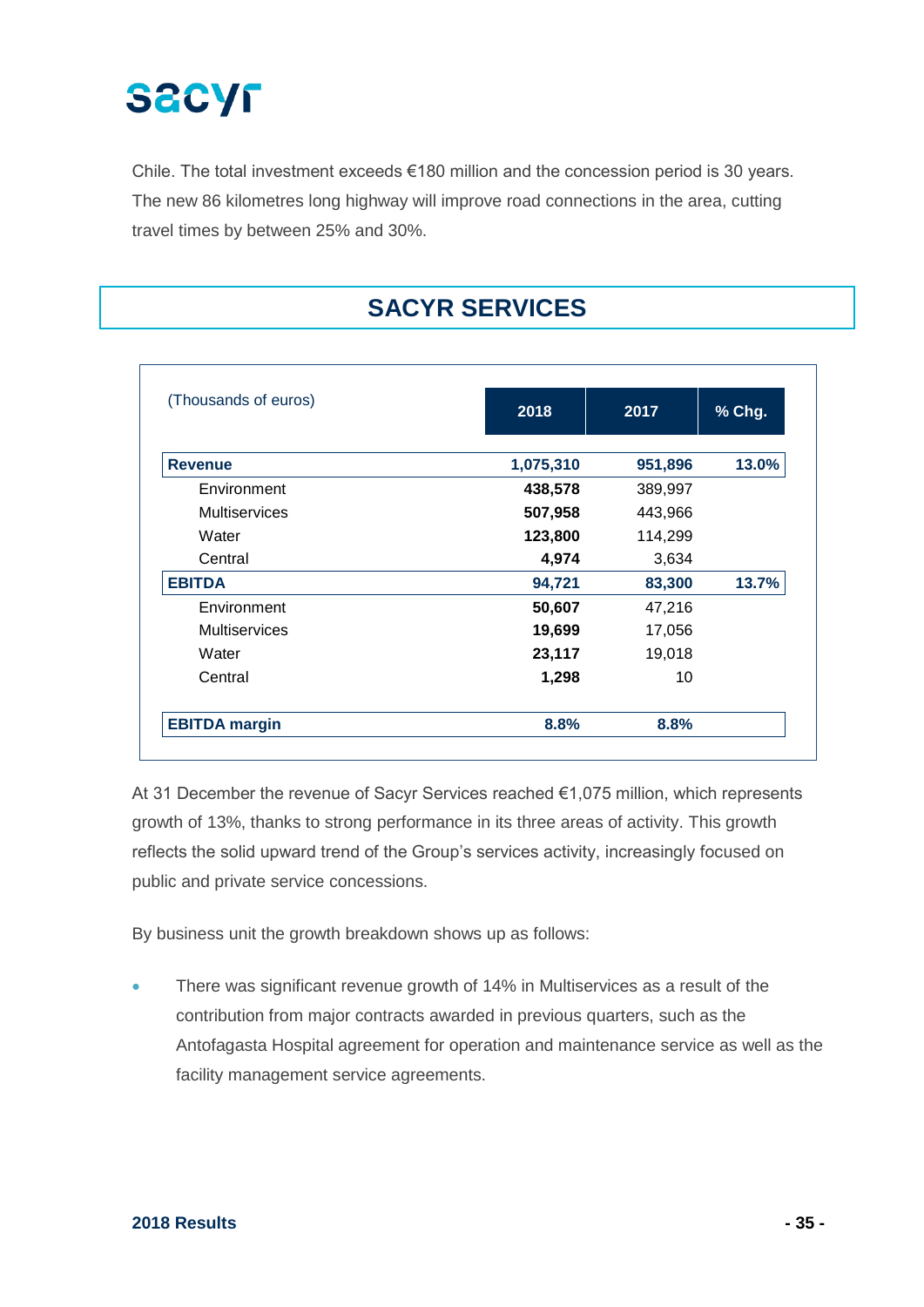

Chile. The total investment exceeds €180 million and the concession period is 30 years. The new 86 kilometres long highway will improve road connections in the area, cutting travel times by between 25% and 30%.

## **SACYR SERVICES**

| (Thousands of euros) | 2018      | 2017    | % Chg. |
|----------------------|-----------|---------|--------|
| <b>Revenue</b>       | 1,075,310 | 951,896 | 13.0%  |
| Environment          | 438,578   | 389,997 |        |
| <b>Multiservices</b> | 507,958   | 443,966 |        |
| Water                | 123,800   | 114,299 |        |
| Central              | 4,974     | 3,634   |        |
| <b>EBITDA</b>        | 94,721    | 83,300  | 13.7%  |
| Environment          | 50,607    | 47,216  |        |
| <b>Multiservices</b> | 19,699    | 17,056  |        |
| Water                | 23,117    | 19,018  |        |
| Central              | 1,298     | 10      |        |
| <b>EBITDA</b> margin | 8.8%      | 8.8%    |        |

At 31 December the revenue of Sacyr Services reached €1,075 million, which represents growth of 13%, thanks to strong performance in its three areas of activity. This growth reflects the solid upward trend of the Group's services activity, increasingly focused on public and private service concessions.

By business unit the growth breakdown shows up as follows:

There was significant revenue growth of 14% in Multiservices as a result of the contribution from major contracts awarded in previous quarters, such as the Antofagasta Hospital agreement for operation and maintenance service as well as the facility management service agreements.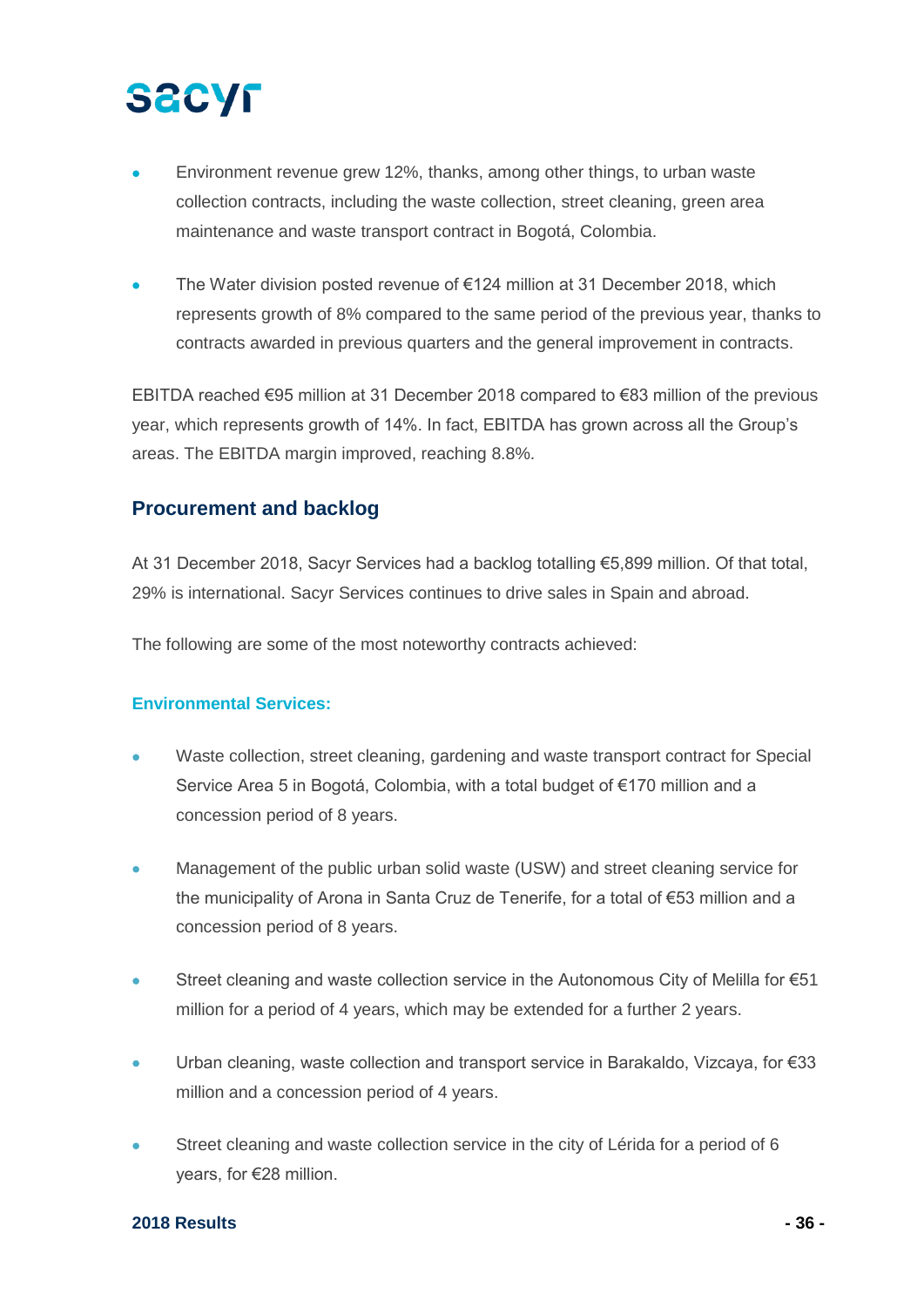- Environment revenue grew 12%, thanks, among other things, to urban waste collection contracts, including the waste collection, street cleaning, green area maintenance and waste transport contract in Bogotá, Colombia.
- The Water division posted revenue of  $€124$  million at 31 December 2018, which represents growth of 8% compared to the same period of the previous year, thanks to contracts awarded in previous quarters and the general improvement in contracts.

EBITDA reached €95 million at 31 December 2018 compared to €83 million of the previous year, which represents growth of 14%. In fact, EBITDA has grown across all the Group's areas. The EBITDA margin improved, reaching 8.8%.

### **Procurement and backlog**

At 31 December 2018, Sacyr Services had a backlog totalling €5,899 million. Of that total, 29% is international. Sacyr Services continues to drive sales in Spain and abroad.

The following are some of the most noteworthy contracts achieved:

#### **Environmental Services:**

- Waste collection, street cleaning, gardening and waste transport contract for Special Service Area 5 in Bogotá, Colombia, with a total budget of €170 million and a concession period of 8 years.
- Management of the public urban solid waste (USW) and street cleaning service for the municipality of Arona in Santa Cruz de Tenerife, for a total of €53 million and a concession period of 8 years.
- Street cleaning and waste collection service in the Autonomous City of Melilla for €51 million for a period of 4 years, which may be extended for a further 2 years.
- Urban cleaning, waste collection and transport service in Barakaldo, Vizcaya, for €33 million and a concession period of 4 years.
- Street cleaning and waste collection service in the city of Lérida for a period of 6 years, for €28 million.

#### **2018 Results - 36 -**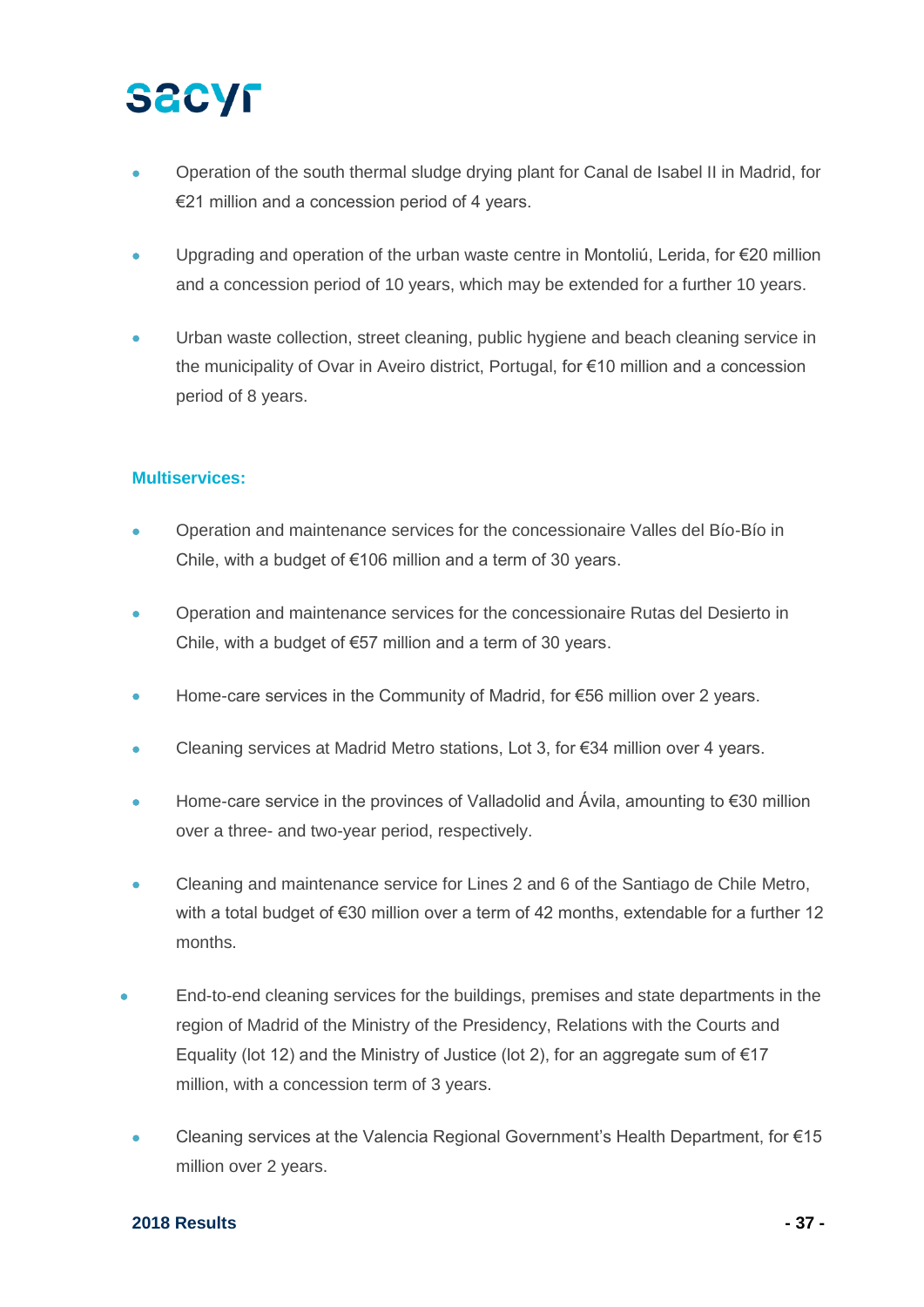- Operation of the south thermal sludge drying plant for Canal de Isabel II in Madrid, for €21 million and a concession period of 4 years.
- Upgrading and operation of the urban waste centre in Montoliú, Lerida, for €20 million and a concession period of 10 years, which may be extended for a further 10 years.
- Urban waste collection, street cleaning, public hygiene and beach cleaning service in the municipality of Ovar in Aveiro district, Portugal, for €10 million and a concession period of 8 years.

#### **Multiservices:**

- Operation and maintenance services for the concessionaire Valles del Bío-Bío in Chile, with a budget of €106 million and a term of 30 years.
- Operation and maintenance services for the concessionaire Rutas del Desierto in Chile, with a budget of €57 million and a term of 30 years.
- Home-care services in the Community of Madrid, for €56 million over 2 years.
- Cleaning services at Madrid Metro stations, Lot 3, for €34 million over 4 years.
- Home-care service in the provinces of Valladolid and Ávila, amounting to €30 million over a three- and two-year period, respectively.
- Cleaning and maintenance service for Lines 2 and 6 of the Santiago de Chile Metro, with a total budget of €30 million over a term of 42 months, extendable for a further 12 months.
- End-to-end cleaning services for the buildings, premises and state departments in the region of Madrid of the Ministry of the Presidency, Relations with the Courts and Equality (lot 12) and the Ministry of Justice (lot 2), for an aggregate sum of  $\epsilon$ 17 million, with a concession term of 3 years.
- Cleaning services at the Valencia Regional Government's Health Department, for €15 million over 2 years.

#### **2018 Results - 37 -**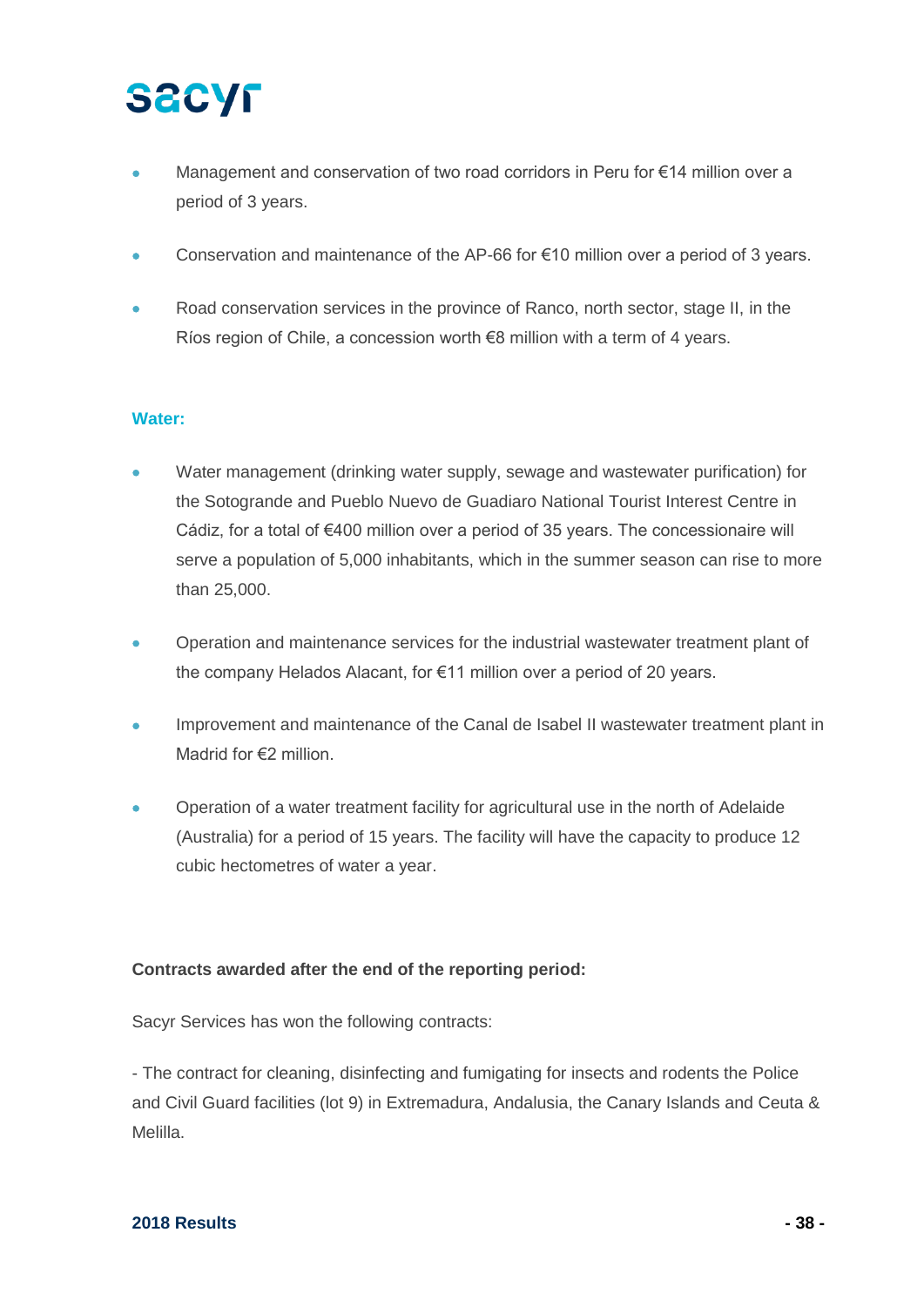- Management and conservation of two road corridors in Peru for €14 million over a period of 3 years.
- Conservation and maintenance of the AP-66 for €10 million over a period of 3 years.
- Road conservation services in the province of Ranco, north sector, stage II, in the Ríos region of Chile, a concession worth €8 million with a term of 4 years.

#### **Water:**

- Water management (drinking water supply, sewage and wastewater purification) for the Sotogrande and Pueblo Nuevo de Guadiaro National Tourist Interest Centre in Cádiz, for a total of €400 million over a period of 35 years. The concessionaire will serve a population of 5,000 inhabitants, which in the summer season can rise to more than 25,000.
- Operation and maintenance services for the industrial wastewater treatment plant of the company Helados Alacant, for €11 million over a period of 20 years.
- Improvement and maintenance of the Canal de Isabel II wastewater treatment plant in Madrid for €2 million.
- Operation of a water treatment facility for agricultural use in the north of Adelaide (Australia) for a period of 15 years. The facility will have the capacity to produce 12 cubic hectometres of water a year.

#### **Contracts awarded after the end of the reporting period:**

Sacyr Services has won the following contracts:

- The contract for cleaning, disinfecting and fumigating for insects and rodents the Police and Civil Guard facilities (lot 9) in Extremadura, Andalusia, the Canary Islands and Ceuta & Melilla.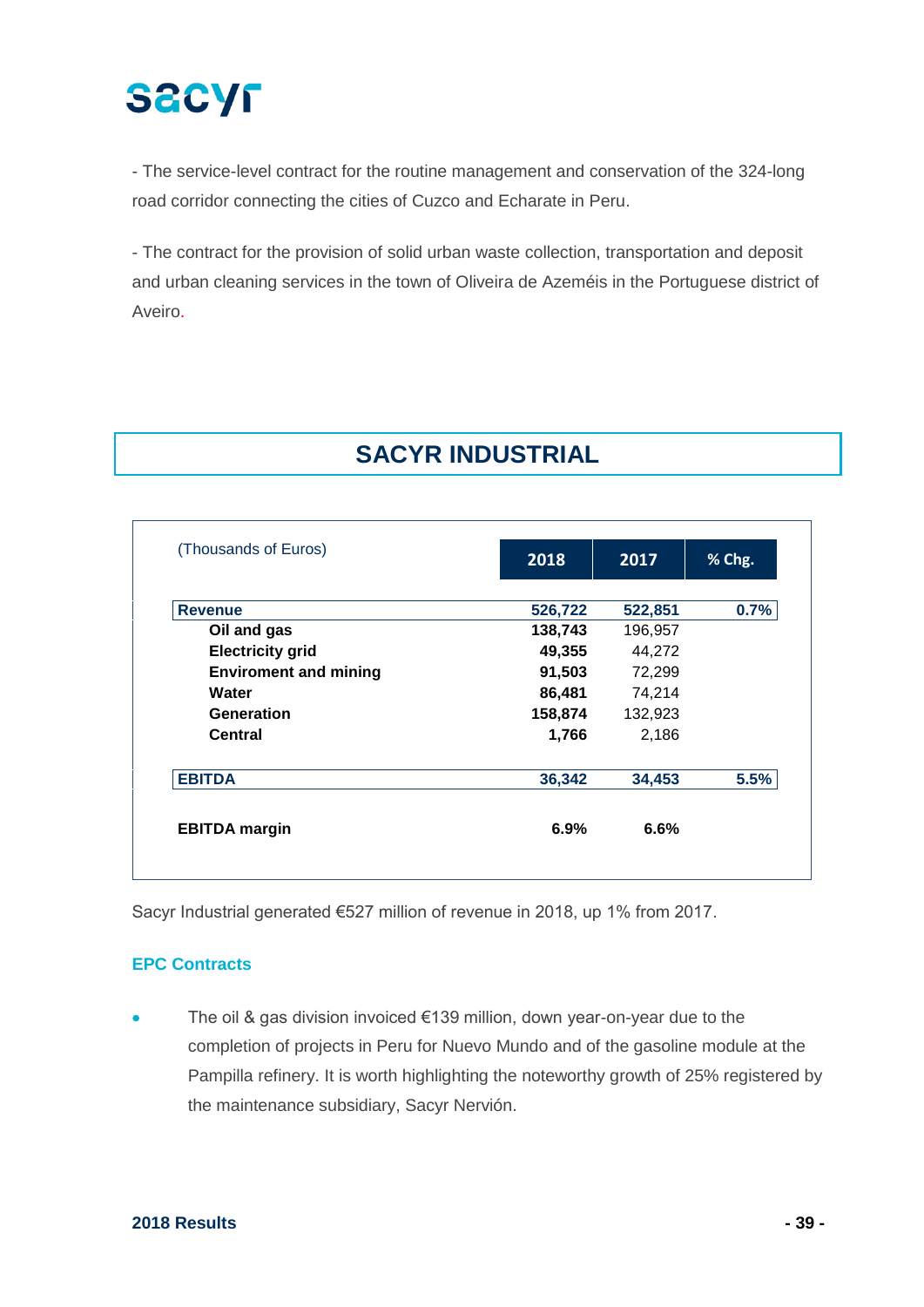- The service-level contract for the routine management and conservation of the 324-long road corridor connecting the cities of Cuzco and Echarate in Peru.

- The contract for the provision of solid urban waste collection, transportation and deposit and urban cleaning services in the town of Oliveira de Azeméis in the Portuguese district of Aveiro.

## **SACYR INDUSTRIAL**

| (Thousands of Euros)         | 2018    | 2017    | % Chg. |
|------------------------------|---------|---------|--------|
| <b>Revenue</b>               | 526,722 | 522,851 | 0.7%   |
| Oil and gas                  | 138,743 | 196,957 |        |
| <b>Electricity grid</b>      | 49,355  | 44,272  |        |
| <b>Enviroment and mining</b> | 91,503  | 72,299  |        |
| Water                        | 86,481  | 74,214  |        |
| Generation                   | 158,874 | 132,923 |        |
| Central                      | 1,766   | 2,186   |        |
| <b>EBITDA</b>                | 36,342  | 34,453  | 5.5%   |
| <b>EBITDA</b> margin         | 6.9%    | 6.6%    |        |

Sacyr Industrial generated €527 million of revenue in 2018, up 1% from 2017.

#### **EPC Contracts**

The oil & gas division invoiced  $€139$  million, down year-on-year due to the completion of projects in Peru for Nuevo Mundo and of the gasoline module at the Pampilla refinery. It is worth highlighting the noteworthy growth of 25% registered by the maintenance subsidiary, Sacyr Nervión.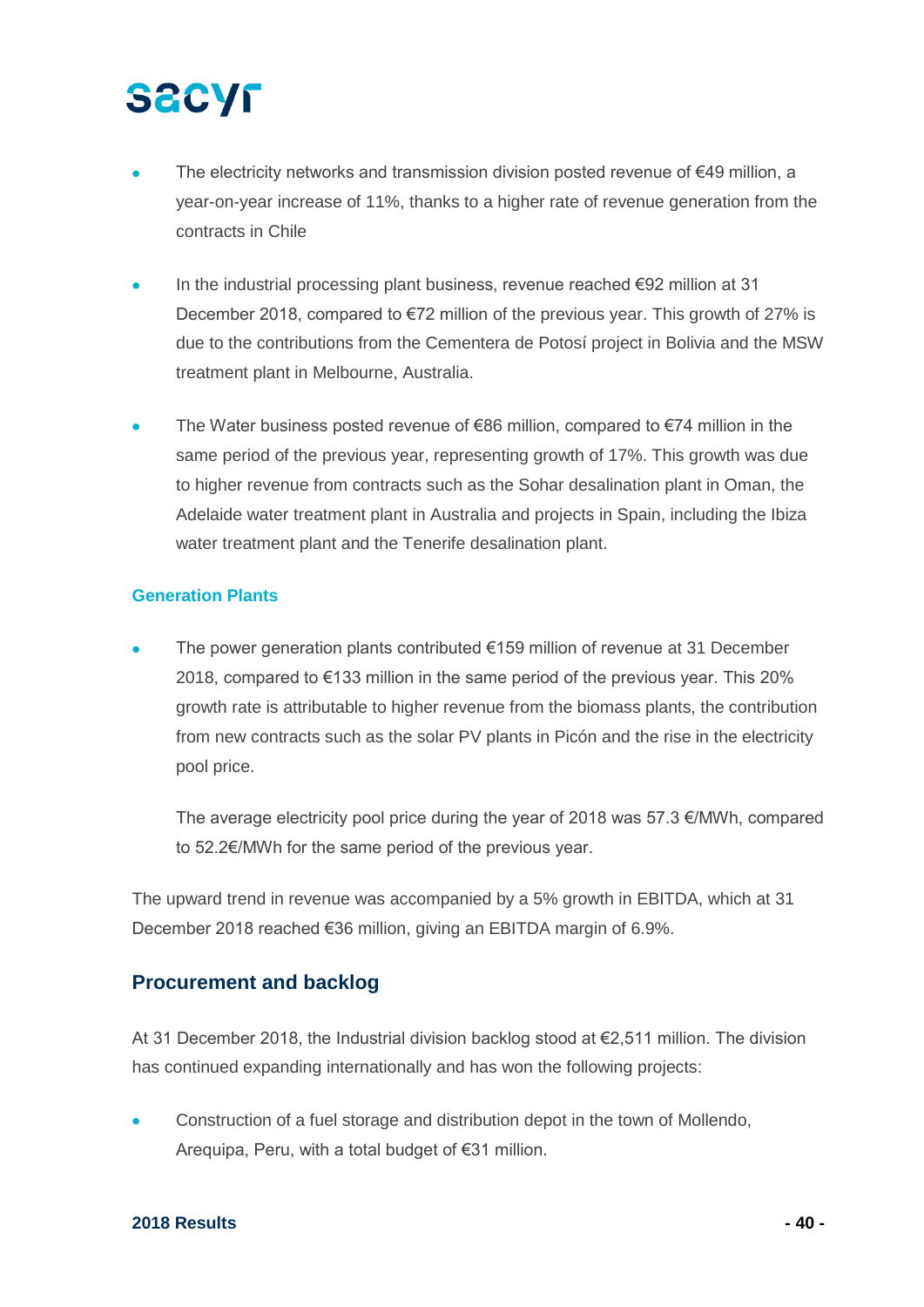# **SECYF**

- The electricity networks and transmission division posted revenue of  $€49$  million, a year-on-year increase of 11%, thanks to a higher rate of revenue generation from the contracts in Chile
- In the industrial processing plant business, revenue reached €92 million at 31 December 2018, compared to €72 million of the previous year. This growth of 27% is due to the contributions from the Cementera de Potosí project in Bolivia and the MSW treatment plant in Melbourne, Australia.
- The Water business posted revenue of  $\epsilon$ 86 million, compared to  $\epsilon$ 74 million in the same period of the previous year, representing growth of 17%. This growth was due to higher revenue from contracts such as the Sohar desalination plant in Oman, the Adelaide water treatment plant in Australia and projects in Spain, including the Ibiza water treatment plant and the Tenerife desalination plant.

#### **Generation Plants**

The power generation plants contributed  $€159$  million of revenue at 31 December 2018, compared to  $€133$  million in the same period of the previous year. This 20% growth rate is attributable to higher revenue from the biomass plants, the contribution from new contracts such as the solar PV plants in Picón and the rise in the electricity pool price.

The average electricity pool price during the year of 2018 was 57.3 €/MWh, compared to 52.2€/MWh for the same period of the previous year.

The upward trend in revenue was accompanied by a 5% growth in EBITDA, which at 31 December 2018 reached €36 million, giving an EBITDA margin of 6.9%.

#### **Procurement and backlog**

At 31 December 2018, the Industrial division backlog stood at €2,511 million. The division has continued expanding internationally and has won the following projects:

• Construction of a fuel storage and distribution depot in the town of Mollendo, Arequipa, Peru, with a total budget of €31 million.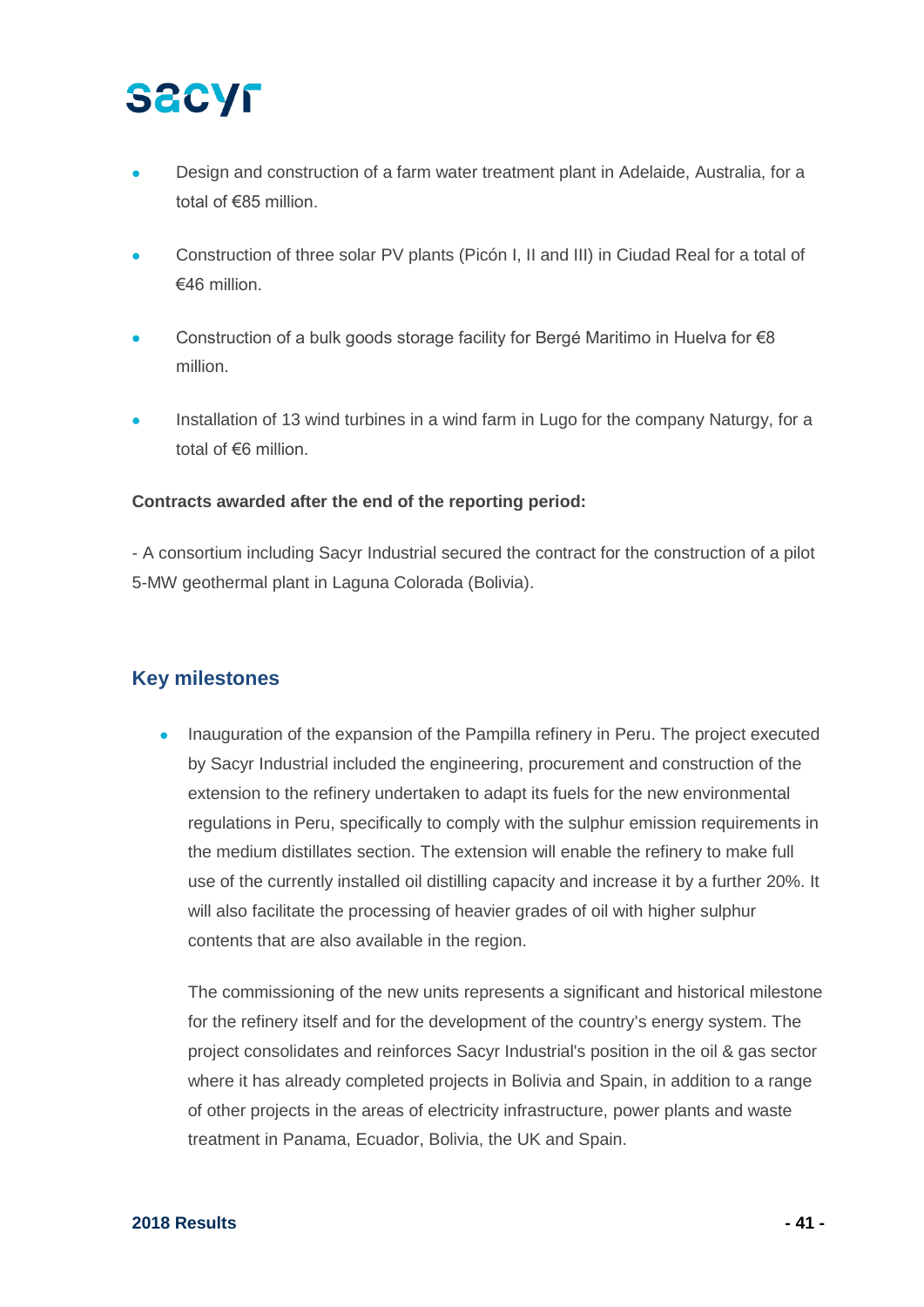## **SECYF**

- Design and construction of a farm water treatment plant in Adelaide, Australia, for a total of €85 million.
- Construction of three solar PV plants (Picón I, II and III) in Ciudad Real for a total of  $€46$  million
- Construction of a bulk goods storage facility for Bergé Maritimo in Huelva for €8 million.
- Installation of 13 wind turbines in a wind farm in Lugo for the company Naturgy, for a total of €6 million.

#### **Contracts awarded after the end of the reporting period:**

- A consortium including Sacyr Industrial secured the contract for the construction of a pilot 5-MW geothermal plant in Laguna Colorada (Bolivia).

### **Key milestones**

• Inauguration of the expansion of the Pampilla refinery in Peru. The project executed by Sacyr Industrial included the engineering, procurement and construction of the extension to the refinery undertaken to adapt its fuels for the new environmental regulations in Peru, specifically to comply with the sulphur emission requirements in the medium distillates section. The extension will enable the refinery to make full use of the currently installed oil distilling capacity and increase it by a further 20%. It will also facilitate the processing of heavier grades of oil with higher sulphur contents that are also available in the region.

The commissioning of the new units represents a significant and historical milestone for the refinery itself and for the development of the country's energy system. The project consolidates and reinforces Sacyr Industrial's position in the oil & gas sector where it has already completed projects in Bolivia and Spain, in addition to a range of other projects in the areas of electricity infrastructure, power plants and waste treatment in Panama, Ecuador, Bolivia, the UK and Spain.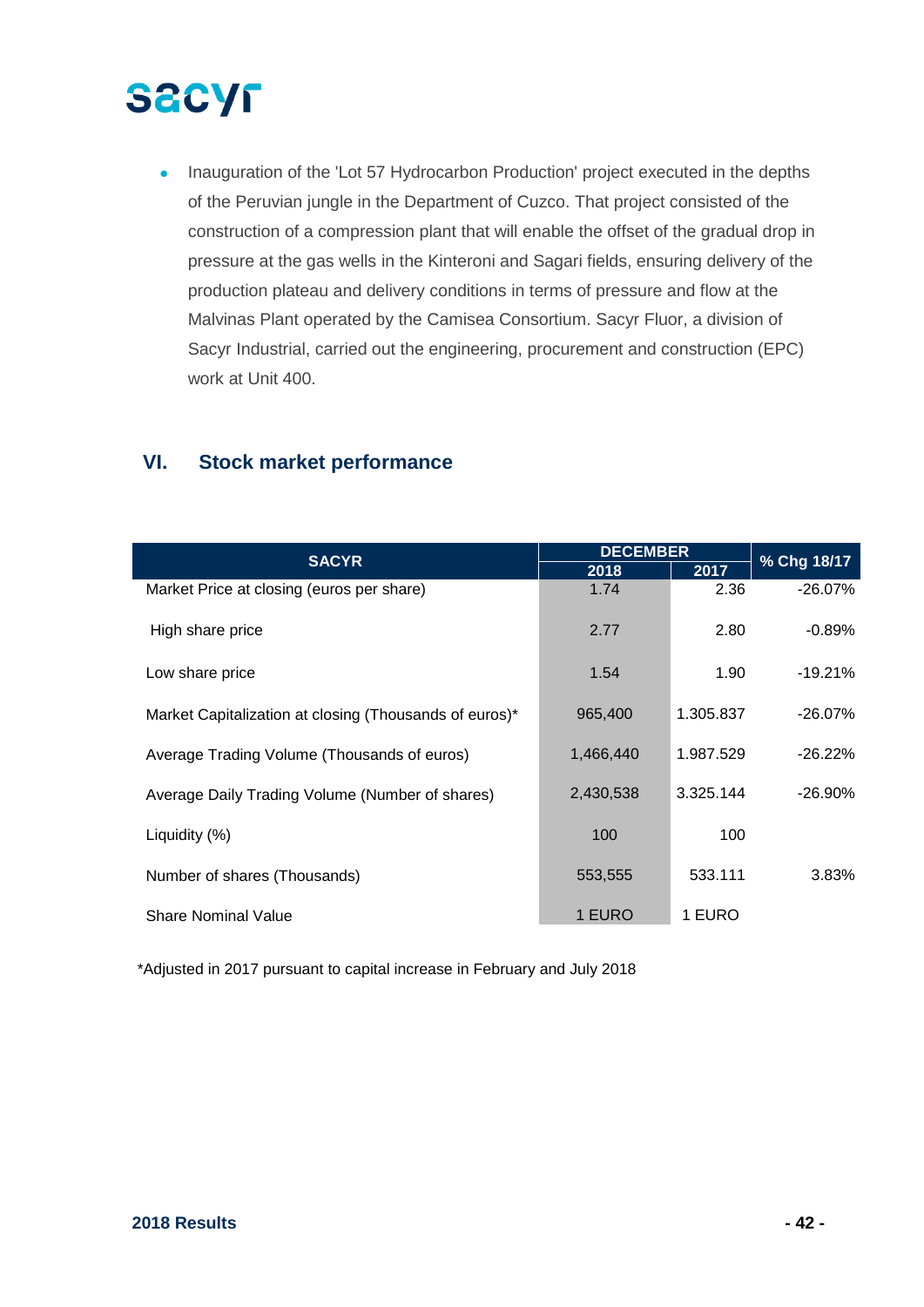• Inauguration of the 'Lot 57 Hydrocarbon Production' project executed in the depths of the Peruvian jungle in the Department of Cuzco. That project consisted of the construction of a compression plant that will enable the offset of the gradual drop in pressure at the gas wells in the Kinteroni and Sagari fields, ensuring delivery of the production plateau and delivery conditions in terms of pressure and flow at the Malvinas Plant operated by the Camisea Consortium. Sacyr Fluor, a division of Sacyr Industrial, carried out the engineering, procurement and construction (EPC) work at Unit 400.

### **VI. Stock market performance**

|                                                        | <b>DECEMBER</b> |           |             |  |
|--------------------------------------------------------|-----------------|-----------|-------------|--|
| <b>SACYR</b>                                           | 2018            | 2017      | % Chg 18/17 |  |
| Market Price at closing (euros per share)              | 1.74            | 2.36      | $-26.07%$   |  |
| High share price                                       | 2.77            | 2.80      | $-0.89\%$   |  |
| Low share price                                        | 1.54            | 1.90      | $-19.21\%$  |  |
| Market Capitalization at closing (Thousands of euros)* | 965,400         | 1.305.837 | $-26.07\%$  |  |
| Average Trading Volume (Thousands of euros)            | 1,466,440       | 1.987.529 | $-26.22\%$  |  |
| Average Daily Trading Volume (Number of shares)        | 2,430,538       | 3.325.144 | $-26.90\%$  |  |
| Liquidity (%)                                          | 100             | 100       |             |  |
| Number of shares (Thousands)                           | 553,555         | 533.111   | 3.83%       |  |
| <b>Share Nominal Value</b>                             | 1 EURO          | 1 EURO    |             |  |

\*Adjusted in 2017 pursuant to capital increase in February and July 2018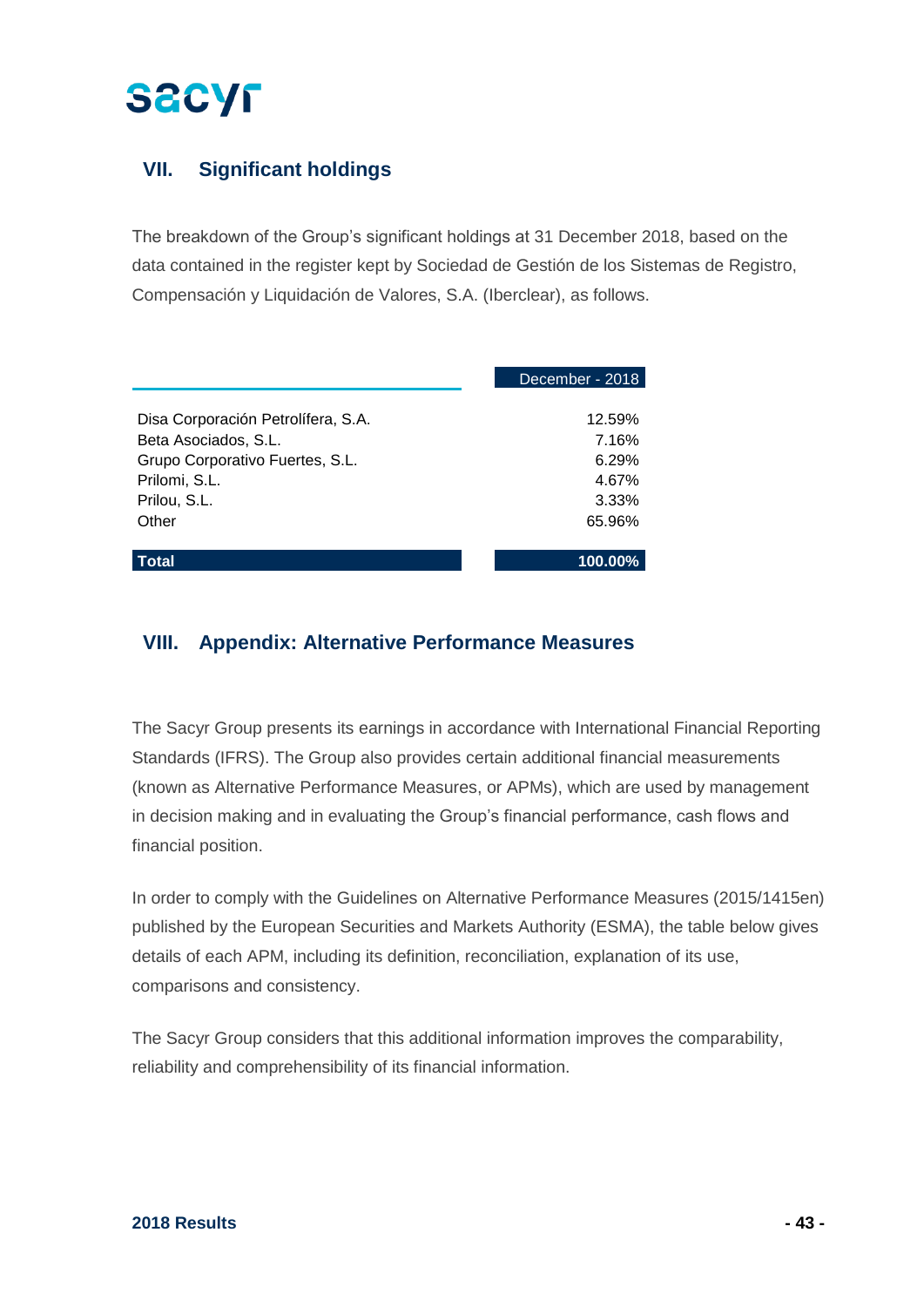## **VII. Significant holdings**

The breakdown of the Group's significant holdings at 31 December 2018, based on the data contained in the register kept by Sociedad de Gestión de los Sistemas de Registro, Compensación y Liquidación de Valores, S.A. (Iberclear), as follows.

|                                    | December - 2018 |
|------------------------------------|-----------------|
|                                    |                 |
| Disa Corporación Petrolífera, S.A. | 12.59%          |
| Beta Asociados, S.L.               | 7.16%           |
| Grupo Corporativo Fuertes, S.L.    | 6.29%           |
| Prilomi, S.L.                      | 4.67%           |
| Prilou, S.L.                       | 3.33%           |
| Other                              | 65.96%          |
|                                    |                 |
| <b>Total</b>                       | $100.00\%$      |

### **VIII. Appendix: Alternative Performance Measures**

The Sacyr Group presents its earnings in accordance with International Financial Reporting Standards (IFRS). The Group also provides certain additional financial measurements (known as Alternative Performance Measures, or APMs), which are used by management in decision making and in evaluating the Group's financial performance, cash flows and financial position.

In order to comply with the Guidelines on Alternative Performance Measures (2015/1415en) published by the European Securities and Markets Authority (ESMA), the table below gives details of each APM, including its definition, reconciliation, explanation of its use, comparisons and consistency.

The Sacyr Group considers that this additional information improves the comparability, reliability and comprehensibility of its financial information.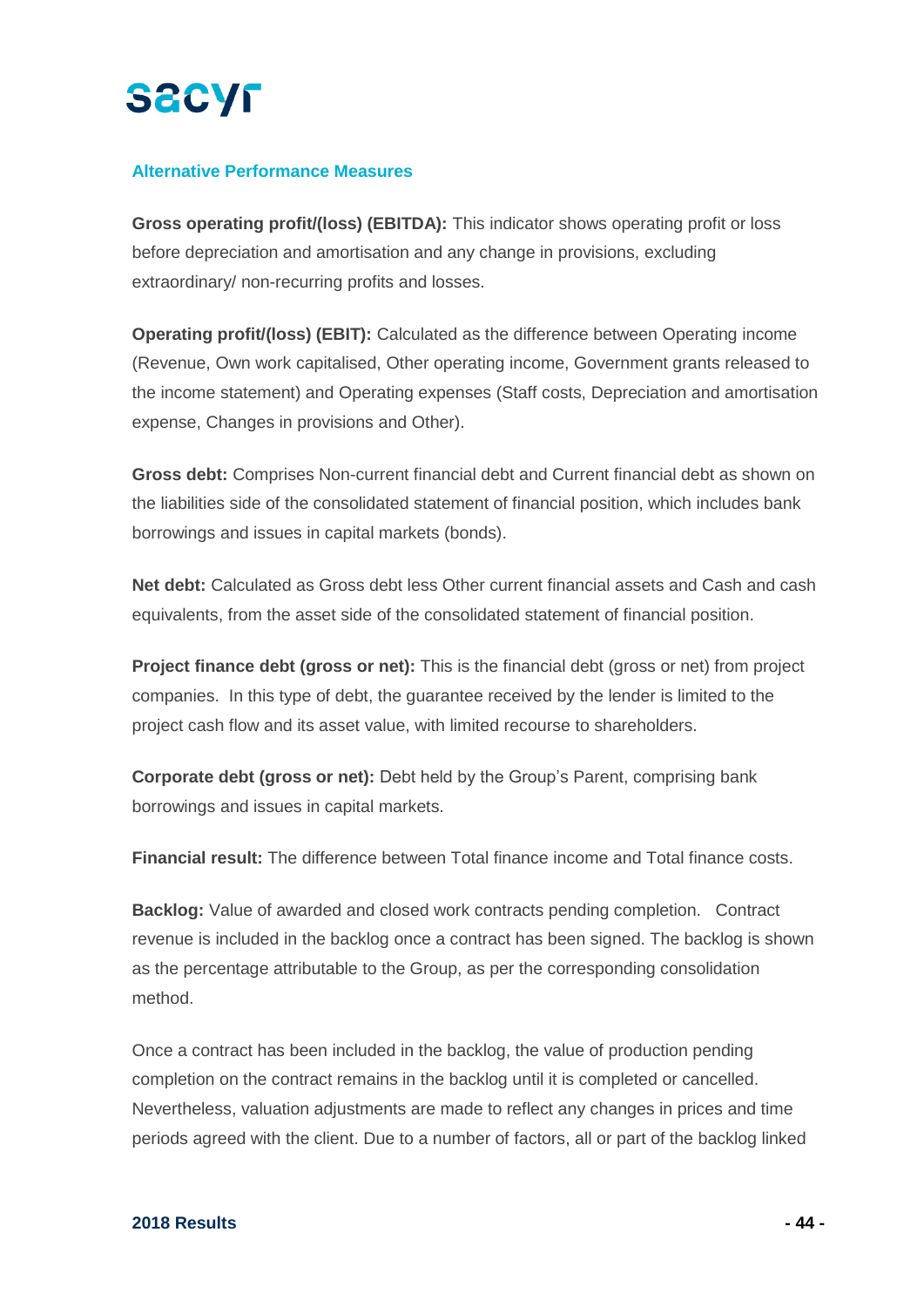

#### **Alternative Performance Measures**

**Gross operating profit/(loss) (EBITDA):** This indicator shows operating profit or loss before depreciation and amortisation and any change in provisions, excluding extraordinary/ non-recurring profits and losses.

**Operating profit/(loss) (EBIT):** Calculated as the difference between Operating income (Revenue, Own work capitalised, Other operating income, Government grants released to the income statement) and Operating expenses (Staff costs, Depreciation and amortisation expense, Changes in provisions and Other).

**Gross debt:** Comprises Non-current financial debt and Current financial debt as shown on the liabilities side of the consolidated statement of financial position, which includes bank borrowings and issues in capital markets (bonds).

**Net debt:** Calculated as Gross debt less Other current financial assets and Cash and cash equivalents, from the asset side of the consolidated statement of financial position.

**Project finance debt (gross or net):** This is the financial debt (gross or net) from project companies. In this type of debt, the guarantee received by the lender is limited to the project cash flow and its asset value, with limited recourse to shareholders.

**Corporate debt (gross or net):** Debt held by the Group's Parent, comprising bank borrowings and issues in capital markets.

**Financial result:** The difference between Total finance income and Total finance costs.

**Backlog:** Value of awarded and closed work contracts pending completion. Contract revenue is included in the backlog once a contract has been signed. The backlog is shown as the percentage attributable to the Group, as per the corresponding consolidation method.

Once a contract has been included in the backlog, the value of production pending completion on the contract remains in the backlog until it is completed or cancelled. Nevertheless, valuation adjustments are made to reflect any changes in prices and time periods agreed with the client. Due to a number of factors, all or part of the backlog linked